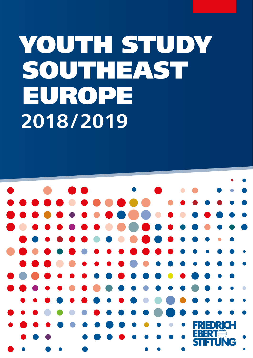# YOUTH STUDY SOUTHEAST EUROPE **2018/2019**

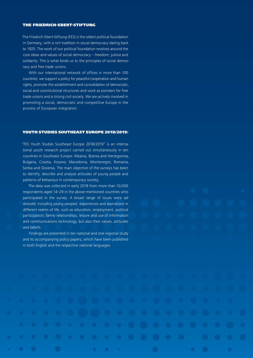#### THE FRIEDRICH-EBERT-STIFTUNG

The Friedrich-Ebert-Stiftung (FES) is the oldest political foundation in Germany, with a rich tradition in social democracy dating back to 1925. The work of our political foundation revolves around the core ideas and values of social democracy – freedom, justice and solidarity. This is what binds us to the principles of social democracy and free trade unions.

With our international network of offices in more than 100 countries, we support a policy for peaceful cooperation and human rights, promote the establishment and consolidation of democratic, social and constitutional structures and work as pioneers for free trade unions and a strong civil society. We are actively involved in promoting a social, democratic and competitive Europe in the process of European integration.

#### YOUTH STUDIES SOUTHEAST EUROPE 2018/2019:

"FES Youth Studies Southeast Europe 2018/2019" is an international youth research project carried out simultaneously in ten countries in Southeast Europe: Albania, Bosnia and Herzegovina, Bulgaria, Croatia, Kosovo, Macedonia, Montenegro, Romania, Serbia and Slovenia. The main objective of the surveys has been to identify, describe and analyse attitudes of young people and patterns of behaviour in contemporary society.

The data was collected in early 2018 from more than 10,000 respondents aged 14–29 in the above-mentioned countries who participated in the survey. A broad range of issues were addressed, including young peoples' experiences and aspirations in different realms of life, such as education, employment, political participation, family relationships, leisure and use of information and communications technology, but also their values, attitudes and beliefs.

Findings are presented in ten national and one regional study and its accompanying policy papers, which have been published in both English and the respective national languages.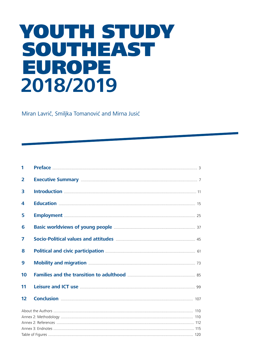# YOUTH STUDY SOUTHEAST **EUROPE** 2018/2019

Miran Lavrič, Smiljka Tomanović and Mirna Jusić

| п.                      |                                                                                                                                    |  |  |
|-------------------------|------------------------------------------------------------------------------------------------------------------------------------|--|--|
| $\overline{2}$          |                                                                                                                                    |  |  |
| 3                       |                                                                                                                                    |  |  |
| 4                       |                                                                                                                                    |  |  |
| 5                       |                                                                                                                                    |  |  |
| 6                       |                                                                                                                                    |  |  |
| $\overline{\mathbf{z}}$ | Socio-Political values and attitudes <b>Manual Communities</b> 45                                                                  |  |  |
| 8                       | Political and civic participation <b>Manufacture 10</b> 61                                                                         |  |  |
| 9                       | Mobility and migration <b>Mobility</b> and migration <b>Mobility</b> and migration <b>Mobility</b> and migration <b>Matures 23</b> |  |  |
| 10                      |                                                                                                                                    |  |  |
| 11                      | Leisure and ICT use <b>Manual According to the Contract of the Contract OCT</b> 09                                                 |  |  |
| 12                      |                                                                                                                                    |  |  |
|                         |                                                                                                                                    |  |  |
|                         |                                                                                                                                    |  |  |
|                         |                                                                                                                                    |  |  |
|                         |                                                                                                                                    |  |  |
|                         |                                                                                                                                    |  |  |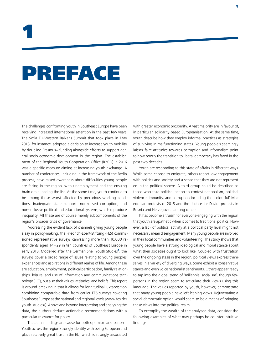# PREFACE

The challenges confronting youth in Southeast Europe have been receiving increased international attention in the past few years. The Sofia EU-Western Balkans Summit that took place in May 2018, for instance, adopted a decision to increase youth mobility by doubling Erasmus+ funding alongside efforts to support general socio-economic development in the region. The establishment of the Regional Youth Cooperation Office (RYCO) in 2016 was a specific measure aiming at increasing youth exchange. A number of conferences, including in the framework of the Berlin process, have raised awareness about difficulties young people are facing in the region, with unemployment and the ensuing brain drain leading the list. At the same time, youth continue to be among those worst affected by precarious working conditions, inadequate state support, normalised corruption, and non-inclusive political and educational systems, which reproduce inequality. All these are of course merely subcomponents of the region's broader crisis of governance.

Addressing the evident lack of channels giving young people a say in policy-making, the Friedrich-Ebert-Stiftung (FES) commissioned representative surveys canvassing more than 10,000 respondents aged 14–29 in ten countries of Southeast Europe in early 2018. Modelled after the German Shell Youth Studies<sup>1</sup>, the surveys cover a broad range of issues relating to young peoples' experiences and aspirations in different realms of life. Among these are education, employment, political participation, family relationships, leisure, and use of information and communications technology (ICT), but also their values, attitudes, and beliefs. This report is ground-breaking in that it allows for longitudinal juxtaposition, combining comparable data from earlier FES surveys covering Southeast Europe at the national and regional levels (www.fes.de/ youth-studies/). Above and beyond interpreting and analysing the data, the authors deduce actionable recommendations with a particular relevance for policy.

The actual findings are cause for both optimism and concern. Youth across the region strongly identify with being European and place relatively great trust in the EU, which is strongly associated

with greater economic prosperity. A vast majority are in favour of, in particular, solidarity-based Europeanisation. At the same time, youth describe how they employ informal practices as strategies of surviving in malfunctioning states. Young people's seemingly laissez-faire attitudes towards corruption and informalism point to how poorly the transition to liberal democracy has fared in the past two decades.

Youth are responding to this state of affairs in different ways. While some choose to emigrate, others report low engagement with politics and society and a sense that they are not represented in the political sphere. A third group could be described as those who take political action to contest nationalism, political violence, impunity, and corruption including the 'colourful' Macedonian protests of 2015 and the 'Justice for David' protests in Bosnia and Herzegovina among others.

It has become a truism for everyone engaging with the region that youth are apathetic when it comes to traditional politics. However, a lack of political activity at a political party level might not necessarily mean disengagement. Many young people are involved in their local communities and volunteering. The study shows that young people have a strong ideological and moral stance about what their societies ought to look like. Coupled with frustration over the ongoing stasis in the region, political views express themselves in a variety of diverging ways. Some exhibit a conservative stance and even voice nationalist sentiments. Others appear ready to tap into the global trend of 'millennial socialism', though few persons in the region seem to articulate their views using this language. The values reported by youth, however, demonstrate that many young people have left-leaning views. Rejuvenating a social-democratic option would seem to be a means of bringing these views into the political realm.

To exemplify the wealth of the analysed data, consider the following examples of what may perhaps be counter-intuitive findings: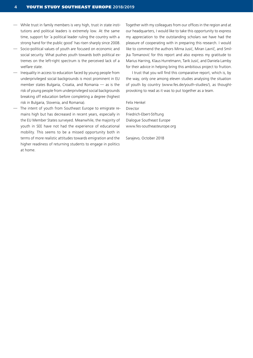- While trust in family members is very high, trust in state institutions and political leaders is extremely low. At the same time, support for 'a political leader ruling the country with a strong hand for the public good' has risen sharply since 2008.
- Socio-political values of youth are focused on economic and social security. What pushes youth towards both political extremes on the left-right spectrum is the perceived lack of a welfare state.
- Inequality in access to education faced by young people from underprivileged social backgrounds is most prominent in EU member states Bulgaria, Croatia, and Romania — as is the risk of young people from underprivileged social backgrounds breaking off education before completing a degree (highest risk in Bulgaria, Slovenia, and Romania).
- The intent of youth from Southeast Europe to emigrate remains high but has decreased in recent years, especially in the EU Member States surveyed. Meanwhile, the majority of youth in SEE have not had the experience of educational mobility. This seems to be a missed opportunity both in terms of more realistic attitudes towards emigration and the higher readiness of returning students to engage in politics at home.

Together with my colleagues from our offices in the region and at our headquarters, I would like to take this opportunity to express my appreciation to the outstanding scholars we have had the pleasure of cooperating with in preparing this research. I would like to commend the authors Mirna Jusić, Miran Lavrič, and Smiljka Tomanović for this report and also express my gratitude to Marius Harring, Klaus Hurrelmann, Tarik Jusić, and Daniela Lamby for their advice in helping bring this ambitious project to fruition.

I trust that you will find this comparative report, which is, by the way, only one among eleven studies analysing the situation of youth by country (www.fes.de/youth-studies/), as thoughtprovoking to read as it was to put together as a team.

Felix Henkel Director Friedrich-Ebert-Stiftung Dialogue Southeast Europe www.fes-southeasteurope.org

Sarajevo, October 2018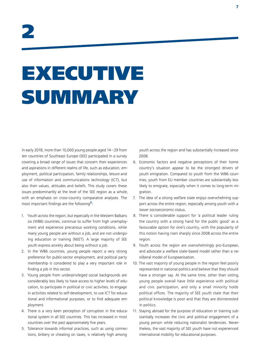# EXECUTIVE SUMMARY

In early 2018, more than 10,000 young people aged 14–29 from ten countries of Southeast Europe (SEE) participated in a survey covering a broad range of issues that concern their experiences and aspirations in different realms of life, such as education, employment, political participation, family relationships, leisure and use of information and communications technology (ICT), but also their values, attitudes and beliefs. This study covers these issues predominantly at the level of the SEE region as a whole, with an emphasis on cross-country comparative analyses. The most important findings are the following<sup>2</sup>:

- 1. Youth across the region, but especially in the Western Balkans six (WB6) countries, continue to suffer from high unemployment and experience precarious working conditions, while many young people are without a job, and are not undergoing education or training (NEET). A large majority of SEE youth express anxiety about being without a job.
- 2. In the WB6 countries, young people report a very strong preference for public-sector employment, and political party membership is considered to play a very important role in finding a job in this sector.
- 3. Young people from underprivileged social backgrounds are considerably less likely to have access to higher levels of education, to participate in political or civic activities, to engage in activities related to self-development, to use ICT for educational and informational purposes, or to find adequate employment.
- 4. There is a very keen perception of corruption in the educational system in all SEE countries. This has increased in most countries over the past approximately five years.
- 5. Tolerance towards informal practices, such as using connections, bribery or cheating on taxes, is relatively high among

youth across the region and has substantially increased since 2008.

- 6. Economic factors and negative perceptions of their home country's situation appear to be the strongest drivers of youth emigration. Compared to youth from the WB6 countries, youth from EU member countries are substantially less likely to emigrate, especially when it comes to long-term migration.
- 7. The idea of a strong welfare state enjoys overwhelming support across the entire region, especially among youth with a lower socioeconomic status.
- 8. There is considerable support for 'a political leader ruling the country with a strong hand for the public good' as a favourable option for one's country, with the popularity of this notion having risen sharply since 2008 across the entire region.
- 9. Youth across the region are overwhelmingly pro-European, and advocate a welfare state-based model rather than a neoliberal model of Europeanisation.
- 10. The vast majority of young people in the region feel poorly represented in national politics and believe that they should have a stronger say. At the same time, other than voting, young people overall have little experience with political and civic participation, and only a small minority holds political offices. The majority of SEE youth state that their political knowledge is poor and that they are disinterested in politics.
- 11. Staying abroad for the purpose of education or training substantially increases the civic and political engagement of a young person while reducing nationalist tendencies. Nevertheless, the vast majority of SEE youth have not experienced international mobility for educational purposes.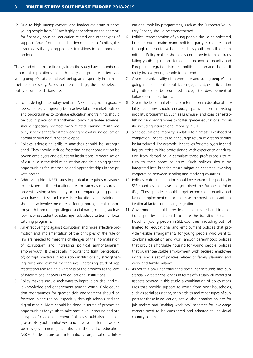12. Due to high unemployment and inadequate state support, young people from SEE are highly dependent on their parents for financial, housing, education-related and other types of support. Apart from being a burden on parental families, this also means that young people's transitions to adulthood are prolonged.

These and other major findings from the study have a number of important implications for both policy and practice in terms of young people's future and well-being, and especially in terms of their role in society. Based on these findings, the most relevant policy recommendations are:

- 1. To tackle high unemployment and NEET rates, youth guarantee schemes, comprising both active labour-market policies and opportunities to continue education and training, should be put in place or strengthened. Such guarantee schemes should especially promote work-related learning. Youth mobility schemes that facilitate working or continuing education abroad should be further developed.
- 2. Policies addressing skills mismatches should be strengthened. They should include fostering better coordination between employers and education institutions, modernisation of curricula in the field of education and developing greater opportunities for internships and apprenticeships in the private sector.
- 3. Addressing high NEET rates in particular requires measures to be taken in the educational realm, such as measures to prevent leaving school early or to re-engage young people who have left school early in education and training. It should also involve measures offering more general support for youth from underprivileged social backgrounds, such as low income student scholarships, subsidised tuition, or local tutoring programs.
- 4. An effective fight against corruption and more effective promotion and implementation of the principles of the rule of law are needed to meet the challenges of the 'normalisation of corruption' and increasing political authoritarianism among youth. It is especially important to fight (perceptions of) corrupt practices in education institutions by strengthening rules and control mechanisms, increasing student representation and raising awareness of the problem at the level of international networks of educational institutions.
- 5. Policy-makers should seek ways to improve political and civic knowledge and engagement among youth. Civic education programmes for greater civic engagement should be fostered in the region, especially through schools and the digital media. More should be done in terms of promoting opportunities for youth to take part in volunteering and other types of civic engagement. Policies should also focus on grassroots youth initiatives and involve different actors, such as governments, institutions in the field of education, NGOs, trade unions and international organisations. Inter-

national mobility programmes, such as the European Voluntary Service, should be strengthened.

- 6. Political representation of young people should be bolstered, both through mainstream political party structures and through representative bodies such as youth councils or committees. Policy-makers should also do more in terms of translating youth aspirations for general economic security and European integration into real political action and should directly involve young people to that end.
- 7. Given the universality of Internet use and young people's ongoing interest in online political engagement, e-participation of youth should be promoted through the development of tailored online platforms.
- 8. Given the beneficial effects of international educational mobility, countries should encourage participation in existing mobility programmes, such as Erasmus+, and consider establishing new programmes to foster greater educational mobility, including intraregional mobility in SEE.
- 9. Since educational mobility is related to a greater likelihood of emigration, incentives to encourage return migration should be introduced. For example, incentives for employers in sending countries to hire professionals with experience or education from abroad could stimulate those professionals to return to their home countries. Such policies should be integrated into broader return migration schemes involving cooperation between sending and receiving countries.
- 10. Policies to deter emigration should be enhanced, especially in SEE countries that have not yet joined the European Union (EU). These policies should target economic insecurity and lack of employment opportunities as the most significant motivational factors underlying migration.
- 11. Governments should provide a set of related and intersectional policies that could facilitate the transition to adulthood for young people in SEE countries, including but not limited to: educational and employment policies that provide flexible arrangements for young people who want to combine education and work and/or parenthood; policies that provide affordable housing for young people; policies that guarantee stable employment with secured employee rights; and a set of policies related to family planning and work and family balance.
- 12. As youth from underprivileged social backgrounds face substantially greater challenges in terms of virtually all important aspects covered in this study, a combination of policy measures that provide support to youth from poor households, such as social assistance, scholarships and other types of support for those in education, active labour market policies for job-seekers and "making work pay" schemes for low-wage earners need to be considered and adapted to individual country contexts.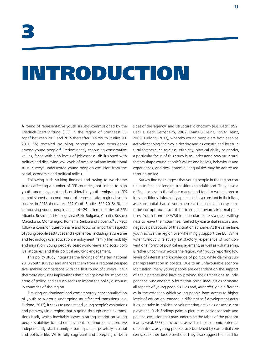# INTRODUCTION

A round of representative youth surveys commissioned by the Friedrich-Ebert-Stiftung (FES) in the region of Southeast Europe<sup>3</sup> between 2011 and 2015 (hereafter: FES Youth Studies SEE 2011 – 15) revealed troubling perceptions and experiences among young people.<sup>4</sup> Predominantly espousing conservative values, faced with high levels of joblessness, disillusioned with politics and displaying low levels of both social and institutional trust, surveys underscored young people's exclusion from the social, economic and political milieu.

Following such striking findings and owing to worrisome trends affecting a number of SEE countries, not limited to high youth unemployment and considerable youth emigration, FES commissioned a second round of representative regional youth surveys in 2018 (hereafter: FES Youth Studies SEE 2018/19), encompassing young people aged 14–29 in ten countries of SEE: Albania, Bosnia and Herzegovina (BiH), Bulgaria, Croatia, Kosovo, Macedonia, Montenegro, Romania, Serbia and Slovenia.<sup>5</sup> Surveys follow a common questionnaire and focus on important aspects of young people's attitudes and experiences, including leisure time and technology use; education; employment; family life; mobility and migration; young people's basic world views and socio-political attitudes; and their political and civic engagement.

This policy study integrates the findings of the ten national 2018 youth surveys and analyses them from a regional perspective, making comparisons with the first round of surveys. It furthermore discusses implications that findings have for important areas of policy, and as such seeks to inform the policy discourse in countries of the region.

Drawing on dominant and contemporary conceptualisation of youth as a group undergoing multifaceted transitions (e.g. Furlong, 2013), it seeks to understand young people's aspirations and pathways in a region that is going through complex transitions itself, which inevitably leaves a strong imprint on young people's abilities to find employment, continue education, live independently, start a family or participate purposefully in social and political life. While fully cognizant and accepting of both

sides of the 'agency' and 'structure' dichotomy (e.g. Beck 1992; Beck & Beck-Gernsheim, 2002; Evans & Heinz, 1994; Heinz, 2009; Furlong, 2013), whereby young people are both seen as actively shaping their own destiny and as constrained by structural factors such as class, ethnicity, physical ability or gender, a particular focus of this study is to understand how structural factors shape young people's values and beliefs, behaviours and experiences, and how potential inequalities may be addressed through policy.

Survey findings suggest that young people in the region continue to face challenging transitions to adulthood. They have a difficult access to the labour market and tend to work in precarious conditions. Informality appears to be a constant in their lives, as a substantial share of youth perceive their educational systems to be corrupt, but also exhibit tolerance towards informal practices. Youth from the WB6 in particular express a great willingness to leave their countries, fuelled by existential reasons and negative perceptions of the situation at home. At the same time, youth across the region overwhelmingly support the EU. While voter turnout is relatively satisfactory, experience of non-conventional forms of political engagement, as well as volunteering, is rather uncommon across the region, with youth reporting low levels of interest and knowledge of politics, while claiming subpar representation in politics. Due to an unfavourable economic situation, many young people are dependent on the support of their parents and have to prolong their transitions to independent living and family formation. Social inequalities permeate all aspects of young people's lives and, *inter alia*, yield differences in the extent to which young people have access to higher levels of education, engage in different self-development activities, partake in politics or volunteering activities or access employment. Such findings paint a picture of socioeconomic and political exclusion that may undermine the fabric of the predominantly weak SEE democracies, as well as the economic potential of countries, as young people, overburdened by existential concerns, seek their luck elsewhere. They also suggest the need for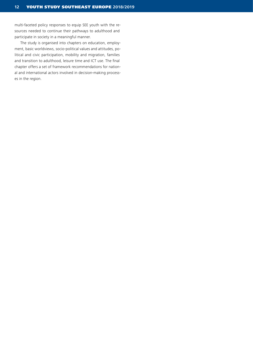multi-faceted policy responses to equip SEE youth with the resources needed to continue their pathways to adulthood and participate in society in a meaningful manner.

The study is organised into chapters on education, employment, basic worldviews, socio-political values and attitudes, political and civic participation, mobility and migration, families and transition to adulthood, leisure time and ICT use. The final chapter offers a set of framework recommendations for national and international actors involved in decision-making processes in the region.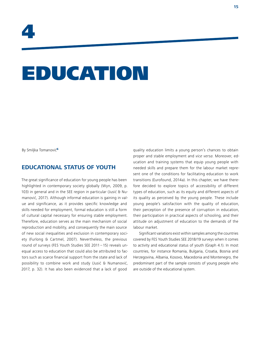# EDUCATION

By Smiljka Tomanović<sup>6</sup>

# **EDUCATIONAL STATUS OF YOUTH**

The great significance of education for young people has been highlighted in contemporary society globally (Wyn, 2009, p. 103) in general and in the SEE region in particular (Jusić & Numanović, 2017). Although informal education is gaining in value and significance, as it provides specific knowledge and skills needed for employment, formal education is still a form of cultural capital necessary for ensuring stable employment. Therefore, education serves as the main mechanism of social reproduction and mobility, and consequently the main source of new social inequalities and exclusion in contemporary society (Furlong & Cartmel, 2007). Nevertheless, the previous round of surveys (FES Youth Studies SEE 2011 – 15) reveals unequal access to education that could also be attributed to factors such as scarce financial support from the state and lack of possibility to combine work and study (Jusić & Numanović, 2017, p. 32). It has also been evidenced that a lack of good

quality education limits a young person's chances to obtain proper and stable employment and *vice versa*. Moreover, education and training systems that equip young people with needed skills and prepare them for the labour market represent one of the conditions for facilitating education to work transitions (Eurofound, 2014a). In this chapter, we have therefore decided to explore topics of accessibility of different types of education, such as its equity and different aspects of its quality as perceived by the young people. These include young people's satisfaction with the quality of education, their perception of the presence of corruption in education, their participation in practical aspects of schooling, and their attitude on adjustment of education to the demands of the labour market.

Significant variations exist within samples among the countries covered by FES Youth Studies SEE 2018/19 surveys when it comes to activity and educational status of youth (Graph 4.1). In most countries, for instance Romania, Bulgaria, Croatia, Bosnia and Herzegovina, Albania, Kosovo, Macedonia and Montenegro, the predominant part of the sample consists of young people who are outside of the educational system.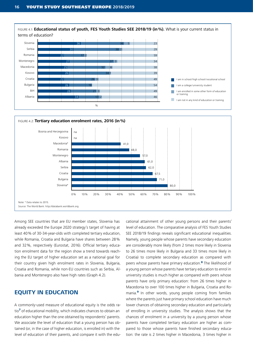



Among SEE countries that are EU member states, Slovenia has already exceeded the Europe 2020 strategy's target of having at least 40% of 30-34-year-olds with completed tertiary education, while Romania, Croatia and Bulgaria have shares between 28% and 32%, respectively (Eurostat, 2016). Official tertiary education enrolment data for the region show a trend towards reaching the EU target of higher education set as a national goal for their country given high enrolment rates in Slovenia, Bulgaria, Croatia and Romania, while non-EU countries such as Serbia, Albania and Montenegro also have high rates (Graph 4.2).

# **EQUITY IN EDUCATION**

A commonly-used measure of educational equity is the odds ratio<sup>7</sup> of educational mobility, which indicates chances to obtain an education higher than the one obtained by respondents' parents. We associate the level of education that a young person has obtained (or, in the case of higher education, is enrolled in) with the level of education of their parents, and compare it with the educational attainment of other young persons and their parents' level of education. The comparative analysis of FES Youth Studies SEE 2018/19 findings reveals significant educational inequalities. Namely, young people whose parents have secondary education are considerably more likely (from 2 times more likely in Slovenia to 26 times more likely in Bulgaria and 33 times more likely in Croatia) to complete secondary education as compared with peers whose parents have primary education.<sup>8</sup> The likelihood of a young person whose parents have tertiary education to enrol in university studies is much higher as compared with peers whose parents have only primary education: from 26 times higher in Macedonia to over 100 times higher in Bulgaria, Croatia and Romania.<sup>9</sup> In other words, young people coming from families where the parents just have primary school education have much lower chances of obtaining secondary education and particularly of enrolling in university studies. The analysis shows that the chances of enrolment in a university by a young person whose parents have completed tertiary education are higher as compared to those whose parents have finished secondary education: the rate is 2 times higher in Macedonia, 3 times higher in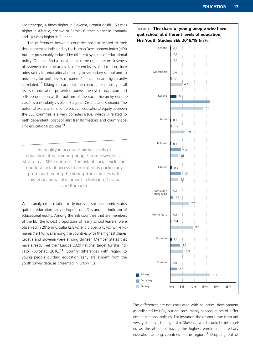Montenegro, 4 times higher in Slovenia, Croatia or BiH, 5 times higher in Albania, Kosovo or Serbia, 6 times higher in Romania and 10 times higher in Bulgaria.

The differences between countries are not related to their development as indicated by the Human Development Index (HDI), but are presumably induced by different systems of educational policy. One can find a consistency in the openness or closeness of systems in terms of access to different levels of education, since odds ratios for educational mobility to secondary school and to university for both levels of parents' education are significantly correlated.<sup>10</sup> Taking into account the chances for mobility at all levels of education presented above, the risk of exclusion and self-reproduction at the bottom of the social hierarchy ('underclass') is particularly visible in Bulgaria, Croatia and Romania. The potential explanation of differences in educational equity between the SEE countries is a very complex issue, which is related to path-dependent, post-socialist transformations and country-specific educational policies.<sup>11</sup>

Inequality in access to higher levels of education affects young people from lower social strata in all SEE countries. The risk of social exclusion due to a lack of access to education is particularly prominent among the young from families with low educational attainment in Bulgaria, Croatia and Romania.

When analysed in relation to features of socioeconomic status, quitting education early ('dropout rates') is another indicator of educational equity. Among the SEE countries that are members of the EU, the lowest proportions of 'early school leavers' were observed in 2015 in Croatia (2.8%) and Slovenia (5%), while Romania (19.1%) was among the countries with the highest shares. Croatia and Slovenia were among thirteen Member States that have already met their Europe 2020 national target for this indicator (Eurostat, 2016).<sup>12</sup> Country differences with regard to young people quitting education early are evident from the youth survey data, as presented in Graph 1.3.

### FIGURE 4.3: **The share of young people who have quit school at different levels of education, FES Youth Studies SEE 2018/19 (in%)**



The differences are not correlated with countries' development as indicated by HDI, but are presumably consequences of different educational policies. For instance, the dropout rate from university studies is the highest in Slovenia, which could be interpreted as the effect of having the highest enrolment in tertiary education among countries in the region.<sup>13</sup> Dropping out of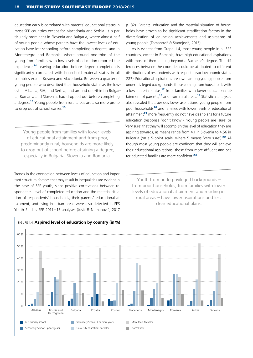education early is correlated with parents' educational status in most SEE countries except for Macedonia and Serbia. It is particularly prominent in Slovenia and Bulgaria, where almost half of young people whose parents have the lowest levels of education have left schooling before completing a degree, and in Montenegro and Romania, where around one-third of the young from families with low levels of education reported the experience.<sup>14</sup> Leaving education before degree completion is significantly correlated with household material status in all countries except Kosovo and Macedonia. Between a quarter of young people who described their household status as the lowest in Albania, BiH, and Serbia, and around one-third in Bulgaria, Romania and Slovenia, had dropped out before completing a degree.<sup>15</sup> Young people from rural areas are also more prone to drop out of school earlier<sup>16</sup>

Young people from families with lower levels of educational attainment and from poor, predominantly rural, households are more likely to drop out of school before attaining a degree, especially in Bulgaria, Slovenia and Romania.

Trends in the connection between levels of education and important structural factors that may result in inequalities are evident in the case of SEE youth, since positive correlations between respondents' level of completed education and the material situation of respondents' households, their parents' educational attainment, and living in urban areas were also detected in FES Youth Studies SEE 2011–15 analyses (Jusić & Numanović, 2017,

p. 32). Parents' education and the material situation of households have proven to be significant stratification factors in the diversification of education achievements and aspirations of young people (Tomanović & Stanojević, 2015).

As is evident from Graph 1.4, most young people in all SEE countries, except in Romania, have high educational aspirations, with most of them aiming beyond a Bachelor's degree. The differences between the countries could be attributed to different distributions of respondents with respect to socioeconomic status (SES). Educational aspirations are lower among young people from underprivileged backgrounds: those coming from households with a low material status, $17$  from families with lower educational attainment of parents.<sup>18</sup> and from rural areas.<sup>19</sup> Statistical analyses also revealed that, besides lower aspirations, young people from poor households<sup>20</sup> and families with lower levels of educational attainment<sup>21</sup> more frequently do not have clear plans for a future education (response 'don't know'). Young people are 'sure' or 'very sure' that they will accomplish the level of education they are aspiring towards, as means range from 4.1 in Slovenia to 4.56 in Bulgaria (on a 5-point scale, where 5 means 'very sure').<sup>22</sup> Although most young people are confident that they will achieve their educational aspirations, those from more affluent and better-educated families are more confident.<sup>23</sup>

Youth from underprivileged backgrounds from poor households, from families with lower levels of educational attainment and residing in rural areas – have lower aspirations and less clear educational plans.

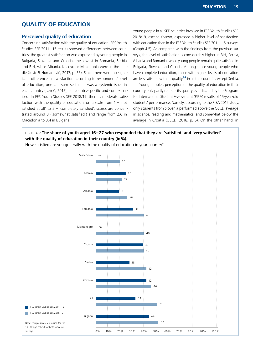# **QUALITY OF EDUCATION**

#### **Perceived quality of education**

Concerning satisfaction with the quality of education, FES Youth Studies SEE 2011 – 15 results showed differences between countries: the greatest satisfaction was expressed by young people in Bulgaria, Slovenia and Croatia, the lowest in Romania, Serbia and BiH, while Albania, Kosovo or Macedonia were in the middle (Jusić & Numanović, 2017, p. 33). Since there were no significant differences in satisfaction according to respondents' level of education, one can surmise that it was a systemic issue in each country (Lavrič, 2015), i.e. country-specific and contextualised. In FES Youth Studies SEE 2018/19, there is moderate satisfaction with the quality of education: on a scale from  $1 - '$ not satisfied at all' to  $5 - 'completely satisfied', scores are concen$ trated around 3 ('somewhat satisfied') and range from 2.6 in Macedonia to 3.4 in Bulgaria.

Young people in all SEE countries involved in FES Youth Studies SEE 2018/19, except Kosovo, expressed a higher level of satisfaction with education than in the FES Youth Studies SEE 2011–15 surveys (Graph 4.5). As compared with the findings from the previous surveys, the level of satisfaction is considerably higher in BiH, Serbia, Albania and Romania, while young people remain quite satisfied in Bulgaria, Slovenia and Croatia. Among those young people who have completed education, those with higher levels of education are less satisfied with its quality $24$  in all the countries except Serbia.

Young people's perception of the quality of education in their country only partly reflects its quality as indicated by the Program for International Student Assessment (PISA) results of 15-year-old students' performance. Namely, according to the PISA 2015 study, only students from Slovenia performed above the OECD average in science, reading and mathematics, and somewhat below the average in Croatia (OECD, 2018, p. 5). On the other hand, in

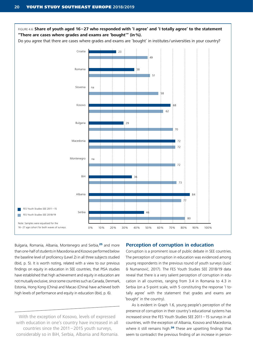

Bulgaria, Romania, Albania, Montenegro and Serbia,<sup>25</sup> and more than one-half of students in Macedonia and Kosovo performed below the baseline level of proficiency (Level 2) in all three subjects studied (Ibid, p. 5). It is worth noting, related with a view to our previous findings on equity in education in SEE countries, that PISA studies have established that high achievement and equity in education are not mutually exclusive, since some countries such as Canada, Denmark, Estonia, Hong Kong (China) and Macao (China) have achieved both high levels of performance and equity in education (Ibid, p. 6).

With the exception of Kosovo, levels of expressed with education in one's country have increased in all countries since the 2011–2015 youth surveys, considerably so in BiH, Serbia, Albania and Romania.

#### **Perception of corruption in education**

Corruption is a prominent issue of public debate in SEE countries. The perception of corruption in education was evidenced among young respondents in the previous round of youth surveys (Jusić & Numanović, 2017). The FES Youth Studies SEE 2018/19 data reveal that there is a very salient perception of corruption in education in all countries, ranging from 3.4 in Romania to 4.3 in Serbia (on a 5-point scale, with 5 constituting the response 'I totally agree' with the statement that grades and exams are 'bought' in the country).

As is evident in Graph 1.6, young people's perception of the presence of corruption in their country's educational systems has increased since the FES Youth Studies SEE 2011–15 surveys in all countries, with the exception of Albania, Kosovo and Macedonia, where it still remains high.<sup>26</sup> These are upsetting findings that seem to contradict the previous finding of an increase in person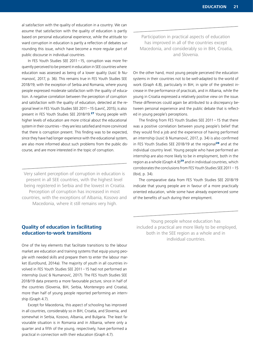al satisfaction with the quality of education in a country. We can assume that satisfaction with the quality of education is partly based on personal educational experience, while the attitude toward corruption in education is partly a reflection of debates surrounding this issue, which have become a more regular part of public discourse in individual countries.

In FES Youth Studies SEE 2011–15, corruption was more frequently perceived to be present in education in SEE countries where education was assessed as being of a lower quality (Jusić & Numanović, 2017, p. 36). This remains true in FES Youth Studies SEE 2018/19, with the exception of Serbia and Romania, where young people expressed moderate satisfaction with the quality of education. A negative correlation between the perception of corruption and satisfaction with the quality of education, detected at the regional level in FES Youth Studies SEE 2011–15 (Lavrič, 2015), is also present in FES Youth Studies SEE 2018/19.<sup>27</sup> Young people with higher levels of education are more critical about the educational system in their countries – they are less satisfied and more convinced that there is corruption present. This finding was to be expected, since they have had longer experience with the educational system, are also more informed about such problems from the public discourse, and are more interested in the topic of corruption.

Very salient perception of corruption in education is present in all SEE countries, with the highest level being registered in Serbia and the lowest in Croatia. Perception of corruption has increased in most countries, with the exceptions of Albania, Kosovo and Macedonia, where it still remains very high.

Participation in practical aspects of education has improved in all of the countries except Macedonia, and considerably so in BiH, Croatia, and Slovenia.

On the other hand, most young people perceived the education systems in their countries not to be well-adapted to the world of work (Graph 4.8), particularly in BiH, in spite of the greatest increase in the performance of practicals, and in Albania, while the young in Croatia expressed a relatively positive view on the issue. These differences could again be attributed to a discrepancy between personal experience and the public debate that is reflected in young people's perceptions.

The finding from FES Youth Studies SEE 2011 – 15 that there was a positive correlation between young people's belief that they would find a job and the experience of having performed an internship (Jusić & Numanović, 2017, p. 34) is also confirmed in FES Youth Studies SEE 2018/19 at the regional<sup>28</sup> and at the individual country level. Young people who have performed an internship are also more likely to be in employment, both in the region as a whole (Graph  $4.9$ )<sup>29</sup> and in individual countries, which corroborates the conclusions from FES Youth Studies SEE 2011 – 15 (Ibid, p. 34).

The comparative data from FES Youth Studies SEE 2018/19 indicate that young people are in favour of a more practically oriented education, while some have already experienced some of the benefits of such during their employment.

### **Quality of education in facilitating education-to-work transitions**

One of the key elements that facilitate transitions to the labour market are education and training systems that equip young people with needed skills and prepare them to enter the labour market (Eurofound, 2014a). The majority of youth in all countries involved in FES Youth Studies SEE 2011–15 had not performed an internship (Jusić & Numanović, 2017). The FES Youth Studies SEE 2018/19 data presents a more favourable picture, since in half of the countries (Slovenia, BiH, Serbia, Montenegro and Croatia), more than half of young people reported performing an internship (Graph 4.7).

Except for Macedonia, this aspect of schooling has improved in all countries, considerably so in BiH, Croatia, and Slovenia, and somewhat in Serbia, Kosovo, Albania, and Bulgaria. The least favourable situation is in Romania and in Albania, where only a quarter and a fifth of the young, respectively, have performed a practical in connection with their education (Graph 4.7).

Young people whose education has included a practical are more likely to be employed, both in the SEE region as a whole and in individual countries.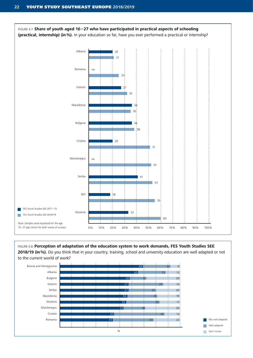

#### FIGURE 4.8: **Perception of adaptation of the education system to work demands, FES Youth Studies SEE**

2018/19 (in %). Do you think that in your country, training, school and university education are well adapted or not to the current world of work?

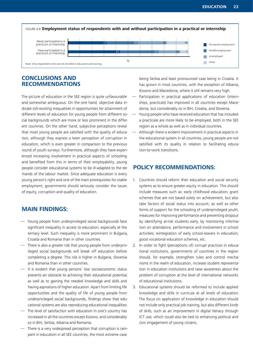

# **CONCLUSIONS AND RECOMMENDATIONS**

The picture of education in the SEE region is quite unfavourable and somewhat ambiguous. On the one hand, objective data indicate still-existing inequalities in opportunities for attainment of different levels of education for young people from different social backgrounds which are more or less prominent in the different countries. On the other hand, subjective perceptions reveal that most young people are satisfied with the quality of education, although they express a keen perception of corruption in education, which is even greater in comparison to the previous round of youth surveys. Furthermore, although they have experienced increasing involvement in practical aspects of schooling and benefited from this in terms of their employability, young people consider educational systems to be ill-adapted to the demands of the labour market. Since adequate education is every young person's right and one of the main prerequisites for stable employment, governments should seriously consider the issues of equity, corruption and quality of education.

# **MAIN FINDINGS:**

- Young people from underprivileged social backgrounds face significant inequality in access to education, especially at the tertiary level. Such inequality is more prominent in Bulgaria, Croatia and Romania than in other countries.
- There is also a greater risk that young people from underprivileged social backgrounds will break off education before completing a degree. This risk is higher in Bulgaria, Slovenia and Romania than in other countries.
- It is evident that young persons' low socioeconomic status presents an obstacle to achieving their educational potential, as well as to gaining the needed knowledge and skills and having aspirations of higher education. Apart from limiting life opportunities and the quality of life of young people from underprivileged social backgrounds, findings show that educational systems are also reproducing educational inequalities.
- The level of satisfaction with education in one's country has increased in all the countries except Kosovo, and considerably so in BiH, Serbia, Albania and Romania.
- There is a very widespread perception that corruption is rampant in education in all SEE countries, the most extreme case

being Serbia and least pronounced case being in Croatia. It has grown in most countries, with the exception of Albania, Kosovo and Macedonia, where it still remains very high.

- Participation in practical applications of education (internships, practicals) has improved in all countries except Macedonia, but considerably so in BiH, Croatia, and Slovenia.
- Young people who have received education that has included a practicale are more likely to be employed, both in the SEE region as a whole as well as in individual countries.
- Although there is evident improvement in practical aspects in the educational system in all countries, young people are not satisfied with its quality in relation to facilitating education-to-work transitions.

# **POLICY RECOMMENDATIONS:**

- 1. Countries should reform their education and social security systems as to ensure greater equity in education. This should include measures such as: early childhood education; grant schemes that are not based solely on achievement, but also take factors of social status into account, as well as other forms of support for the schooling of underprivileged youth; measures for improving performance and preventing dropout by identifying at-risk students early, by monitoring information on attendance, performance and involvement in school activities; reintegration of early school-leavers in education; good vocational education schemes, etc.
- 2. In order to fight (perceptions of) corrupt practices in educational institutions, governments of countries in the region should, for example, strengthen rules and control mechanisms in the realm of education, increase student representation in education institutions and raise awareness about the problem of corruption at the level of international networks of educational institutions.
- 3. Educational systems should be reformed to include applied knowledge and skills in curricula at all levels of education. The focus on application of knowledge in education should not include only practical job training, but also different kinds of skills, such as an improvement in digital literacy through ICT use, which could also be tied to enhancing political and civic engagement of young citizens.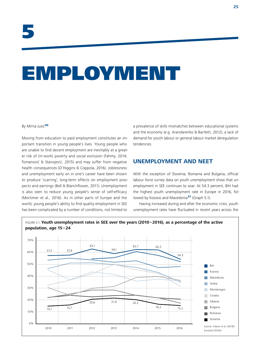# EMPLOYMENT

#### By Mirna Jusić<sup>30</sup>

Moving from education to paid employment constitutes an important transition in young people's lives. Young people who are unable to find decent employment are inevitably at a greater risk of (in-work) poverty and social exclusion (Fahmy, 2014; Tomanović & Stanojević, 2015) and may suffer from negative health consequences (O'Higgins & Coppola, 2016). Joblessness and unemployment early on in one's career have been shown to produce 'scarring', long-term effects on employment prospects and earnings (Bell & Blanchflower, 2011). Unemployment is also seen to reduce young people's sense of self-efficacy (Mortimer et al., 2016). As in other parts of Europe and the world, young people's ability to find quality employment in SEE has been complicated by a number of conditions, not limited to

a prevalence of skills mismatches between educational systems and the economy (e.g. Arandarenko & Bartlett, 2012), a lack of demand for youth labour or general labour market deregulation tendencies.

# **UNEMPLOYMENT AND NEET**

With the exception of Slovenia, Romania and Bulgaria, official labour force survey data on youth unemployment show that unemployment in SEE continues to soar. At 54.3 percent, BiH had the highest youth unemployment rate in Europe in 2016, followed by Kosovo and Macedonia<sup>31</sup> (Graph 5.1).

Having increased during and after the economic crisis, youth unemployment rates have fluctuated in recent years across the

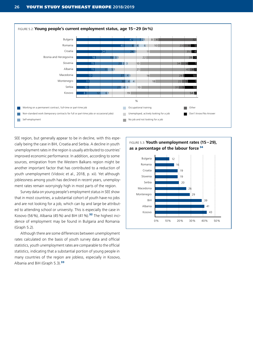

SEE region, but generally appear to be in decline, with this especially being the case in BiH, Croatia and Serbia. A decline in youth unemployment rates in the region is usually attributed to countries' improved economic performance. In addition, according to some sources, emigration from the Western Balkans region might be another important factor that has contributed to a reduction of youth unemployment (Vidovic et al., 2018, p. xii). Yet although joblessness among youth has declined in recent years, unemployment rates remain worryingly high in most parts of the region.

Survey data on young people's employment status in SEE show that in most countries, a substantial cohort of youth have no jobs and are not looking for a job, which can by and large be attributed to attending school or university. This is especially the case in Kosovo (56%), Albania (45%) and BiH (41%).<sup>32</sup> The highest incidence of employment may be found in Bulgaria and Romania (Graph 5.2).

Although there are some differences between unemployment rates calculated on the basis of youth survey data and official statistics, youth unemployment rates are comparable to the official statistics, indicating that a substantial portion of young people in many countries of the region are jobless, especially in Kosovo, Albania and BiH (Graph 5.3).<sup>33</sup>

FIGURE 5.3: **Youth unemployment rates (15–29), as a percentage of the labour force**<sup>34</sup>

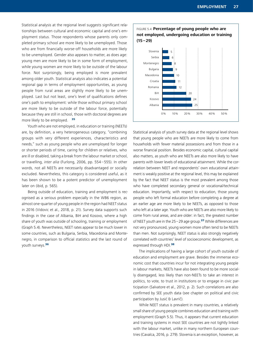Statistical analysis at the regional level suggests significant relationships between cultural and economic capital and one's employment status. Those respondents whose parents only completed primary school are more likely to be unemployed. Those who are from financially worse-off households are more likely to be unemployed. Gender also appears to matter, as does age: young men are more likely to be in some form of employment, while young women are more likely to be outside of the labour force. Not surprisingly, being employed is more prevalent among older youth. Statistical analysis also indicates a potential regional gap in terms of employment opportunities, as young people from rural areas are slightly more likely to be unemployed. Last but not least, one's level of qualifications defines one's path to employment: while those without primary school are more likely to be outside of the labour force, potentially because they are still in school, those with doctoral degrees are more likely to be employed.  $35$ 

Youth who are not employed, in education or training (NEETs) are, by definition, a very heterogeneous category, "combining groups with very different experiences, characteristics and needs," such as young people who are unemployed for longer or shorter periods of time, caring for children or relatives, who are ill or disabled, taking a break from the labour market or school, or travelling, *inter alia* (Furlong, 2006, pp. 554 – 555). In other words, not all NEETs are necessarily disadvantaged or socially excluded. Nevertheless, this category is considered useful, as it has been shown to be a potent predictor of unemployment later on (ibid, p. 565).

Being outside of education, training and employment is recognised as a serious problem especially in the WB6 region, as almost one-quarter of young people in the region had NEET status in 2016 (Vidovic et al., 2018, p. 21). Survey data supports such findings in the case of Albania, BiH and Kosovo, where a high share of youth was outside of schooling, training or employment (Graph 5.4). Nevertheless, NEET rates appear to be much lower in some countries, such as Bulgaria, Serbia, Macedonia and Montenegro, in comparison to official statistics and the last round of youth surveys.<sup>36</sup>



FIGURE 5.4: **Percentage of young people who are**

Statistical analysis of youth survey data at the regional level shows that young people who are NEETs are more likely to come from households with fewer material possessions and from those in a worse financial position. Besides economic capital, cultural capital also matters, as youth who are NEETs are also more likely to have parents with lower levels of educational attainment. While the correlation between NEET and respondents' own educational attainment is weakly positive at the regional level, this may be explained by the fact that NEET status is the most prevalent among those who have completed secondary general or vocational/technical education. Importantly, with respect to education, those young people who left formal education before completing a degree at an earlier age are more likely to be NEETs, as opposed to those who left at a later age. Youth who are NEETs are also more likely to come from rural areas, and are older: in fact, the greatest number of NEET youth are in the  $25-29$  age group.<sup>37</sup> While differences are not very pronounced, young women more often tend to be NEETs than men. Not surprisingly, NEET status is also strongly negatively correlated with countries' level of socioeconomic development, as expressed through HDI<sup>38</sup>

The implications of having a large cohort of youth outside of education and employment are grave. Besides the immense economic cost that countries incur for not integrating young people in labour markets, NEETs have also been found to be more socially disengaged, less likely than non-NEETs to take an interest in politics, to vote, to trust in institutions or to engage in civic participation (Salvatore et al., 2012, p. 2). Such correlations are also confirmed by SEE youth data (see chapter on political and civic participation by Jusić & Lavrič).

While NEET status is prevalent in many countries, a relatively small share of young people combines education and training with employment (Graph 5.5). Thus, it appears that current education and training systems in most SEE countries are not tightly linked with the labour market, unlike in many northern European countries (Cavalca, 2016, p. 279). Slovenia is an exception, however, as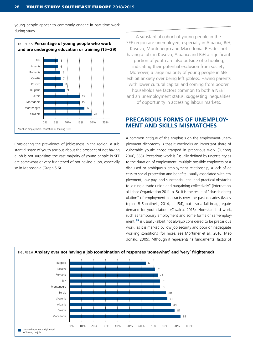young people appear to commonly engage in part-time work during study.



Considering the prevalence of joblessness in the region, a substantial share of youth anxious about the prospect of not having a job is not surprising: the vast majority of young people in SEE are somewhat or very frightened of not having a job, especially so in Macedonia (Graph 5.6).

A substantial cohort of young people in the SEE region are unemployed, especially in Albania, BiH, Kosovo, Montenegro and Macedonia. Besides not having a job, in Kosovo, Albania and BiH a significant portion of youth are also outside of schooling, indicating their potential exclusion from society. Moreover, a large majority of young people in SEE exhibit anxiety over being left jobless. Having parents with lower cultural capital and coming from poorer households are factors common to both a NEET and an unemployment status, suggesting inequalities of opportunity in accessing labour markets.

# **PRECARIOUS FORMS OF UNEMPLOY-MENT AND SKILLS MISMATCHES**

A common critique of the emphasis on the employment-unemployment dichotomy is that it overlooks an important share of vulnerable youth: those trapped in precarious work (Furlong 2006, 565). Precarious work is "usually defined by uncertainty as to the duration of employment, multiple possible employers or a disguised or ambiguous employment relationship, a lack of access to social protection and benefits usually associated with employment, low pay, and substantial legal and practical obstacles to joining a trade union and bargaining collectively" (International Labor Organization 2011, p. 5). It is the result of "drastic deregulation" of employment contracts over the past decades (Maestripieri & Sabatinelli, 2014, p. 154), but also a fall in aggregate demand for youth labour (Cavalca, 2016). Non-standard work, such as temporary employment and some forms of self-employment,<sup>39</sup> is usually (albeit not always) considered to be precarious work, as it is marked by low job security and poor or inadequate working conditions (for more, see Mortimer et al., 2016; Macdonald, 2009). Although it represents "a fundamental factor of

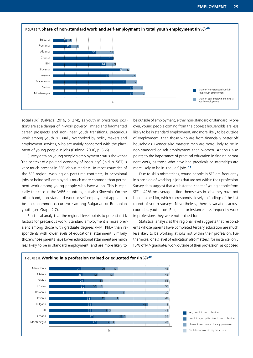

social risk" (Calvaca, 2016, p. 274), as youth in precarious positions are at a danger of in-work poverty, limited and fragmented career prospects and non-linear youth transitions, precarious work among youth is usually overlooked by policy-makers and employment services, who are mainly concerned with the placement of young people in jobs (Furlong, 2006, p. 566).

Survey data on young people's employment status show that "the context of a political economy of insecurity" (ibid, p. 567) is very much present in SEE labour markets. In most countries of the SEE region, working on part-time contracts, in occasional jobs or being self-employed is much more common than permanent work among young people who have a job. This is especially the case in the WB6 countries, but also Slovenia. On the other hand, non-standard work or self-employment appears to be an uncommon occurrence among Bulgarian or Romanian youth (see Graph 2.7).

Statistical analysis at the regional level points to potential risk factors for precarious work. Standard employment is more prevalent among those with graduate degrees (MA, PhD) than respondents with lower levels of educational attainment. Similarly, those whose parents have lower educational attainment are much less likely to be in standard employment, and are more likely to

be outside of employment, either non-standard or standard. Moreover, young people coming from the poorest households are less likely to be in standard employment, and more likely to be outside of employment, than those who are from financially better-off households. Gender also matters: men are more likely to be in non-standard or self-employment than women. Analysis also points to the importance of practical education in finding permanent work, as those who have had practicals or internships are more likely to be in 'regular' jobs.<sup>41</sup>

Due to skills mismatches, young people in SEE are frequently in a position of working in jobs that are not within their profession. Survey data suggest that a substantial share of young people from SEE  $-42$ % on average  $-$  find themselves in jobs they have not been trained for, which corresponds closely to findings of the last round of youth surveys. Nevertheless, there is variation across countries: youth from Bulgaria, for instance, less frequently work in professions they were not trained for.

Statistical analysis at the regional level suggests that respondents whose parents have completed tertiary education are much less likely to be working at jobs not within their profession. Furthermore, one's level of education also matters: for instance, only 16% of MA graduates work outside of their profession, as opposed

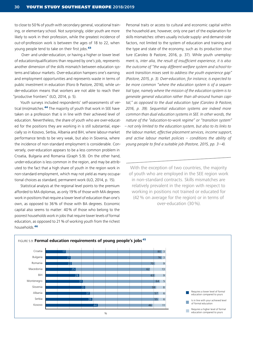to close to 50% of youth with secondary general, vocational training, or elementary school. Not surprisingly, older youth are more likely to work in their profession, while the greatest incidence of out-of-profession work is between the ages of 18 to 22, when young people tend to take on their first jobs.<sup>43</sup>

 Over- and under-education, or having a higher or lower level of education/qualifications than required by one's job, represents another dimension of the skills mismatch between education systems and labour markets. Over-education hampers one's earning and employment opportunities and represents waste in terms of public investment in education (Floro & Pastore, 2016), while under-education means that workers are not able to reach their "productive frontiers" (ILO, 2014, p. 5).

Youth surveys included respondents' self-assessments of vertical (mis)matches.<sup>44</sup> The majority of youth that work in SEE have taken on a profession that is in line with their achieved level of education. Nevertheless, the share of youth who are over-educated for the positions they are working in is still substantial, especially so in Kosovo, Serbia, Albania and BiH, where labour-market performance tends to be very weak, but also in Slovenia, where the incidence of non-standard employment is considerable. Conversely, over-education appears to be a less common problem in Croatia, Bulgaria and Romania (Graph 5.9). On the other hand, under-education is less common in the region, and may be attributed to the fact that a high share of youth in the region work in non-standard employment, which may not yield as many occupational choices as standard, permanent work (ILO, 2014, p. 15).

Statistical analysis at the regional level points to the premium afforded to MA diplomas, as only 19% of those with MA degrees work in positions that require a lower level of education than one's own, as opposed to 36% of those with BA degrees. Economic capital also seems to matter: 40% of those who belong to the poorest households work in jobs that require lower levels of formal education, as opposed to 21% of working youth from the richest households <sup>46</sup>

Personal traits or access to cultural and economic capital within the household are, however, only one part of the explanation for skills mismatches: others usually include supply- and demand-side factors, not limited to the system of education and training and the type and state of the economy, such as its production structure (Caroleo & Pastore, 2016, p. 37). While youth unemployment is, *inter alia, the result of insufficient experience, it is also the outcome of "the way different welfare system and school-towork transition mixes seek to address the youth experience gap" (Pastore, 2015, p. 3). Over-education, for instance, is expected to be more common "where the education system is of a sequential type, namely where the mission of the education system is to generate general education rather than all-around human capital," as opposed to the dual education type (Caroleo & Pastore, 2016, p. 39). Sequential education systems are indeed more common than dual education systems in SEE. In other words, the nature of the "education-to-work regime" or "transition system" – not only limited to the education system, but also to its links to the labour market, effective placement services, income support, and active labour market policies – conditions the ability of young people to find a suitable job (Pastore, 2015, pp. 3–4).* 

With the exception of two countries, the majority of youth who are employed in the SEE region work in non-standard contracts. Skills mismatches are relatively prevalent in the region with respect to working in positions not trained or educated for (42% on average for the region) or in terms of over-education (30%).

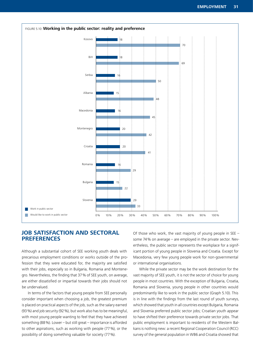

# **JOB SATISFACTION AND SECTORAL PREFERENCES**

Although a substantial cohort of SEE working youth deals with precarious employment conditions or works outside of the profession that they were educated for, the majority are satisfied with their jobs, especially so in Bulgaria, Romania and Montenegro. Nevertheless, the finding that 37% of SEE youth, on average, are either dissatisfied or impartial towards their jobs should not be undervalued.

In terms of the factors that young people from SEE personally consider important when choosing a job, the greatest premium is placed on practical aspects of the job, such as the salary earned (93%) and job security (92%), but work also has to be meaningful, with most young people wanting to feel that they have achieved something (88%). Lower – but still great – importance is afforded to other aspirations, such as working with people (77%), or the possibility of doing something valuable for society (77%).

Of those who work, the vast majority of young people in SEE – some 74% on average – are employed in the private sector. Nevertheless, the public sector represents the workplace for a significant portion of young people in Slovenia and Croatia. Except for Macedonia, very few young people work for non-governmental or international organisations.

While the private sector may be the work destination for the vast majority of SEE youth, it is not the sector of choice for young people in most countries. With the exception of Bulgaria, Croatia, Romania and Slovenia, young people in other countries would predominantly like to work in the public sector (Graph 5.10). This is in line with the findings from the last round of youth surveys, which showed that youth in all countries except Bulgaria, Romania and Slovenia preferred public sector jobs; Croatian youth appear to have shifted their preference towards private sector jobs. That public employment is important to residents of the Western Balkans is nothing new: a recent Regional Cooperation Council (RCC) survey of the general population in WB6 and Croatia showed that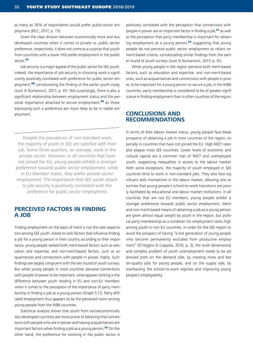as many as 76% of respondents would prefer public-sector employment (RCC, 2017, p. 73).

Given the clear division between economically more and less developed countries when it comes to private vs. public sector preference, respectively, it does not come as a surprise that youth from countries with a lower HDI prefer employment in the public sector.<sup>47</sup>

Job security is a major appeal of the public sector for SEE youth: indeed, the importance of job security in choosing work is significantly positively correlated with preference for public sector employment,<sup>48</sup> corroborating the finding of the earlier youth study (Jusić & Numanović, 2017, p. 41). Not surprisingly, there is also a significant relationship between employment status and the personal importance attached to secure employment,<sup>49</sup> as those expressing such a preference are more likely to be in stable employment.

Despite the prevalence of non-standard work, the majority of youth in SEE are satisfied with their job. Some three-quarters, on average, work in the private sector. However, in all countries that have not joined the EU, young people exhibit a stronger preference towards public sector employment, while in EU Member States, they prefer private sector employment. The importance that SEE youth attach to job security is positively correlated with the preference for public sector employment.

### **PERCEIVED FACTORS IN FINDING A JOB**

Finding employment on the basis of merit is not the sole expectation among SEE youth. Asked to rank factors that influence finding a job for a young person in their country according to their importance, young people ranked both merit-based factors such as education and expertise, and non-merit-based factors, such as acquaintances and connections with people in power, highly. Such findings are largely congruent with the last round of youth surveys. But while young people in most countries perceive connections with people of power to be important, what appears striking is the difference between youth residing in EU and non-EU members when it comes to the perception of the importance of party membership in finding a job as a young person (Graph 5.11). Party-affiliated employment thus appears to be the perceived norm among young people from the WB6 countries.

Statistical analysis shows that youth from socioeconomically less developed countries are more prone to believing that connections with people who are in power and having acquaintances are important factors when finding a job as a young person.<sup>50</sup> On the other hand, the preference for working in the public sector is

positively correlated with the perception that connections with people in power are an important factor in finding a job,<sup>51</sup> as well as the perception that party membership is important for obtaining employment as a young person, $52$  suggesting that young people do not perceive public sector employment as reliant on merit-based criteria, corroborating similar findings from the earlier round of youth surveys (Jusić & Numanović, 2017, p. 41).

While young people in the region perceive both merit-based factors, such as education and expertise, and non-merit-based ones, such as acquaintances and connections with people in power, to be important for a young person to secure a job, in the WB6 countries, party membership is considered to be of greater significance in finding employment than in other countries of the region.

### **CONCLUSIONS AND RECOMMENDATIONS**

In terms of their labour market status, young people face bleak prospects of obtaining a job in most countries of the region, especially in countries that have not joined the EU. High NEET rates also plague most SEE countries. Lower levels of economic and cultural capital are a common trait of NEET and unemployed youth, suggesting inequalities in access to the labour market. With some exceptions, the majority of youth employed in SEE countries tend to work in non-standard jobs. They also face significant skills mismatches in the labour market, allowing one to surmise that young people's school-to-work transitions are poorly facilitated by educational and labour market institutions. In all countries that are not EU members, young people exhibit a stronger preference towards public sector employment. Merit and non-merit-based means of obtaining a job as a young person are given almost equal weight by youth in the region, but political party membership as a condition for employment ranks high among youth in non-EU countries. In order for the SEE region to avoid the prospect of having "a lost generation of young people who become permanently excluded from productive employment" (O'Higgins & Coppola, 2016, p. 3), the multi-dimensional and complex problem of youth unemployment needs to be addressed both on the demand side, by creating more and better-quality jobs for young people, and on the supply side, by overhauling the school-to-work regimes and improving young people's employability.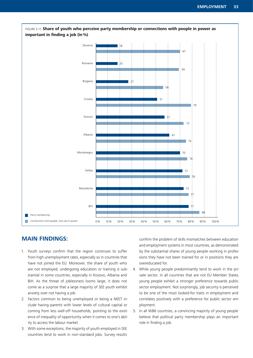

FIGURE 5.11: **Share of youth who perceive party membership or connections with people in power as**

# **MAIN FINDINGS:**

- 1. Youth surveys confirm that the region continues to suffer from high unemployment rates, especially so in countries that have not joined the EU. Moreover, the share of youth who are not employed, undergoing education or training is substantial in some countries, especially in Kosovo, Albania and BiH. As the threat of joblessness looms large, it does not come as a surprise that a large majority of SEE youth exhibit anxiety over not having a job.
- 2. Factors common to being unemployed or being a NEET include having parents with lower levels of cultural capital or coming from less well-off households, pointing to the existence of inequality of opportunity when it comes to one's ability to access the labour market.
- 3. With some exceptions, the majority of youth employed in SEE countries tend to work in non-standard jobs. Survey results

confirm the problem of skills mismatches between education and employment systems in most countries, as demonstrated by the substantial shares of young people working in professions they have not been trained for or in positions they are overeducated for.

- 4. While young people predominantly tend to work in the private sector, in all countries that are not EU Member States, young people exhibit a stronger preference towards public sector employment. Not surprisingly, job security is perceived to be one of the most looked-for traits in employment and correlates positively with a preference for public sector employment.
- 5. In all WB6 countries, a convincing majority of young people believe that political party membership plays an important role in finding a job.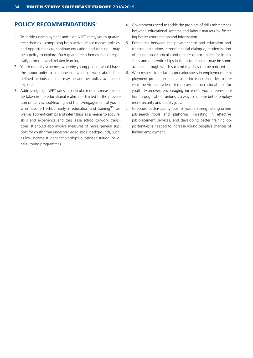# **POLICY RECOMMENDATIONS:**

- 1. To tackle unemployment and high NEET rates, youth guarantee schemes – comprising both active labour market policies and opportunities to continue education and training  $-$  may be a policy to explore. Such guarantee schemes should especially promote work-related learning.
- 2. Youth mobility schemes, whereby young people would have the opportunity to continue education or work abroad for defined periods of time, may be another policy avenue to explore.
- 3. Addressing high NEET rates in particular requires measures to be taken in the educational realm, not limited to the prevention of early school-leaving and the re-engagement of youth who have left school early in education and training<sup>53</sup>; as well as apprenticeships and internships as a means to acquire skills and experience and thus ease school-to-work transitions. It should also involve measures of more general support for youth from underprivileged social backgrounds, such as low income student scholarships, subsidised tuition, or local tutoring programmes.
- 4. Governments need to tackle the problem of skills mismatches between educational systems and labour markets by fostering better coordination and information
- 5. Exchanges between the private sector and education and training institutions, stronger social dialogue, modernisation of educational curricula and greater opportunities for internships and apprenticeships in the private sector may be some avenues through which such mismatches can be reduced.
- 6. With respect to reducing precariousness in employment, employment protection needs to be increased in order to prevent the vicious cycle of temporary and occasional jobs for youth. Moreover, encouraging increased youth representation through labour unions is a way to achieve better employment security and quality jobs.
- 7. To secure better-quality jobs for youth, strengthening online job-search tools and platforms, investing in effective job-placement services, and developing better training opportunities is needed to increase young people's chances of finding employment.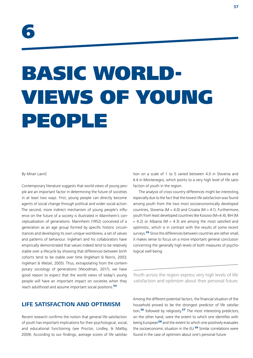## BASIC WORLD-VIEWS OF YOUNG PEOPLE

#### By Miran Lavrič

Contemporary literature suggests that world views of young people are an important factor in determining the future of societies in at least two ways. First, young people can directly become agents of social change through political and wider social action. The second, more indirect mechanism of young people's influence on the future of a society is illustrated in Mannheim's conceptualisation of generations. Mannheim (1952) conceived of a generation as an age group formed by specific historic circumstances and developing its own unique worldview, a set of values and patterns of behaviour. Inglehart and his collaborators have empirically demonstrated that values indeed tend to be relatively stable over a lifecycle by showing that differences between birth cohorts tend to be stable over time (Inglehart & Norris, 2003; Inglehart & Welzel, 2005). Thus, extrapolating from the contemporary sociology of generations (Woodman, 2017), we have good reason to expect that the world views of today's young people will have an important impact on societies when they reach adulthood and assume important social positions.<sup>54</sup>

## **LIFE SATISFACTION AND OPTIMISM**

Recent research confirms the notion that general life satisfaction of youth has important implications for their psychological, social, and educational functioning (see Proctor, Lindley, & Maltby, 2009). According to our findings, average scores of life satisfac-

tion on a scale of 1 to 5 varied between 4.0 in Slovenia and 4.4 in Montenegro, which points to a very high level of life satisfaction of youth in the region.

The analysis of cross-country differences might be interesting, especially due to the fact that the lowest life satisfaction was found among youth from the two most socioeconomically developed countries, Slovenia (M = 4.0) and Croatia (M = 4.1). Furthermore, youth from least developed countries like Kosovo (M=4.4), BiH (M  $= 4.2$ ) or Albania (M  $= 4.3$ ) are among the most satisfied and optimistic, which is in contrast with the results of some recent surveys.<sup>55</sup> Since the differences between countries are rather small, it makes sense to focus on a more important general conclusion concerning the generally high levels of both measures of psychological well-being.

Youth across the region express very high levels of life satisfaction and optimism about their personal future.

Among the different potential factors, the financial situation of the household proved to be the strongest predictor of life satisfaction,<sup>56</sup> followed by religiosity.<sup>57</sup> The most interesting predictors, on the other hand, were the extent to which one identifies with being European<sup>58</sup> and the extent to which one positively evaluates the socioeconomic situation in the EU.<sup>59</sup> Similar correlations were found in the case of optimism about one's personal future.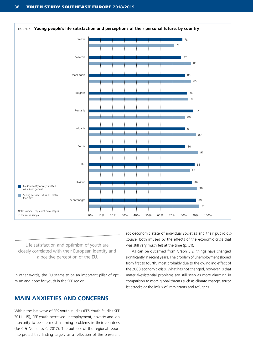

Life satisfaction and optimism of youth are closely correlated with their European identity and a positive perception of the EU.

In other words, the EU seems to be an important pillar of optimism and hope for youth in the SEE region.

## **MAIN ANXIETIES AND CONCERNS**

Within the last wave of FES youth studies (FES Youth Studies SEE 2011–15), SEE youth perceived unemployment, poverty and job insecurity to be the most alarming problems in their countries (Jusić & Numanović, 2017). The authors of the regional report interpreted this finding largely as a reflection of the prevalent

socioeconomic state of individual societies and their public discourse, both infused by the effects of the economic crisis that was still very much felt at the time (p. 51).

As can be discerned from Graph 3.2, things have changed significantly in recent years. The problem of unemployment slipped from first to fourth, most probably due to the dwindling effect of the 2008 economic crisis. What has not changed, however, is that material/existential problems are still seen as more alarming in comparison to more global threats such as climate change, terrorist attacks or the influx of immigrants and refugees*.*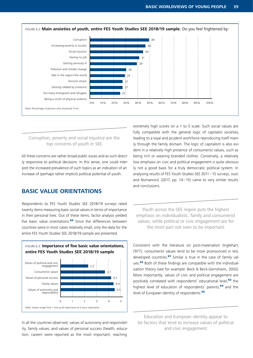

#### Corruption, poverty and social injustice are the top concerns of youth in SEE.

All these concerns are rather broad public issues and as such directly responsive to political decisions. In this sense, one could interpret the increased prevalence of such topics as an indication of an increase of (perhaps rather implicit) political potential of youth.

#### **BASIC VALUE ORIENTATIONS**

Respondents to FES Youth Studies SEE 2018/19 surveys rated twenty items measuring basic social values in terms of importance in their personal lives. Out of these items, factor analysis yielded five basic value orientations.<sup>60</sup> Since the differences between countries were in most cases relatively small, only the data for the entire FES Youth Studies SEE 2018/19 sample are presented.

FIGURE 6.3: **Importance of five basic value orientations,**



In all the countries observed, values of autonomy and responsibility, family values, and values of personal success (health, education, career) were reported as the most important, reaching

extremely high scores on a 1 to 5 scale. Such social values are fully compatible with the general logic of capitalist societies, leading to a loyal and prudent workforce reproducing itself mainly through the family domain. The logic of capitalism is also evident in a relatively high presence of consumerist values, such as being rich or wearing branded clothes. Conversely, a relatively low emphasis on civic and political engagement is quite obviously not a good basis for a truly democratic political system. In analysing results of FES Youth Studies SEE 2011–15 surveys, Jusić and Numanović (2017, pp. 14–15) came to very similar results and conclusions.

Youth across the SEE region puts the highest emphasis on individualistic, family and consumerist values, while political or civic engagement are for the most part not seen to be important.

Consistent with the literature on post-materialism (Inglehart, 1977), consumerist values tend to be more pronounced in less developed countries.<sup>61</sup> Similar is true in the case of family values.<sup>62</sup> Both of these findings are compatible with the individualisation theory (see for example: Beck & Beck-Gernsheim, 2002). More importantly, values of civic and political engagement are positively correlated with respondents' educational level,<sup>63</sup> the highest level of education of respondents' parents,<sup>64</sup> and the level of European identity of respondents.<sup>65</sup>

Education and European identity appear to be factors that tend to increase values of political and civic engagement.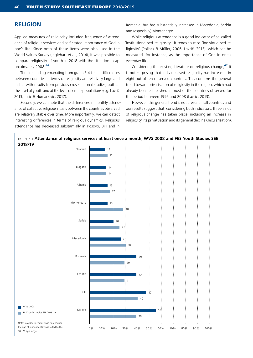#### **RELIGION**

Applied measures of religiosity included frequency of attendance of religious services and self-stated importance of God in one's life. Since both of these items were also used in the World Values Survey (Inglehart et al., 2014), it was possible to compare religiosity of youth in 2018 with the situation in approximately 2008.<sup>66</sup>

The first finding emanating from graph 3.4 is that differences between countries in terms of religiosity are relatively large and in line with results from previous cross-national studies, both at the level of youth and at the level of entire populations (e.g. Lavrič, 2013; Jusić & Numanović, 2017).

Secondly, we can note that the differences in monthly attendance of collective religious rituals between the countries observed are relatively stable over time. More importantly, we can detect interesting differences in terms of religious dynamics. Religious attendance has decreased substantially in Kosovo, BiH and in

Romania, but has substantially increased in Macedonia, Serbia and (especially) Montenegro.

While religious attendance is a good indicator of so-called 'institutionalised religiosity,' it tends to miss 'individualised religiosity' (Pollack & Müller, 2006; Lavrič, 2013), which can be measured, for instance, as the importance of God in one's everyday life.

Considering the existing literature on religious change,<sup>67</sup> it is not surprising that individualised religiosity has increased in eight out of ten observed countries. This confirms the general trend toward privatisation of religiosity in the region, which had already been established in most of the countries observed for the period between 1995 and 2008 (Lavrič, 2013).

However, this general trend is not present in all countries and our results suggest that, considering both indicators, three kinds of religious change has taken place, including an increase in religiosity, its privatisation and its general decline (secularisation).

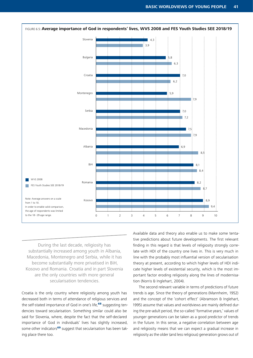

During the last decade, religiosity has substantially increased among youth in Albania, Macedonia, Montenegro and Serbia, while it has become substantially more privatised in BiH, Kosovo and Romania. Croatia and in part Slovenia are the only countries with more general secularisation tendencies.

Croatia is the only country where religiosity among youth has decreased both in terms of attendance of religious services and the self-stated importance of God in one's life,<sup>68</sup> suggesting tendencies toward secularisation. Something similar could also be said for Slovenia, where, despite the fact that the self-declared importance of God in individuals' lives has slightly increased, some other indicators<sup>69</sup> suggest that secularisation has been taking place there too.

Available data and theory also enable us to make some tentative predictions about future developments. The first relevant finding in this regard is that levels of religiosity strongly correlate with HDI of the country one lives in. This is very much in line with the probably most influential version of secularisation theory at present, according to which higher levels of HDI indicate higher levels of existential security, which is the most important factor eroding religiosity along the lines of modernisation (Norris & Inglehart, 2004).

The second relevant variable in terms of predictions of future trends is age. Since the theory of generations (Mannheim, 1952) and the concept of the 'cohort effect' (Abramson & Inglehart, 1995) assume that values and worldviews are mainly defined during the pre-adult period, the so-called 'formative years,' values of younger generations can be taken as a good predictor of trends in the future. In this sense, a negative correlation between age and religiosity means that we can expect a gradual increase in religiosity as the older (and less religious) generation grows out of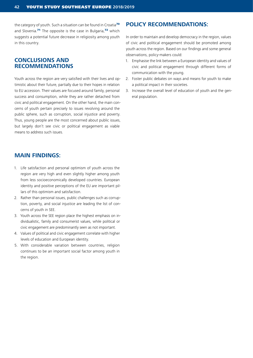the category of youth. Such a situation can be found in Croatia<sup>70</sup> and Slovenia.<sup>71</sup> The opposite is the case in Bulgaria.<sup>72</sup> which suggests a potential future decrease in religiosity among youth in this country.

#### **CONCLUSIONS AND RECOMMENDATIONS**

Youth across the region are very satisfied with their lives and optimistic about their future, partially due to their hopes in relation to EU accession. Their values are focused around family, personal success and consumption, while they are rather detached from civic and political engagement. On the other hand, the main concerns of youth pertain precisely to issues revolving around the public sphere, such as corruption, social injustice and poverty. Thus, young people are the most concerned about public issues, but largely don't see civic or political engagement as viable means to address such issues.

#### **MAIN FINDINGS:**

- 1. Life satisfaction and personal optimism of youth across the region are very high and even slightly higher among youth from less socioeconomically developed countries. European identity and positive perceptions of the EU are important pillars of this optimism and satisfaction.
- 2. Rather than personal issues, public challenges such as corruption, poverty, and social injustice are leading the list of concerns of youth in SEE.
- 3. Youth across the SEE region place the highest emphasis on individualistic, family and consumerist values, while political or civic engagement are predominantly seen as not important.
- 4. Values of political and civic engagement correlate with higher levels of education and European identity.
- 5. With considerable variation between countries, religion continues to be an important social factor among youth in the region.

## **POLICY RECOMMENDATIONS:**

In order to maintain and develop democracy in the region, values of civic and political engagement should be promoted among youth across the region. Based on our findings and some general observations, policy-makers could:

- 1. Emphasise the link between a European identity and values of civic and political engagement through different forms of communication with the young.
- 2. Foster public debates on ways and means for youth to make a political impact in their societies.
- 3. Increase the overall level of education of youth and the general population.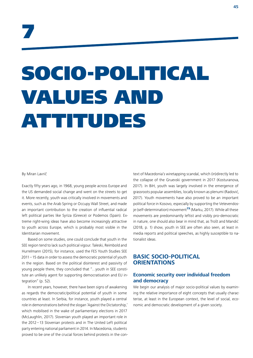## SOCIO-POLITICAL VALUES AND ATTITUDES

#### By Miran Lavrič

Exactly fifty years ago, in 1968, young people across Europe and the US demanded social change and went on the streets to get it. More recently, youth was critically involved in movements and events, such as the Arab Spring or Occupy Wall Street, and made an important contribution to the creation of influential radical left political parties like Syriza (Greece) or Podemos (Spain). Extreme right-wing ideas have also become increasingly attractive to youth across Europe, which is probably most visible in the Identitarian movement.

Based on some studies, one could conclude that youth in the SEE region tend to lack such political vigour. Taleski, Reimbold and Hurrelmann (2015), for instance, used the FES Youth Studies SEE 2011–15 data in order to assess the democratic potential of youth in the region. Based on the political disinterest and passivity of young people there, they concluded that "…youth in SEE constitute an unlikely agent for supporting democratisation and EU integration" (p. 52).

In recent years, however, there have been signs of awakening as regards the democratic/political potential of youth in some countries at least. In Serbia, for instance, youth played a central role in demonstrations behind the slogan 'Against the Dictatorship,' which mobilised in the wake of parliamentary elections in 2017 (McLaughlin, 2017). Slovenian youth played an important role in the 2012–13 Slovenian protests and in The United Left political party entering national parliament in 2014. In Macedonia, students proved to be one of the crucial forces behind protests in the con-

text of Macedonia's wiretapping scandal, which (in)directly led to the collapse of the Gruevski government in 2017 (Kosturanova, 2017). In BiH, youth was largely involved in the emergence of grassroots popular assemblies, locally known as plenumi (Radović, 2017). Youth movements have also proved to be an important political force in Kosovo, especially by supporting the Vetevendosje (self-determination) movement<sup>73</sup> (Marku, 2017). While all these movements are predominantly leftist and visibly pro-democratic in nature, one should also bear in mind that, as Trošt and Mandić (2018, p. 1) show, youth in SEE are often also seen, at least in media reports and political speeches, as highly susceptible to nationalist ideas.

## **BASIC SOCIO-POLITICAL ORIENTATIONS**

#### **Economic security over individual freedom and democracy**

We begin our analysis of major socio-political values by examining the relative importance of eight concepts that usually characterise, at least in the European context, the level of social, economic and democratic development of a given society.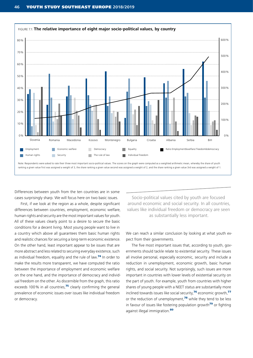

Differences between youth from the ten countries are in some cases surprisingly sharp. We will focus here on two basic issues.

First, if we look at the region as a whole, despite significant differences between countries, employment, economic welfare, human rights and security are the most important values for youth. All of these values clearly point to a desire to secure the basic conditions for a decent living. Most young people want to live in a country which above all guarantees them basic human rights and realistic chances for securing a long-term economic existence. On the other hand, least important appear to be issues that are more abstract and less related to securing everyday existence, such as individual freedom, equality and the rule of law.<sup>74</sup> In order to make the results more transparent, we have computed the ratio between the importance of employment and economic welfare on the one hand, and the importance of democracy and individual freedom on the other. As discernible from the graph, this ratio exceeds 100% in all countries, $75$  clearly confirming the general prevalence of economic issues over issues like individual freedom or democracy.

Socio-political values cited by youth are focused around economic and social security. In all countries, values like individual freedom or democracy are seen as substantially less important.

We can reach a similar conclusion by looking at what youth expect from their governments.

The five most important issues that, according to youth, governments should tackle relate to existential security. These issues all involve personal, especially economic, security and include a reduction in unemployment, economic growth, basic human rights, and social security. Not surprisingly, such issues are more important in countries with lower levels of existential security on the part of youth. For example, youth from countries with higher shares of young people with a NEET status are substantially more inclined towards issues like social security,<sup>76</sup> economic growth,<sup>77</sup> or the reduction of unemployment, $78$  while they tend to be less in favour of issues like fostering population growth $\frac{79}{1}$  or fighting against illegal immigration.<sup>80</sup>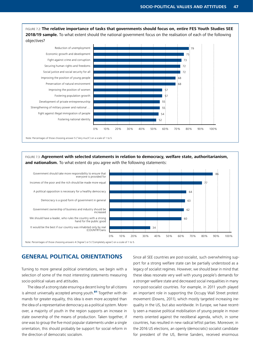FIGURE 7.2: **The relative importance of tasks that governments should focus on, entire FES Youth Studies SEE 2018/19 sample.** To what extent should the national government focus on the realisation of each of the following objectives?



FIGURE 7.3: **Agreement with selected statements in relation to democracy, welfare state, authoritarianism, and nationalism.** To what extent do you agree with the following statements:



#### **GENERAL POLITICAL ORIENTATIONS**

Turning to more general political orientations, we begin with a selection of some of the most interesting statements measuring socio-political values and attitudes.

The idea of a strong state ensuring a decent living for all citizens is almost universally accepted among youth.<sup>81</sup> Together with demands for greater equality, this idea is even more accepted than the idea of a representative democracy as a political system. Moreover, a majority of youth in the region supports an increase in state ownership of the means of production. Taken together, if one was to group the five most popular statements under a single orientation, this should probably be support for social reform in the direction of democratic socialism.

Since all SEE countries are post-socialist, such overwhelming support for a strong welfare state can be partially understood as a legacy of socialist regimes. However, we should bear in mind that these ideas resonate very well with young people's demands for a stronger welfare state and decreased social inequalities in many non-post-socialist countries. For example, in 2011 youth played an important role in supporting the Occupy Wall Street protest movement (Downs, 2011), which mostly targeted increasing inequality in the US, but also worldwide. In Europe, we have recently seen a massive political mobilisation of young people in movements oriented against the neoliberal agenda, which, in some countries, has resulted in new radical leftist parties. Moreover, in the 2016 US elections, an openly (democratic) socialist candidate for president of the US, Bernie Sanders, received enormous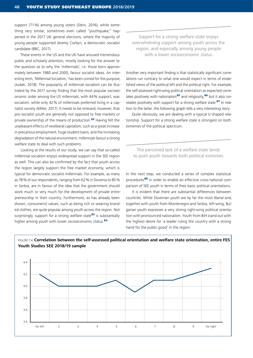support (71%) among young voters (Stein, 2016), while something very similar, sometimes even called "vouthquake," happened in the 2017 UK general elections, where the majority of young people supported Jeremy Corbyn, a democratic socialist candidate (BBC, 2017).

These events in the US and the UK have aroused tremendous public and scholarly attention, mostly looking for the answer to the question as to why the 'millennials', i.e. those born approximately between 1980 and 2000, favour socialist ideas. An interesting term, 'Millennial Socialism,' has been coined for this purpose, (Judah, 2018). The popularity of millennial socialism can be illustrated by the 2017 survey finding that the most popular socioeconomic order among the US millennials, with 44% support, was socialism, while only 42% of millennials preferred living in a capitalist society (Miller, 2017). It needs to be stressed, however, that pro-socialist youth are generally not opposed to free markets or private ownership of the means of production.<sup>82</sup> Having felt the unpleasant effects of neoliberal capitalism, such as a great increase in precarious employment, huge student loans, and the increasing degradation of the natural environment, millennials favour a strong welfare state to deal with such problems.

Looking at the results of our study, we can say that so-called millennial socialism enjoys widespread support in the SEE region as well. This can also be confirmed by the fact that youth across the region largely support the free market economy, which is typical for democratic socialist millennials. For example, as many as 78% of our respondents, ranging from 62% in Slovenia to 85% in Serbia, are in favour of the idea that the government should work much or very much for the development of private entrepreneurship in their country. Furthermore, as has already been shown, consumerist values, such as being rich or wearing branded clothes, are quite popular among youth across the region. Not surprisingly, support for a strong welfare state $^{83}$  is substantially higher among youth with lower socioeconomic status.<sup>84</sup>

Support for a strong welfare state enjoys overwhelming support among youth across the region, and especially among young people with a lower socioeconomic status.

Another very important finding is that statistically significant correlations run contrary to what one would expect in terms of established views of the political left and the political right. For example, the self-assessed right-wing political orientation as expected correlates positively with nationalism<sup>85</sup> and religiosity,<sup>86</sup> but it also correlates positively with support for a strong welfare state.<sup>87</sup> In relation to the latter, the following graph tells a very interesting story.

Quite obviously, we are dealing with a typical U-shaped relationship. Support for a strong welfare state is strongest on both extremes of the political spectrum.

The perceived lack of a welfare state tends to push youth towards both political extremes.

In the next step, we conducted a series of complex statistical procedures<sup>88</sup> in order to enable an effective cross-national comparison of SEE youth in terms of their basic political orientations.

It is evident that there are substantial differences between countries. While Slovenian youth are by far the most liberal and, together with youth from Montenegro and Serbia, left-wing, Bulgarian youth expresses a very strong right-wing political orientation with pronounced nationalism. Youth from BiH stand out with the highest desire for 'a leader ruling the country with a strong hand for the public good' in the region.



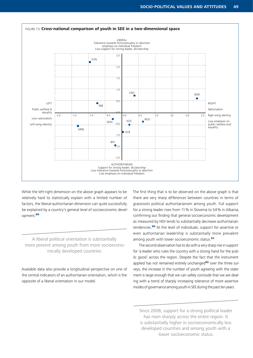

While the left-right dimension on the above graph appears to be relatively hard to statistically explain with a limited number of factors, the liberal-authoritarian dimension can quite successfully be explained by a country's general level of socioeconomic development.<sup>89</sup>

A liberal political orientation is substantially more present among youth from more socioeconomically developed countries.

Available data also provide a longitudinal perspective on one of the central indicators of an authoritarian orientation, which is the opposite of a liberal orientation in our model.

The first thing that is to be observed on the above graph is that there are very sharp differences between countries in terms of grassroots political authoritarianism among youth. Full support for a strong leader rises from 11% in Slovenia to 54% in Albania, confirming our finding that general socioeconomic development as measured by HDI tends to substantially decrease authoritarian tendencies.<sup>90</sup> At the level of individuals, support for assertive or even authoritarian leadership is substantially more prevalent among youth with lower socioeconomic status.<sup>91</sup>

The second observation has to do with a very sharp rise in support for 'a leader who rules the country with a strong hand for the public good' across the region. Despite the fact that the instrument applied has not remained entirely unchanged<sup>92</sup> over the three surveys, the increase in the number of youth agreeing with the statement is large enough that we can safely conclude that we are dealing with a trend of sharply increasing tolerance of more assertive modes of governance among youth in SEE during the past ten years.

Since 2008, support for a strong political leader has risen sharply across the entire region. It is substantially higher in socioeconomically less developed countries and among youth with a lower socioeconomic status.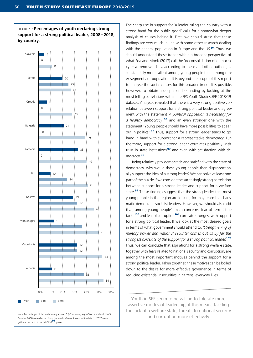FIGURE 7.6: **Percentages of youth declaring strong support for a strong political leader, 2008–2018, by country.**



Note: Percentages of those choosing answer 5 ('Completely agree') on a scale of 1 to 5. Data for 2008 were derived from the World Values Survey, while data for 2017 were gathered as part of the INFORM<sup>93</sup> project

The sharp rise in support for 'a leader ruling the country with a strong hand for the public good' calls for a somewhat deeper analysis of causes behind it. First, we should stress that these findings are very much in line with some other research dealing with the general population in Europe and the US.<sup>94</sup> Thus, we should understand these trends within a broader perspective of what Foa and Monk (2017) call the 'deconsolidation of democra $cy'$  – a trend which is, according to these and other authors, is substantially more salient among young people than among other segments of population. It is beyond the scope of this report to analyse the social causes for this broader trend. It is possible, however, to obtain a deeper understanding by looking at the most telling correlations within the FES Youth Studies SEE 2018/19 dataset. Analyses revealed that there is a very strong positive correlation between support for a strong political leader and agreement with the statement *'A political opposition is necessary for a healthy democracy'* <sup>95</sup> and an even stronger one with the statement 'Young people should have more possibilities to speak out in politics.<sup>'96</sup> Thus, support for a strong leader tends to go hand in hand with support for a representative democracy. Furthermore, support for a strong leader correlates positively with trust in state institutions<sup>97</sup> and even with satisfaction with democracy.<sup>98</sup>

Being relatively pro-democratic and satisfied with the state of democracy, why would these young people then disproportionally support the idea of a strong leader? We can solve at least one part of the puzzle if we consider the surprisingly strong correlation between support for a strong leader and support for a welfare state.<sup>99</sup> These findings suggest that the strong leader that most young people in the region are looking for may resemble charismatic democratic socialist leaders. However, we should also add that, among young people's main concerns, fear of terrorist attacks<sup>100</sup> and fear of corruption<sup>101</sup> correlate strongest with support for a strong political leader. If we look at the most desired goals in terms of what government should attend to, *'Strengthening of military power and national security' comes out as by far the strongest correlate of the support for a strong political leader.*<sup>102</sup> Thus, we can conclude that aspirations for a strong welfare state, together with fears related to national security and corruption, are among the most important motives behind the support for a strong political leader. Taken together, these motives can be boiled down to the desire for more effective governance in terms of reducing existential insecurities in citizens' everyday lives.

Youth in SEE seem to be willing to tolerate more assertive modes of leadership, if this means tackling the lack of a welfare state, threats to national security, and corruption more effectively.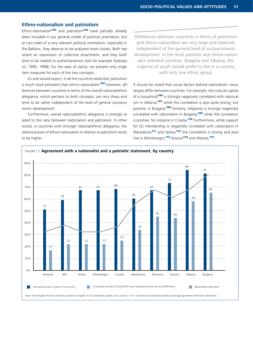#### **Ethno-nationalism and patriotism**

Ethno-nationalism<sup>103</sup> and patriotism<sup>104</sup> have partially already been included in our general model of political orientation, but as two sides of a very relevant political orientation, especially in the Balkans, they deserve to be analysed more closely. Both represent an expression of collective attachment, and they both tend to be related to authoritarianism (See for example Todosijević, 1995, 1998). For the sake of clarity, we present only single item measures for each of the two concepts.

As one would expect, in all the countries observed, patriotism is much more prevalent than ethno-nationalism.<sup>105</sup> However, differences between countries in terms of the overall national/ethnic allegiance, which pertains to both concepts, are very sharp and tend to be rather independent of the level of general socioeconomic development.

Furthermore, overall national/ethnic allegiance is strongly related to the ratio between nationalism and patriotism. In other words, in countries with stronger national/ethnic allegiance, the relative power of ethno-nationalism in relation to patriotism tends to be higher.

Differences between countries in terms of patriotism and ethno-nationalism are very large and relatively independent of the general level of socioeconomic development. In the most patriotic and ethno-nationalist oriented countries, Bulgaria and Albania, the majority of youth would prefer to live in a country with only one ethnic group.

It should be noted that social factors behind nationalistic views largely differ between countries. For example, the cultural capital of a household<sup>106</sup> is strongly negatively correlated with nationalism in Albania,<sup>107</sup> while this correlation is also quite strong, but positive, in Bulgaria.<sup>108</sup> Similarly, religiosity is strongly negatively correlated with nationalism in Bulgaria,<sup>109</sup> while the correlation is positive, for instance in Croatia.<sup>110</sup> Furthermore, while support for EU membership is negatively correlated with nationalism in Macedonia<sup>111</sup> and Serbia,<sup>112</sup> the correlation is strong and positive in Montenegro.<sup>113</sup> Kosovo<sup>114</sup> and Albania.<sup>115</sup>

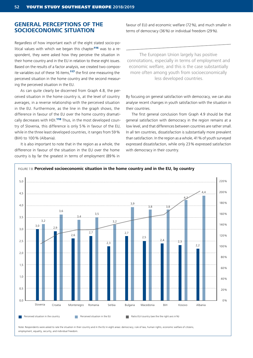#### **GENERAL PERCEPTIONS OF THE SOCIOECONOMIC SITUATION**

Regardless of how important each of the eight stated socio-political values with which we began this chapter<sup>116</sup> was to a respondent, they were asked how they perceive the situation in their home country and in the EU in relation to these eight issues. Based on the results of a factor analysis, we created two composite variables out of these 16 items.<sup>117</sup> the first one measuring the perceived situation in the home country and the second measuring the perceived situation in the EU.

As can quite clearly be discerned from Graph 4.8, the perceived situation in the home country is, at the level of country averages, in a reverse relationship with the perceived situation in the EU. Furthermore, as the line in the graph shows, the difference in favour of the EU over the home country dramatically decreases with HDI.<sup>118</sup> Thus, in the most developed country of Slovenia, this difference is only 5 % in favour of the EU, while in the three least developed countries, it ranges from 59 % (BiH) to 100 % (Albania).

It is also important to note that in the region as a whole, the difference in favour of the situation in the EU over the home country is by far the greatest in terms of employment (89% in favour of EU) and economic welfare (72%), and much smaller in terms of democracy (36%) or individual freedom (29%).

The European Union largely has positive connotations, especially in terms of employment and economic welfare, and this is the case substantially more often among youth from socioeconomically less developed countries.

By focusing on general satisfaction with democracy, we can also analyse recent changes in youth satisfaction with the situation in their countries.

The first general conclusion from Graph 4.9 should be that general satisfaction with democracy in the region remains at a low level, and that differences between countries are rather small. In all ten countries, dissatisfaction is substantially more prevalent than satisfaction. In the region as a whole, 41% of youth surveyed expressed dissatisfaction, while only 23% expressed satisfaction with democracy in their country.



Note: Respondents were asked to rate the situation in their country and in the EU in eight areas: democracy, rule of law, human rights, economic welfare of citizens, employment, equality, security, and individual freedom.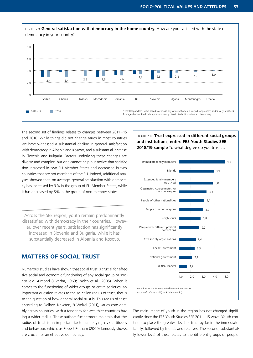

The second set of findings relates to changes between 2011–15 and 2018. While things did not change much in most countries, we have witnessed a substantial decline in general satisfaction with democracy in Albania and Kosovo, and a substantial increase in Slovenia and Bulgaria. Factors underlying these changes are diverse and complex, but one cannot help but notice that satisfaction increased in two EU Member States and decreased in two countries that are not members of the EU. Indeed, additional analyses showed that, on average, general satisfaction with democracy has increased by 9% in the group of EU Member States, while it has decreased by 6% in the group of non-member states.

Across the SEE region, youth remain predominantly dissatisfied with democracy in their countries. However, over recent years, satisfaction has significantly increased in Slovenia and Bulgaria, while it has substantially decreased in Albania and Kosovo.

#### **MATTERS OF SOCIAL TRUST**

Numerous studies have shown that social trust is crucial for effective social and economic functioning of any social group or society (e.g. Almond & Verba, 1963; Welch et al., 2005). When it comes to the functioning of wider groups or entire societies, an important question relates to the so-called radius of trust, that is, to the question of how general social trust is. This radius of trust, according to Delhey, Newton, & Welzel (2011), varies considerably across countries, with a tendency for wealthier countries having a wider radius. These authors furthermore maintain that the radius of trust is an important factor underlying civic attitudes and behaviour, which, as Robert Putnam (2000) famously shows, are crucial for an effective democracy.

#### FIGURE 7.10: **Trust expressed in different social groups and institutions, entire FES Youth Studies SEE 2018/19 sample** To what degree do you trust …



The main image of youth in the region has not changed significantly since the FES Youth Studies SEE 2011–15 wave. Youth continue to place the greatest level of trust by far in the immediate family, followed by friends and relatives. The second, substantially lower level of trust relates to the different groups of people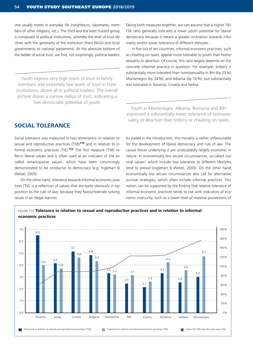one usually meets in everyday life (neighbours, classmates, members of other religions, etc.). The third and the least trusted group is composed of political institutions, whereby the level of trust declines with the generality of the institution (from NGOs and local governments to national parliament). At the absolute bottom of the ladder of social trust, we find, not surprisingly, political leaders.

Youth express very high levels of trust in family members and extremely low levels of trust in state institutions, above all in political leaders. The overall picture shows a narrow radius of trust, indicating a low democratic potential of youth.

**SOCIAL TOLERANCE**

Social tolerance was measured in two dimensions: in relation to sexual and reproductive practices (TSR)<sup>119</sup> and in relation to informal economic practices (TIE).<sup>120</sup> The first measure (TSR) reflects liberal values and is often used as an indicator of the socalled 'emancipative values', which have been convincingly demonstrated to be conducive to democracy (e.g. Inglehart & Welzel, 2005).

On the other hand, tolerance towards informal economic practices (TIE) is a reflection of values that are quite obviously in opposition to the rule of law, because they favour/tolerate solving issues in an illegal manner.

Taking both measures together, we can assume that a higher TIE/ TSR ratio generally indicates a lower youth potential for liberal democracy because it means a greater inclination towards informality and/or lower tolerance of different lifestyles.

In five out of ten countries, informal economic practices, such as cheating on taxes, appear more tolerable to youth than homosexuality or abortion. Of course, this ratio largely depends on the concrete informal practice in question. For example, bribery is substantially more tolerated than homosexuality in BiH (by 25%), Montenegro (by 24%), and Albania (by 10%), but substantially less tolerated in Slovenia, Croatia and Serbia.

Youth in Montenegro, Albania, Romania and BiH expressed a substantially lower tolerance of homosexuality or abortion than bribery or cheating on taxes.

As stated in the introduction, this morality is rather unfavourable for the development of liberal democracy and rule of law. The causal forces underlying it are undoubtedly largely economic in nature. In economically less secure circumstances, so-called 'survival values', which include low tolerance to different lifestyles, tend to prevail (Inglehart & Welzel, 2005). On the other hand, economically less secure circumstances also call for alternative survival strategies, which often include informal practices. This notion can be supported by the finding that relative tolerance of informal economic practices tends to rise with indicators of economic insecurity, such as a lower level of material possessions of

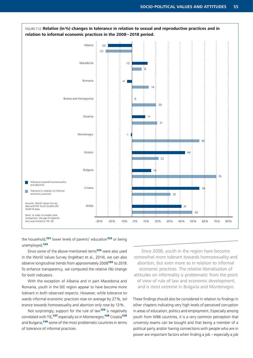

the household,<sup>121</sup> lower levels of parents' education<sup>122</sup> or being unemployed.<sup>123</sup>

Since some of the above-mentioned items<sup>124</sup> were also used in the World Values Survey (Inglehart et al., 2014), we can also observe longitudinal trends from approximately 2008<sup>125</sup> to 2018. To enhance transparency, we computed the relative (%) change for both indicators.

With the exception of Albania and in part Macedonia and Romania, youth in the SEE region appear to have become more tolerant in both observed respects. However, while tolerance towards informal economic practices rose on average by 27%, tolerance towards homosexuality and abortion only rose by 13%.

Not surprisingly, support for the rule of law<sup>126</sup> is negatively correlated with TIE,<sup>127</sup> especially so in Montenegro,<sup>128</sup> Croatia<sup>129</sup> and Bulgaria,<sup>130</sup> some of the most problematic countries in terms of tolerance of informal practices.

Since 2008, youth in the region have become somewhat more tolerant towards homosexuality and abortion, but even more so in relation to informal economic practices. The relative liberalisation of attitudes on informality is problematic from the point of view of rule of law and economic development, and is most extreme in Bulgaria and Montenegro.

These findings should also be considered in relation to findings in other chapters indicating very high levels of perceived corruption in areas of education, politics and employment. Especially among youth from WB6 countries, it is a very common perception that university exams can be bought and that being a member of a political party and/or having connections with people who are in power are important factors when finding a job – especially a job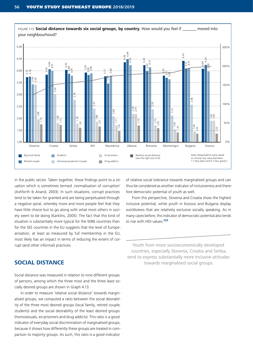

in the public sector. Taken together, these findings point to a situation which is sometimes termed , normalisation of corruption' (Ashforth & Anand, 2003). In such situations, corrupt practices tend to be taken for granted and are being perpetuated through a negative spiral, whereby more and more people feel that they have little choice but to go along with what most others in society seem to be doing (Karklins, 2005). The fact that this kind of situation is substantially more typical for the WB6 countries than for the SEE countries in the EU suggests that the level of Europeanisation, at least as measured by full membership in the EU, most likely has an impact in terms of reducing the extent of corrupt (and other informal) practices.

#### **SOCIAL DISTANCE**

Social distance was measured in relation to nine different groups of persons, among which the three most and the three least socially desired groups are shown in Graph 4.13.

In order to measure 'relative social distance' towards marginalised groups, we computed a ratio between the social desirability of the three most desired groups (local family, retired couple, students) and the social desirability of the least desired groups (homosexuals, ex-prisoners and drug addicts). This ratio is a good indicator of everyday social discrimination of marginalised groups, because it shows how differently these groups are treated in comparison to majority groups. As such, this ratio is a good indicator

of relative social tolerance towards marginalised groups and can thus be considered as another indicator of inclusiveness and therefore democratic potential of youth as well.

From this perspective, Slovenia and Croatia show the highest inclusive potential, while youth in Kosovo and Bulgaria display worldviews that are relatively exclusive socially speaking. As in many cases before, this indicator of democratic potential also tends to rise with HDI values.<sup>131</sup>

Youth from more socioeconomically developed countries, especially Slovenia, Croatia and Serbia, tend to express substantially more inclusive attitudes towards marginalised social groups.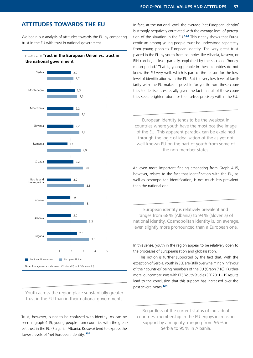## **ATTITUDES TOWARDS THE EU**

We begin our analysis of attitudes towards the EU by comparing trust in the EU with trust in national government.



Youth across the region place substantially greater trust in the EU than in their national governments.

Trust, however, is not to be confused with identity. As can be seen in graph 4.15, young people from countries with the greatest trust in the EU (Bulgaria, Albania, Kosovo) tend to express the lowest levels of 'net European identity.<sup>132</sup>

In fact, at the national level, the average 'net European identity' is strongly negatively correlated with the average level of perception of the situation in the EU.<sup>133</sup> This clearly shows that Euroscepticism among young people must be understood separately from young people's European identity. The very great trust placed in the EU by youth from countries like Albania, Kosovo, or BiH can be, at least partially, explained by the so-called 'honeymoon period.' That is, young people in these countries do not know the EU very well, which is part of the reason for the low level of identification with the EU. But the very low level of familiarity with the EU makes it possible for youth from these countries to idealise it, especially given the fact that all of these countries see a brighter future for themselves precisely within the EU.

European identity tends to be the weakest in countries where youth have the most positive image of the EU. This apparent paradox can be explained through the logic of idealisation of the as-yet not well-known EU on the part of youth from some of the non-member states.

An even more important finding emanating from Graph 4.15, however, relates to the fact that identification with the EU, as well as cosmopolitan identification, is not much less prevalent than the national one.

European identity is relatively prevalent and ranges from 68% (Albania) to 94% (Slovenia) of national identity. Cosmopolitan identity is, on average, even slightly more pronounced than a European one.

In this sense, youth in the region appear to be relatively open to the processes of Europeanisation and globalisation.

This notion is further supported by the fact that, with the exception of Serbia, youth in SEE are (still) overwhelmingly in favour of their countries' being members of the EU (Graph 7.16). Furthermore, our comparisons with FES Youth Studies SEE 2011–15 results lead to the conclusion that this support has increased over the past several years.<sup>134</sup>

Regardless of the current status of individual countries, membership in the EU enjoys increasing support by a majority, ranging from 56% in Serbia to 95% in Albania.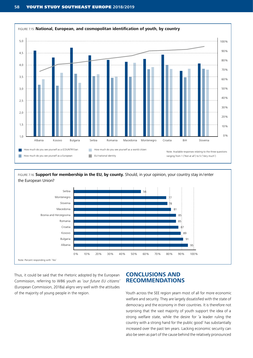

FIGURE 7.16: **Support for membership in the EU, by county.** Should, in your opinion, your country stay in/enter the European Union?



Thus, it could be said that the rhetoric adopted by the European Commission, referring to WB6 youth as *'our future EU citizens'* (European Commission, 2018a) aligns very well with the attitudes of the majority of young people in the region.

#### **CONCLUSIONS AND RECOMMENDATIONS**

Youth across the SEE region yearn most of all for more economic welfare and security. They are largely dissatisfied with the state of democracy and the economy in their countries. It is therefore not surprising that the vast majority of youth support the idea of a strong welfare state, while the desire for 'a leader ruling the country with a strong hand for the public good' has substantially increased over the past ten years. Lacking economic security can also be seen as part of the cause behind the relatively pronounced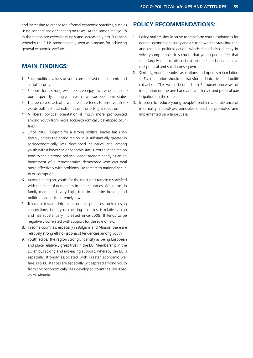and increasing tolerance for informal economic practices, such as using connections or cheating on taxes. At the same time, youth in the region are overwhelmingly and increasingly pro-European, whereby the EU is predominantly seen as a means for achieving general economic welfare.

#### **MAIN FINDINGS:**

- 1. Socio-political values of youth are focused on economic and social security.
- 2. Support for a strong welfare state enjoys overwhelming support, especially among youth with lower socioeconomic status.
- 3. The perceived lack of a welfare state tends to push youth towards both political extremes on the left-right spectrum.
- 4. A liberal political orientation is much more pronounced among youth from more socioeconomically developed countries.
- 5. Since 2008, support for a strong political leader has risen sharply across the entire region. It is substantially greater in socioeconomically less developed countries and among youth with a lower socioeconomic status. Youth in the region tend to see a strong political leader predominantly as an enhancement of a representative democracy who can deal more effectively with problems like threats to national security or corruption.
- 6. Across the region, youth for the most part remain dissatisfied with the state of democracy in their countries. While trust in family members is very high, trust in state institutions and political leaders is extremely low.
- 7. Tolerance towards informal economic practices, such as using connections, bribery or cheating on taxes, is relatively high and has substantially increased since 2008. It tends to be negatively correlated with support for the rule of law.
- 8. In some countries, especially in Bulgaria and Albania, there are relatively strong ethno-nationalist tendencies among youth.
- 9. Youth across the region strongly identify as being European and place relatively great trust in the EU. Membership in the EU enjoys strong and increasing support, whereby the EU is especially strongly associated with greater economic welfare. Pro-EU stances are especially widespread among youth from socioeconomically less developed countries like Kosovo or Albania.

#### **POLICY RECOMMENDATIONS:**

- 1. Policy-makers should strive to transform youth aspirations for general economic security and a strong welfare state into real and tangible political action, which should also directly involve young people. It is crucial that young people feel that their largely democratic-socialist attitudes and actions have real political and social consequences.
- 2. Similarly, young people's aspirations and optimism in relation to EU integration should be transformed into civic and political action. This would benefit both European processes of integration on the one hand and youth civic and political participation on the other.
- 3. In order to reduce young people's problematic tolerance of informality, rule-of-law principles should be promoted and implemented on a large scale.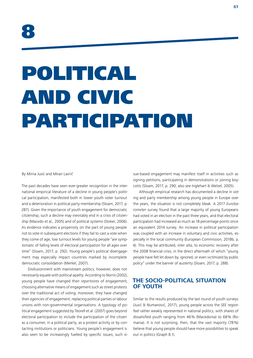# POLITICAL AND CIVIC PARTICIPATION

By Mirna Jusić and Miran Lavrič

The past decades have seen ever-greater recognition in the international empirical literature of a decline in young people's political participation, manifested both in lower youth voter turnout and a deterioration in political party membership (Sloam, 2017, p. 287). Given the importance of youth engagement for democratic citizenship, such a decline may inevitably end in a crisis of citizenship (Macedo et al., 2005) and of political systems (Stoker, 2006). As evidence indicates a propensity on the part of young people not to vote in subsequent elections if they fail to cast a vote when they come of age, low turnout levels for young people "are symptomatic of falling levels of electoral participation for all ages over time" (Sloam, 2017, p. 292). Young people's political disengagement may especially impact countries marked by incomplete democratic consolidation (Merkel, 2007).

Disillusionment with mainstream politics, however, does not necessarily equate with political apathy. According to Norris (2002), young people have changed their *repertoires* of engagement, choosing alternative means of engagement such as street protests over the traditional act of voting; moreover, they have changed their *agencies* of engagement, replacing political parties or labour unions with non-governmental organisations. A typology of political engagement suggested by Teorell et al. (2007) goes beyond electoral participation to include the participation of the citizen as a consumer, in a political party, as a protest activity or by contacting institutions or politicians. Young people's engagement is also seen to be increasingly fuelled by specific issues; such issue-based engagement may manifest itself in activities such as signing petitions, participating in demonstrations or joining boycotts (Sloam, 2017, p. 290; also see Inglehart & Welzel, 2005).

Although empirical research has documented a decline in voting and party membership among young people in Europe over the years, the situation is not completely bleak. A 2017 *Eurobarometer* survey found that a large majority of young Europeans had voted in an election in the past three years, and that electoral participation had increased as much as 18 percentage points since an equivalent 2014 survey. An increase in political participation was coupled with an increase in voluntary and civic activities, especially in the local community (European Commission, 2018b, p. 4). This may be attributed, *inter alia*, to economic recovery after the 2008 financial crisis, in the direct aftermath of which "young people have felt let down by, ignored, or even victimized by public policy" under the banner of austerity (Sloam, 2017, p. 288).

#### **THE SOCIO-POLITICAL SITUATION OF YOUTH**

Similar to the results produced by the last round of youth surveys (Jusić & Numanović, 2017), young people across the SEE region feel rather weakly represented in national politics, with shares of dissatisfied youth ranging from 46% (Macedonia) to 68% (Romania). It is not surprising, then, that the vast majority (78%) believe that young people should have more possibilities to speak out in politics (Graph 8.1).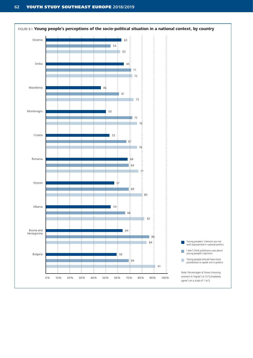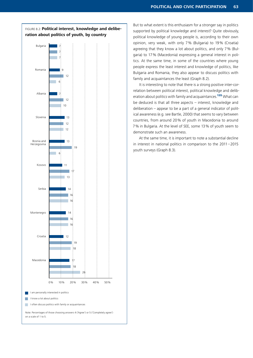

But to what extent is this enthusiasm for a stronger say in politics supported by political knowledge and interest? Quite obviously, political knowledge of young people is, according to their own opinion, very weak, with only 7% (Bulgaria) to 19% (Croatia) agreeing that they know a lot about politics, and only 7% (Bulgaria) to 17% (Macedonia) expressing a general interest in politics. At the same time, in some of the countries where young people express the least interest and knowledge of politics, like Bulgaria and Romania, they also appear to discuss politics with family and acquaintances the least (Graph 8.2).

It is interesting to note that there is a strong positive inter-correlation between political interest, political knowledge and deliberation about politics with family and acquaintances.<sup>135</sup> What can be deduced is that all three aspects – interest, knowledge and deliberation – appear to be a part of a general indicator of political awareness (e.g. see Bartle, 2000) that seems to vary between countries, from around 20% of youth in Macedonia to around 7% in Bulgaria. At the level of SEE, some 13% of youth seem to demonstrate such an awareness.

At the same time, it is important to note a substantial decline in interest in national politics in comparison to the 2011–2015 youth surveys (Graph 8.3).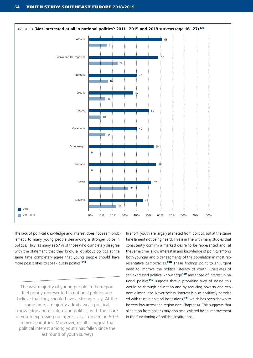

The lack of political knowledge and interest does not seem problematic to many young people demanding a stronger voice in politics. Thus, as many as 57% of those who completely disagree with the statement that they know a lot about politics at the same time completely agree that young people should have more possibilities to speak out in politics.<sup>137</sup>

The vast majority of young people in the region feel poorly represented in national politics and believe that they should have a stronger say. At the same time, a majority admits weak political knowledge and disinterest in politics, with the share of youth expressing no interest at all exceeding 50% in most countries. Moreover, results suggest that political interest among youth has fallen since the last round of youth surveys.

In short, youth are largely alienated from politics, but at the same time lament not being heard. This is in line with many studies that consistently confirm a marked desire to be represented and, at the same time, a low interest in and knowledge of politics among both younger and older segments of the population in most representative democracies.<sup>138</sup> These findings point to an urgent need to improve the political literacy of youth. Correlates of self-expressed political knowledge<sup>139</sup> and those of interest in national politics<sup>140</sup> suggest that a promising way of doing this would be through education and by reducing poverty and economic insecurity. Nevertheless, interest is also positively correlated with trust in political institutions,<sup>141</sup> which has been shown to be very low across the region (see Chapter 4). This suggests that alienation from politics may also be alleviated by an improvement in the functioning of political institutions.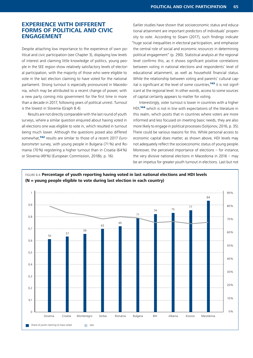#### **EXPERIENCE WITH DIFFERENT FORMS OF POLITICAL AND CIVIC ENGAGEMENT**

Despite attaching low importance to the experience of own political and civic participation (see Chapter 3), displaying low levels of interest and claiming little knowledge of politics, young people in the SEE region show relatively satisfactory levels of electoral participation, with the majority of those who were eligible to vote in the last election claiming to have voted for the national parliament. Strong turnout is especially pronounced in Macedonia, which may be attributed to a recent change of power, with a new party coming into government for the first time in more than a decade in 2017, following years of political unrest. Turnout is the lowest in Slovenia (Graph 8.4).

Results are not directly comparable with the last round of youth surveys, where a similar question enquired about having voted in all elections one was eligible to vote in, which resulted in turnout being much lower. Although the questions posed also differed somewhat,<sup>142</sup> results are similar to those of a recent 2017 *Eurobarometer* survey, with young people in Bulgaria (71%) and Romania (70%) registering a higher turnout than in Croatia (64%) or Slovenia (49%) (European Commission, 2018b, p. 16).

Earlier studies have shown that socioeconomic status and educational attainment are important predictors of individuals' propensity to vote. According to Sloam (2017), such findings indicate "huge social inequalities in electoral participation, and emphasise the central role of social and economic *resources* in determining political engagement" (p. 290). Statistical analysis at the regional level confirms this, as it shows significant positive correlations between voting in national elections and respondents' level of educational attainment, as well as household financial status. While the relationship between voting and parents' cultural capital is significant at the level of some countries,<sup>143</sup> it is not significant at the regional level. In other words, access to some sources of capital certainly appears to matter for voting.

Interestingly, voter turnout is lower in countries with a higher HDI.<sup>144</sup> which is not in line with expectations of the literature in this realm, which posits that in countries where voters are more informed and less focused on meeting basic needs, they are also more likely to engage in political processes (Solijonov, 2016, p. 35). There could be various reasons for this. While personal access to economic capital does matter, as shown above, HDI levels may not adequately reflect the socioeconomic status of young people. Moreover, the perceived importance of elections – for instance, the very divisive national elections in Macedonia in 2016 – may be an impetus for greater youth turnout in elections. Last but not



FIGURE 8.4: **Percentage of youth reporting having voted in last national elections and HDI levels (N = young people eligible to vote during last election in each country)**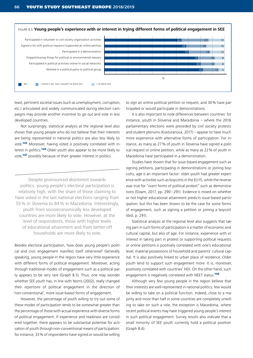

least, pertinent societal issues (such as unemployment, corruption, etc.) articulated and widely communicated during election campaigns may provide another incentive to go out and vote in less developed countries.

Not surprisingly, statistical analysis at the regional level also shows that young people who do not believe that their interests are being represented in national politics are also less likely to vote.<sup>145</sup> Moreover, having voted is positively correlated with interest in politics.<sup>146</sup> Older youth also appear to be more likely to vote,<sup>147</sup> possibly because of their greater interest in politics.

Despite pronounced disinterest towards politics, young people's electoral participation is relatively high, with the share of those claiming to have voted in the last national elections ranging from 55% in Slovenia to 84% in Macedonia. Interestingly, youth from socioeconomically less developed countries are more likely to vote. However, at the level of respondents, those with higher levels of educational attainment and from better-off households are more likely to vote.

Besides electoral participation, how does young people's political and civic engagement manifest itself otherwise? Generally speaking, young people in the region have very little experience with different forms of political engagement. Moreover, acting through traditional modes of engagement such as a political party appears to be very rare (Graph 8.5). Thus, one may wonder whether SEE youth has, in line with Norris (2002), really changed their *repertoire* of political engagement in the direction of 'non-conventional', more issue-based forms of engagement.

However, the percentage of youth willing to try out some of these modes of participation tends to be somewhat greater than the percentage of those with actual experience with diverse forms of political engagement. If experience and readiness are considered together, there appears to be substantial potential for activation of youth through non-conventional means of participation: for instance, 33% of respondents have signed or would be willing

to sign an online political petition or request, and 30% have participated or would participate in demonstrations.

It is also important to note differences between countries: for instance, youth in Slovenia and Macedonia – where the 2016 parliamentary elections were preceded by civil society protests and student plenums (Kosturanova, 2017) – appear to have much more experience with alternative forms of participation. For instance, as many as 27% of youth in Slovenia have signed a political request or online petition, while as many as 22% of youth in Macedonia have participated in a demonstration.

Studies have shown that for issue-based engagement such as signing petitions, participating in demonstrations or joining boycotts, age is an important factor: older youth had greater experience with activities such as boycotts in the EU15, while the reverse was true for "*overt* forms of political protest" such as demonstrations (Sloam, 2017, pp. 290–291). Evidence is mixed on whether or not higher educational attainment predicts issue-based participation, but this has been shown to be the case for some forms of engagement, such as signing a petition or joining a boycott (ibid, p. 291).

Statistical analysis at the regional level also suggests that taking part in such forms of participation is a matter of economic and cultural capital, but also of age. For instance, experience with or interest in taking part in protest or supporting political requests or online petitions is positively correlated with one's educational level, material possessions of household and parents' cultural capital. It is also positively linked to urban place of residence. Older youth tend to support such engagement more. It is, moreover, positively correlated with countries' HDI. On the other hand, such engagement is negatively correlated with NEET status.<sup>148</sup>

Although very few young people in the region believe that their interests are well-represented in national politics, few would be willing to take on a political function. Indeed, close to a majority and more than half in some countries are completely unwilling to take on such a role; the exception is Macedonia, where recent political events may have triggered young people's interest in such political engagement. Survey results also indicate that a small minority of SEE youth currently hold a political position (Graph 8.6).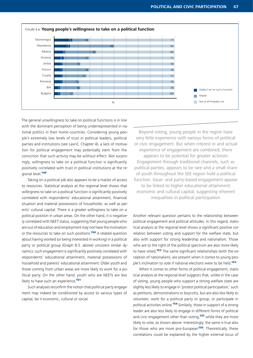

The general unwillingness to take on political functions is in line with the dominant perception of being underrepresented in national politics in their home countries. Considering young people's extremely low levels of trust in political leaders, political parties and institutions (see Lavrič, Chapter 4), a lack of motivation for political engagement may potentially stem from the conviction that such activity may be without effect. Not surprisingly, willingness to take on a political function is significantly positively correlated with trust in political institutions at the regional level.<sup>149</sup>

Taking on a political job also appears to be a matter of access to resources. Statistical analysis at the regional level shows that willingness to take on a political function is significantly positively correlated with respondents' educational attainment, financial situation and material possessions of households, as well as parents' cultural capital. There is a greater willingness to take on a political position in urban areas. On the other hand, it is negatively correlated with NEET status, suggesting that young people who are out of education and employment may not have the motivation or the resources to take on such positions.<sup>150</sup> A related question about having worked (or being interested in working) in a political party or political group (Graph 8.5. above) uncovers similar dynamics: such engagement is significantly positively correlated with respondents' educational attainment, material possessions of household and parents' educational attainment. Older youth and those coming from urban areas are more likely to work for a political party. On the other hand, youth who are NEETs are less likely to have such an experience<sup>151</sup>

Such analyses reconfirm the notion that political party engagement may indeed be conditioned by access to various types of capital, be it economic, cultural or social.

Beyond voting, young people in the region have very little experience with various forms of political or civic engagement. But when interest in and actual experience of engagement are combined, there appears to be potential for greater activism. Engagement through traditional channels, such as political parties, appears to be rare and a small share of youth throughout the SEE region hold a political function. Issue- and party-based engagement appear to be linked to higher educational attainment, economic and cultural capital, suggesting inherent inequalities in political participation.

Another relevant question pertains to the relationship between political engagement and political attitudes. In this regard, statistical analysis at the regional level shows a significant positive correlation between voting and support for the welfare state, but also with support for strong leadership and nationalism. Those who are to the right of the political spectrum are also more likely to have voted.<sup>152</sup> The same significant relationships (with the exception of nationalism), are present when it comes to young people's inclination to vote if national elections were to be held.<sup>153</sup>

When it comes to other forms of political engagement, statistical analysis at the regional level suggests that, unlike in the case of voting, young people who support a strong welfare state are slightly less likely to engage in 'protest political participation,' such as petitions, demonstrations or boycotts, but are also less likely to volunteer, work for a political party or group, or participate in political activities online.<sup>154</sup> Similarly, those in support of a strong leader are also less likely to engage in different forms of political and civic engagement other than voting,<sup>155</sup> while they are more likely to vote, as shown above. Interestingly, the same is true also for those who are more pro-European<sup>156</sup>. Theoretically, these correlations could be explained by the higher external locus of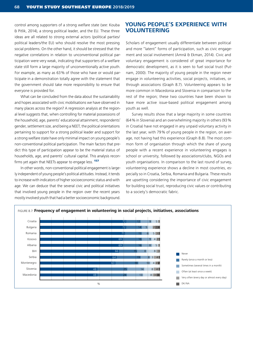control among supporters of a strong welfare state (see: Kouba & Pitlik, 2014), a strong political leader, and the EU. These three ideas are all related to strong external actors (political parties/ political leaders/the EU) who should resolve the most pressing social problems. On the other hand, it should be stressed that the negative correlations in relation to unconventional political participation were very weak, indicating that supporters of a welfare state still form a large majority of unconventionally active youth. For example, as many as 63% of those who have or would participate in a demonstration totally agree with the statement that the government should take more responsibility to ensure that everyone is provided for.

What can be concluded from the data about the sustainability and hopes associated with civic mobilisations we have observed in many places across the region? A regression analysis at the regional level suggests that, when controlling for material possessions of the household, age, parents' educational attainment, respondents' gender, settlement size, and being a NEET, the political orientations pertaining to support for a strong political leader and support for a strong welfare state have only minimal impact on young people's non-conventional political participation. The main factors that predict this type of participation appear to be the material status of households, age, and parents' cultural capital. This analysis reconfirms yet again that NEETs appear to engage less. **157** 

In other words, non-conventional political engagement is largely independent of young people's political attitudes. Instead, it tends to increase with indicators of higher socioeconomic status and with age. We can deduce that the several civic and political initiatives that involved young people in the region over the recent years mostly involved youth that had a better socioeconomic background.

## **YOUNG PEOPLE'S EXPERIENCE WITH VOLUNTEERING**

Scholars of engagement usually differentiate between political and more "latent" forms of participation, such as civic engagement and social involvement (Amnå & Ekman, 2014). Civic and voluntary engagement is considered of great importance for democratic development, as it is seen to fuel social trust (Putnam, 2000). The majority of young people in the region never engage in volunteering activities, social projects, initiatives, or through associations (Graph 8.7). Volunteering appears to be more common in Macedonia and Slovenia in comparison to the rest of the region; these two countries have been shown to have more active issue-based political engagement among youth as well.

Survey results show that a large majority in some countries (64 % in Slovenia) and an overwhelming majority in others (93 % in Croatia) have not engaged in any unpaid voluntary activity in the last year, with 79 % of young people in the region, on average, not having had this experience (Graph 8.8). The most common form of organisation through which the share of young people with a recent experience in volunteering engages is school or university, followed by associations/clubs, NGOs and youth organisations. In comparison to the last round of survey, volunteering experience shows a decline in most countries, especially so in Croatia, Serbia, Romania and Bulgaria. These results are upsetting considering the importance of civic engagement for building social trust, reproducing civic values or contributing to a society's democratic fabric.

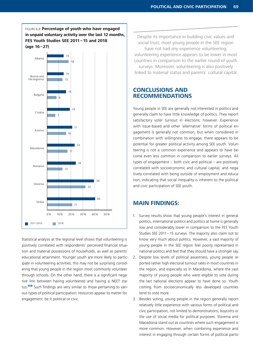

Statistical analysis at the regional level shows that volunteering is positively correlated with respondents' perceived financial situation and material possessions of households, as well as parents' educational attainment. Younger youth are more likely to participate in volunteering activities; this may not be surprising considering that young people in the region most commonly volunteer through schools. On the other hand, there is a significant negative link between having volunteered and having a NEET status.<sup>158</sup> Such findings are very similar to those pertaining to various types of political participation: resources appear to matter for engagement, be it political or civic.

Despite its importance in building civic values and social trust, most young people in the SEE region have not had any experience volunteering; volunteering experience appears to be lower in most countries in comparison to the earlier round of youth surveys. Moreover, volunteering is also positively linked to material status and parents' cultural capital.

#### **CONCLUSIONS AND RECOMMENDATIONS**

Young people in SEE are generally not interested in politics and generally claim to have little knowledge of politics. They report satisfactory voter turnout in elections, however. Experience with issue-based and other 'alternative' forms of political engagement is generally not common, but when considered in combination with willingness to engage, there appears to be potential for greater political activity among SEE youth. Volunteering is not a common experience and appears to have become even less common in comparison to earlier surveys. All types of engagement – both civic and political – are positively correlated with socioeconomic and cultural capital, and negatively correlated with being outside of employment and education, indicating that social inequality is inherent to the political and civic participation of SEE youth.

## **MAIN FINDINGS:**

- 1. Survey results show that young people's interest in general politics, international politics and politics at home is generally low and considerably lower in comparison to the FES Youth Studies SEE 2011–15 surveys. The majority also claim not to know very much about politics. However, a vast majority of young people in the SEE region feel poorly represented in national politics and feel that they should have a stronger say.
- 2. Despite low levels of political awareness, young people reported rather high electoral turnout rates in most countries in the region, and especially so in Macedonia, where the vast majority of young people who were eligible to vote during the last national elections appear to have done so. Youth coming from socioeconomically less developed countries tend to vote more.
- 3. Besides voting, young people in the region generally report relatively little experience with various forms of political and civic participation, not limited to demonstrations, boycotts or the use of social media for political purposes. Slovenia and Macedonia stand out as countries where such engagement is more common. However, when combining experience and interest in engaging through certain forms of political partic-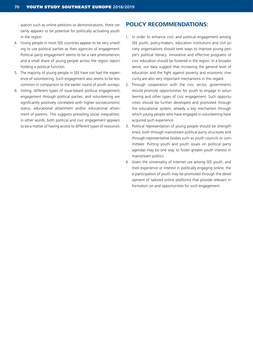ipation such as online petitions or demonstrations, there certainly appears to be potential for politically activating youth in the region.

- 4. Young people in most SEE countries appear to be very unwilling to use political parties as their *agencies* of engagement. Political party engagement seems to be a rare phenomenon, and a small share of young people across the region report holding a political function.
- 5. The majority of young people in SEE have not had the experience of volunteering. Such engagement also seems to be less common in comparison to the earlier round of youth surveys.
- 6. Voting, different types of issue-based political engagement, engagement through political parties, and volunteering are significantly positively correlated with higher socioeconomic status, educational attainment and/or educational attainment of parents. This suggests prevailing social inequalities; in other words, both political and civic engagement appears to be a matter of having access to different types of resources.

### **POLICY RECOMMENDATIONS:**

- 1. In order to enhance civic and political engagement among SEE youth, policy-makers, education institutions and civil society organisations should seek ways to improve young people's political literacy. Innovative and effective programs of civic education should be fostered in the region. In a broader sense, our data suggest that increasing the general level of education and the fight against poverty and economic insecurity are also very important mechanisms in this regard.
- 2. Through cooperation with the civic sector, governments should promote opportunities for youth to engage in volunteering and other types of civic engagement. Such opportunities should be further developed and promoted through the educational system, already a key mechanism through which young people who have engaged in volunteering have acquired such experience.
- 3. Political representation of young people should be strengthened, both through mainstream political party structures and through representative bodies such as youth councils or committees. Putting youth and youth issues on political party agendas may be one way to foster greater youth interest in mainstream politics.
- 4. Given the universality of Internet use among SEE youth, and their experience or interest in politically engaging online, the e-participation of youth may be promoted through the development of tailored online platforms that provide relevant information on and opportunities for such engagement.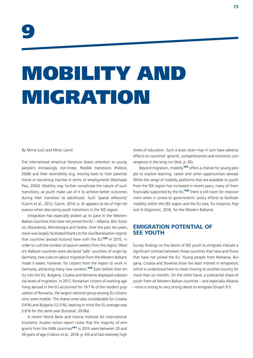# MOBILITY AND MIGRATION

By Mirna Jusić and Miran Lavrič

The international empirical literature draws attention to young people's increasingly non-linear, flexible transitions (Pollock, 2008) and their reversibility (e.g. moving back to their parental home or becoming inactive in terms of employment) (Machado Pais, 2000). Mobility may further complicate the nature of such transitions, as youth make use of it to achieve better outcomes during their transition to adulthood. Such 'spatial reflexivity' (Cairns et al., 2012; Cairns, 2014, p. 6) appears to be of high relevance when discussing youth transitions in the SEE region.

Emigration has especially picked up its pace in the Western Balkan countries that have not joined the EU – Albania, BiH, Kosovo, Macedonia, Montenegro and Serbia. Over the past ten years, travel was largely facilitated thanks to the visa liberalisation regime that countries (except Kosovo) have with the EU.<sup>159</sup> In 2015, in order to curb the number of asylum-seekers from the region, Western Balkans countries were declared 'safe' countries of origin by Germany; new rules on labour migration from the Western Balkans made it easier, however, for citizens from the region to work in Germany, attracting many new workers.<sup>160</sup> Even before their entry into the EU, Bulgaria, Croatia and Romania displayed substantial levels of migration. In 2017, Romanian citizens of working age living abroad in the EU accounted for 19.7% of the resident population of Romania, the largest national group among EU citizens who were mobile. The shares were also considerable for Croatia (14%) and Bulgaria (12.5%), bearing in mind the EU average was 3.8% for the same year (Eurostat, 2018a).

A recent World Bank and Vienna Institute for International Economic Studies (wiiw) report notes that the majority of emigrants from the WB6 countries<sup>161</sup> in 2015 were between 20 and 39 years of age (Vidovic et al., 2018, p. 43) and had relatively high

levels of education. Such a brain drain may in turn have adverse effects on countries' growth, competitiveness and economic convergence in the long run (ibid, p. 45).

Beyond migration, mobility<sup>162</sup> offers a chance for young people to explore learning, career and other opportunities abroad. While the range of mobility platforms that are available to youth from the SEE region has increased in recent years, many of them financially supported by the EU,<sup>163</sup> there is still room for improvement when it comes to governments' policy efforts to facilitate mobility within the SEE region and the EU (see, for instance, Popović & Gligorović, 2016, for the Western Balkans).

# **EMIGRATION POTENTIAL OF SEE YOUTH**

Survey findings on the desire of SEE youth to emigrate indicate a significant contrast between those countries that have and those that have not joined the EU. Young people from Romania, Bulgaria, Croatia and Slovenia show the least interest in emigration, which is understood here to mean moving to another country for more than six months. On the other hand, a substantial share of youth from all Western Balkan countries – and especially Albania – voice a strong to very strong desire to emigrate (Graph 9.1).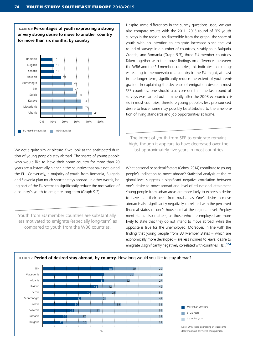

also compare results with the 2011–2015 round of FES youth surveys in the region. As discernible from the graph, the share of youth with no intention to emigrate increased since the last round of surveys in a number of countries, sizably so in Bulgaria, Croatia, and Romania (Graph 9.3), three EU member countries. Taken together with the above findings on differences between the WB6 and the EU member countries, this indicates that changes relating to membership of a country in the EU might, at least in the longer term, significantly reduce the extent of youth emigration. In explaining the decrease of emigration desire in most SEE countries, one should also consider that the last round of surveys was carried out imminently after the 2008 economic crisis in most countries, therefore young people's less pronounced desire to leave home may possibly be attributed to the amelioration of living standards and job opportunities at home.

Despite some differences in the survey questions used, we can

The intent of youth from SEE to emigrate remains high, though it appears to have decreased over the last approximately five years in most countries.

What personal or societal factors (Cairns, 2014) contribute to young people's inclination to move abroad? Statistical analysis at the regional level suggests a significant negative correlation between one's desire to move abroad and level of educational attainment. Young people from urban areas are more likely to express a desire to leave than their peers from rural areas. One's desire to move abroad is also significantly negatively correlated with the perceived financial status of one's household at the regional level. Employment status also matters, as those who are employed are more likely to state that they do not intend to move abroad, while the opposite is true for the unemployed. Moreover, in line with the finding that young people from EU Member States – which are economically more developed – are less inclined to leave, desire to emigrate is significantly negatively correlated with countries' HDI.<sup>164</sup>



We get a quite similar picture if we look at the anticipated duration of young people's stay abroad. The shares of young people who would like to leave their home country for more than 20 years are substantially higher in the countries that have not joined the EU. Conversely, a majority of youth from Romania, Bulgaria and Slovenia plan much shorter stays abroad. In other words, being part of the EU seems to significantly reduce the motivation of a country's youth to emigrate long-term (Graph 9.2).

Youth from EU member countries are substantially less motivated to emigrate (especially long-term) as compared to youth from the WB6 countries.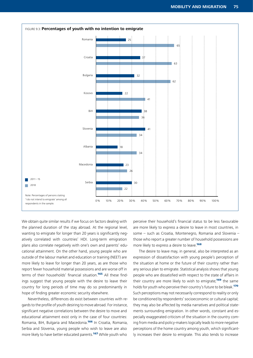

We obtain quite similar results if we focus on factors dealing with the planned duration of the stay abroad. At the regional level, wanting to emigrate for longer than 20 years is significantly negatively correlated with countries' HDI. Long-term emigration plans also correlate negatively with one's own and parents' educational attainment. On the other hand, young people who are outside of the labour market and education or training (NEET) are more likely to leave for longer than 20 years, as are those who report fewer household material possessions and are worse off in terms of their households' financial situation.<sup>165</sup> All these findings suggest that young people with the desire to leave their country for long periods of time may do so predominantly in hope of finding greater economic security elsewhere.

Nevertheless, differences do exist between countries with regards to the profile of youth desiring to move abroad. For instance, significant negative correlations between the desire to move and educational attainment exist only in the case of four countries: Romania, BiH, Bulgaria and Macedonia.<sup>166</sup> In Croatia, Romania, Serbia and Slovenia, young people who wish to leave are also more likely to have better educated parents.<sup>167</sup> While youth who

perceive their household's financial status to be less favourable are more likely to express a desire to leave in most countries, in some – such as Croatia, Montenegro, Romania and Slovenia – those who report a greater number of household possessions are more likely to express a desire to leave.<sup>168</sup>

The desire to leave may, in general, also be interpreted as an expression of dissatisfaction with young people's perception of the situation at home or the future of their country rather than any serious plan to emigrate. Statistical analysis shows that young people who are dissatisfied with respect to the state of affairs in their country are more likely to wish to emigrate;<sup>169</sup> the same holds for youth who perceive their country's future to be bleak.<sup>170</sup> Such perceptions may not necessarily correspond to reality or only be conditioned by respondents' socioeconomic or cultural capital; they may also be affected by media narratives and political statements surrounding emigration. In other words, constant and especially exaggerated criticism of the situation in the country coming from media and policy-makers logically leads to more negative perceptions of the home country among youth, which significantly increases their desire to emigrate. This also tends to increase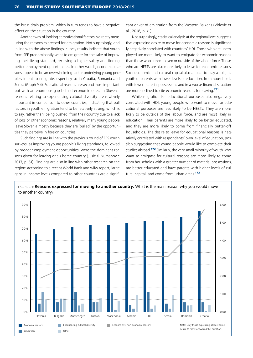the brain drain problem, which in turn tends to have a negative effect on the situation in the country.

Another way of looking at motivational factors is directly measuring the reasons expressed for emigration. Not surprisingly, and in line with the above findings, survey results indicate that youth from SEE predominantly want to emigrate for the sake of improving their living standard, receiving a higher salary and finding better employment opportunities. In other words, economic reasons appear to be an overwhelming factor underlying young people's intent to emigrate, especially so in Croatia, Romania and Serbia (Graph 9.4). Educational reasons are second most important, but with an enormous gap behind economic ones. In Slovenia, reasons relating to experiencing cultural diversity are relatively important in comparison to other countries, indicating that pull factors in youth emigration tend to be relatively strong, which is to say, rather than 'being pushed' from their country due to a lack of jobs or other economic reasons, relatively many young people leave Slovenia mostly because they are 'pulled' by the opportunities they perceive in foreign countries.

Such findings are in line with the previous round of FES youth surveys, as improving young people's living standards, followed by broader employment opportunities, were the dominant reasons given for leaving one's home country (Jusić & Numanović, 2017, p. 51). Findings are also in line with other research on the region: according to a recent World Bank and wiiw report, large gaps in income levels compared to other countries are a significant driver of emigration from the Western Balkans (Vidovic et al., 2018, p. xii).

Not surprisingly, statistical analysis at the regional level suggests that expressing desire to move for economic reasons is significantly negatively correlated with countries' HDI. Those who are unemployed are more likely to want to emigrate for economic reasons than those who are employed or outside of the labour force. Those who are NEETs are also more likely to leave for economic reasons. Socioeconomic and cultural capital also appear to play a role, as youth of parents with lower levels of education, from households with fewer material possessions and in a worse financial situation are more inclined to cite economic reasons for leaving.<sup>171</sup>

While migration for educational purposes also negatively correlated with HDI, young people who want to move for educational purposes are less likely to be NEETs. They are more likely to be outside of the labour force, and are most likely in education. Their parents are more likely to be better educated, and they are more likely to come from financially better-off households. The desire to leave for educational reasons is negatively correlated with respondents' own level of education, possibly suggesting that young people would like to complete their studies abroad.<sup>172</sup> Similarly, the very small minority of youth who want to emigrate for cultural reasons are more likely to come from households with a greater number of material possessions, are better educated and have parents with higher levels of cultural capital, and come from urban areas.<sup>173</sup>

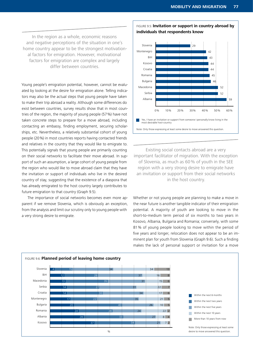In the region as a whole, economic reasons and negative perceptions of the situation in one's home country appear to be the strongest motivational factors for emigration. However, motivational factors for emigration are complex and largely differ between countries.

Young people's emigration potential, however, cannot be evaluated by looking at the desire for emigration alone. Telling indicators may also be the actual steps that young people have taken to make their trip abroad a reality. Although some differences do exist between countries, survey results show that in most countries of the region, the majority of young people (57%) have not taken concrete steps to prepare for a move abroad, including contacting an embassy, finding employment, securing scholarships, etc. Nevertheless, a relatively substantial cohort of young people (20%) in most countries reports having contacted friends and relatives in the country that they would like to emigrate to. This potentially signals that young people are primarily counting on their social networks to facilitate their move abroad. In support of such an assumption, a large cohort of young people from the region who would like to move abroad claim that they have the invitation or support of individuals who live in the desired country of stay, suggesting that the existence of a diaspora that has already emigrated to the host country largely contributes to future emigration to that country (Graph 9.5).

The importance of social networks becomes even more apparent if we remove Slovenia, which is obviously an exception, from the analysis and limit our scrutiny only to young people with a very strong desire to emigrate.



FIGURE 9.5: **Invitation or support in country abroad by individuals that respondents know**



Note: Only those expressing at least some desire to move answered this question.

Existing social contacts abroad are a very important facilitator of migration. With the exception of Slovenia, as much as 60% of youth in the SEE region with a very strong desire to emigrate have an invitation or support from their social networks in the host country.

Whether or not young people are planning to make a move in the near future is another tangible indicator of their emigration potential. A majority of youth are looking to move in the short-to-medium term period of six months to two years in Kosovo, Albania, Bulgaria and Romania; conversely, with some 81 % of young people looking to move within the period of five years and longer, relocation does not appear to be an imminent plan for youth from Slovenia (Graph 9.6). Such a finding makes the lack of personal support or invitation for a move

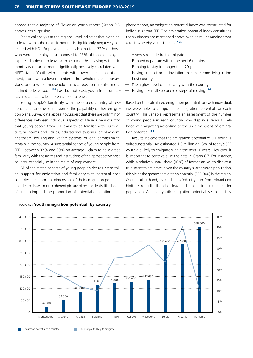abroad that a majority of Slovenian youth report (Graph 9.5 above) less surprising.

Statistical analysis at the regional level indicates that planning to leave within the next six months is significantly negatively correlated with HDI. Employment status also matters: 22% of those who were unemployed, as opposed to 13% of those employed, expressed a desire to leave within six months. Leaving within six months was, furthermore, significantly positively correlated with NEET status. Youth with parents with lower educational attainment, those with a lower number of household material possessions, and a worse household financial position are also more inclined to leave soon.<sup>174</sup> Last but not least, youth from rural areas also appear to be more inclined to leave.

Young people's familiarity with the desired country of residence adds another dimension to the palpability of their emigration plans. Survey data appear to suggest that there are only minor differences between individual aspects of life in a new country that young people from SEE claim to be familiar with, such as cultural norms and values, educational systems, employment, healthcare, housing and welfare systems, or legal permission to remain in the country. A substantial cohort of young people from SEE – between 32% and 39% on average – claim to have great familiarity with the norms and institutions of their prospective host country, especially so in the realm of employment.

All of the stated aspects of young people's desires, steps taken, support for emigration and familiarity with potential host countries are important dimensions of their emigration potential. In order to draw a more coherent picture of respondents' likelihood of emigrating and the proportion of potential emigration as a

phenomenon, an emigration potential index was constructed for individuals from SEE. The emigration potential index constitutes the six dimensions mentioned above, with its values ranging from 0 to 1, whereby value 1 means:<sup>175</sup>

- A very strong desire to emigrate
- Planned departure within the next 6 months
- Planning to stay for longer than 20 years
- Having support or an invitation from someone living in the host country
- The highest level of familiarity with the country
- Having taken all six concrete steps of moving.<sup>176</sup>

Based on the calculated emigration potential for each individual, we were able to compute the emigration potential for each country. This variable represents an assessment of the number of young people in each country who display a serious likelihood of emigrating according to the six dimensions of emigration potential 177

Results indicate that the emigration potential of SEE youth is quite substantial. An estimated 1.6 million or 18% of today's SEE youth are likely to emigrate within the next 10 years. However, it is important to contextualise the data in Graph 6.7. For instance, while a relatively small share (10%) of Romanian youth display a true intent to emigrate, given the country's large youth population, this yields the greatest emigration potential (358,000) in the region. On the other hand, as much as 40% of youth from Albania exhibit a strong likelihood of leaving, but due to a much smaller population, Albanian youth emigration potential is substantially

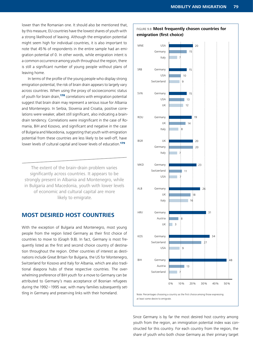lower than the Romanian one. It should also be mentioned that, by this measure, EU countries have the lowest shares of youth with a strong likelihood of leaving. Although the emigration potential might seem high for individual countries, it is also important to note that 45% of respondents in the entire sample had an emigration potential of 0. In other words, while emigration intent is a common occurrence among youth throughout the region, there is still a significant number of young people without plans of leaving home.

In terms of the profile of the young people who display strong emigration potential, the risk of brain drain appears to largely vary across countries. When using the proxy of socioeconomic status of youth for brain drain,<sup>178</sup> correlations with emigration potential suggest that brain drain may represent a serious issue for Albania and Montenegro. In Serbia, Slovenia and Croatia, positive correlations were weaker, albeit still significant, also indicating a braindrain tendency. Correlations were insignificant in the case of Romania, BiH and Kosovo, and significant and negative in the case of Bulgaria and Macedonia, suggesting that youth with emigration potential from these countries are less likely to be well-off, have lower levels of cultural capital and lower levels of education.<sup>179</sup>

The extent of the brain-drain problem varies significantly across countries. It appears to be strongly present in Albania and Montenegro, while in Bulgaria and Macedonia, youth with lower levels of economic and cultural capital are more likely to emigrate.

#### **MOST DESIRED HOST COUNTRIES**

With the exception of Bulgaria and Montenegro, most young people from the region listed Germany as their first choice of countries to move to (Graph 9.8). In fact, Germany is most frequently listed as the first and second choice country of destination throughout the region. Other countries of interest as destinations include Great Britain for Bulgaria, the US for Montenegro, Switzerland for Kosovo and Italy for Albania, which are also traditional diaspora hubs of these respective countries. The overwhelming preference of BiH youth for a move to Germany can be attributed to Germany's mass acceptance of Bosnian refugees during the 1992–1995 war, with many families subsequently settling in Germany and preserving links with their homeland.



#### Since Germany is by far the most desired host country among youth from the region, an immigration potential index was constructed for this country. For each country from the region, the share of youth who both chose Germany as their primary target

#### FIGURE 9.8: **Most frequently chosen countries for emigration (first choice)**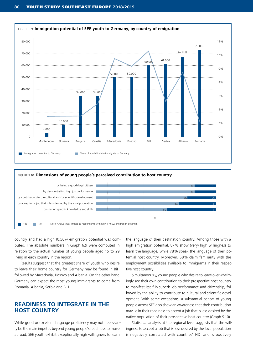

#### FIGURE 9.10: **Dimensions of young people's perceived contribution to host country**



country and had a high (0.50+) emigration potential was computed. The absolute numbers in Graph 6.9 were computed in relation to the actual number of young people aged 15 to 29 living in each country in the region.

Results suggest that the greatest share of youth who desire to leave their home country for Germany may be found in BiH, followed by Macedonia, Kosovo and Albania. On the other hand, Germany can expect the most young immigrants to come from Romania, Albania, Serbia and BiH.

# **READINESS TO INTEGRATE IN THE HOST COUNTRY**

While good or excellent language proficiency may not necessarily be the main impetus beyond young people's readiness to move abroad, SEE youth exhibit exceptionally high willingness to learn

the language of their destination country. Among those with a high emigration potential, 87% show (very) high willingness to learn the language, while 78% speak the language of their potential host country. Moreover, 58% claim familiarity with the employment possibilities available to immigrants in their respective host country.

Simultaneously, young people who desire to leave overwhelmingly see their own contribution to their prospective host country to manifest itself in superb job performance and citizenship, followed by the ability to contribute to cultural and scientific development. With some exceptions, a substantial cohort of young people across SEE also show an awareness that their contribution may lie in their readiness to accept a job that is less desired by the native population of their prospective host country (Graph 9.10).

Statistical analysis at the regional level suggests that the willingness to accept a job that is less desired by the local population is negatively correlated with countries' HDI and is positively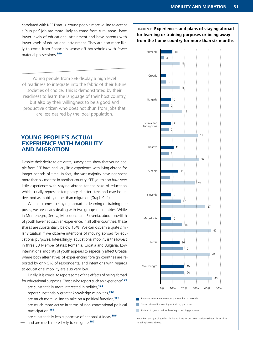correlated with NEET status. Young people more willing to accept a 'sub-par' job are more likely to come from rural areas, have lower levels of educational attainment and have parents with lower levels of educational attainment. They are also more likely to come from financially worse-off households with fewer material possessions.<sup>180</sup>

Young people from SEE display a high level of readiness to integrate into the fabric of their future societies of choice. This is demonstrated by their readiness to learn the language of their host country, but also by their willingness to be a good and productive citizen who does not shun from jobs that are less desired by the local population.

# **YOUNG PEOPLE'S ACTUAL EXPERIENCE WITH MOBILITY AND MIGRATION**

Despite their desire to emigrate, survey data show that young people from SEE have had very little experience with living abroad for longer periods of time. In fact, the vast majority have not spent more than six months in another country. SEE youth also have very little experience with staying abroad for the sake of education, which usually represent temporary, shorter stays and may be understood as mobility rather than migration (Graph 9.11).

When it comes to staying abroad for learning or training purposes, we are clearly dealing with two groups of countries. While in Montenegro, Serbia, Macedonia and Slovenia, about one-fifth of youth have had such an experience, in all other countries, these shares are substantially below 10%. We can discern a quite similar situation if we observe intentions of moving abroad for educational purposes. Interestingly, educational mobility is the lowest in three EU Member States: Romania, Croatia and Bulgaria. Low international mobility of youth appears to especially affect Croatia, where both alternatives of experiencing foreign countries are reported by only 5% of respondents, and intentions with regards to educational mobility are also very low.

Finally, it is crucial to report some of the effects of being abroad for educational purposes. Those who report such an experience<sup>181</sup>

- are substantially more interested in politics,<sup>182</sup>
- report substantially greater knowledge of politics.<sup>183</sup>
- are much more willing to take on a political function,<sup>184</sup>
- are much more active in terms of non-conventional political participation.<sup>185</sup>
- are substantially less supportive of nationalist ideas,<sup>186</sup>
- and are much more likely to emigrate.<sup>187</sup>

FIGURE 9.11: **Experiences and plans of staying abroad for learning or training purposes or being away from the home country for more than six months**

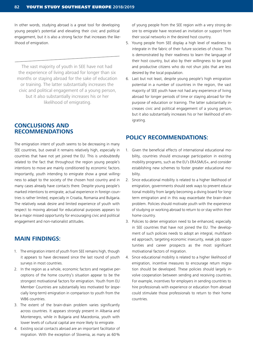In other words, studying abroad is a great tool for developing young people's potential and elevating their civic and political engagement, but it is also a strong factor that increases the likelihood of emigration.

The vast majority of youth in SEE have not had the experience of living abroad for longer than six months or staying abroad for the sake of education or training. The latter substantially increases the civic and political engagement of a young person, but it also substantially increases his or her likelihood of emigrating.

#### **CONCLUSIONS AND RECOMMENDATIONS**

The emigration intent of youth seems to be decreasing in many SEE countries, but overall it remains relatively high, especially in countries that have not yet joined the EU. This is undoubtedly related to the fact that throughout the region young people's intentions to move are mainly conditioned by economic factors. Importantly, youth intending to emigrate show a great willingness to adapt to the society of the chosen host country and in many cases already have contacts there. Despite young people's marked intentions to emigrate, actual experience in foreign countries is rather limited, especially in Croatia, Romania and Bulgaria. The relatively weak desire and limited experience of youth with respect to moving abroad for educational purposes appears to be a major missed opportunity for encouraging civic and political engagement and non-nationalist attitudes.

### **MAIN FINDINGS:**

- 1. The emigration intent of youth from SEE remains high, though it appears to have decreased since the last round of youth surveys in most countries.
- 2. In the region as a whole, economic factors and negative perceptions of the home country's situation appear to be the strongest motivational factors for emigration. Youth from EU Member Countries are substantially less motivated for (especially long-term) emigration in comparison to youth from the WB6 countries.
- 3. The extent of the brain-drain problem varies significantly across countries. It appears strongly present in Albania and Montenegro, while in Bulgaria and Macedonia, youth with lower levels of cultural capital are more likely to emigrate.
- 4. Existing social contacts abroad are an important facilitator of migration. With the exception of Slovenia, as many as 60%

of young people from the SEE region with a very strong desire to emigrate have received an invitation or support from their social networks in the desired host country.

- 5. Young people from SEE display a high level of readiness to integrate in the fabric of their future societies of choice. This is demonstrated by their readiness to learn the language of their host country, but also by their willingness to be good and productive citizens who do not shun jobs that are less desired by the local population.
- 6. Last but not least, despite young people's high emigration potential in a number of countries in the region, the vast majority of SEE youth have not had any experience of living abroad for longer periods of time or staying abroad for the purpose of education or training. The latter substantially increases civic and political engagement of a young person, but it also substantially increases his or her likelihood of emigrating.

# **POLICY RECOMMENDATIONS:**

- 1. Given the beneficial effects of international educational mobility, countries should encourage participation in existing mobility programs, such as the EU's ERASMUS+, and consider establishing new schemes to foster greater educational mobility.
- 2. Since educational mobility is related to a higher likelihood of emigration, governments should seek ways to prevent educational mobility from largely becoming a diving board for longterm emigration and in this way exacerbate the brain-drain problem. Policies should motivate youth with the experience of studying or working abroad to return to or stay within their home country.
- 3. Policies to deter emigration need to be enhanced, especially in SEE countries that have not joined the EU. The development of such policies needs to adopt an integral, multifaceted approach, targeting economic insecurity, weak job opportunities and career prospects as the most significant motivational factors of migration.
- 4. Since educational mobility is related to a higher likelihood of emigration, incentive measures to encourage return migration should be developed. These policies should largely involve cooperation between sending and receiving countries. For example, incentives for employers in sending countries to hire professionals with experience or education from abroad could stimulate those professionals to return to their home countries.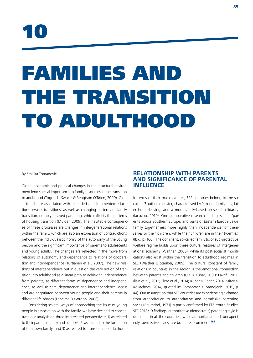

# FAMILIES AND THE TRANSITION TO ADULTHOOD

By Smiljka Tomanović

Global economic and political changes in the structural environment lend special importance to family resources in the transition to adulthood (Togouchi Swartz & Bengtson O'Brien, 2009). Global trends are associated with extended and fragmented education-to-work transitions, as well as changing patterns of family transition, notably delayed parenting, which affects the patterns of housing transition (Mulder, 2009). The inevitable consequences of these processes are changes in intergenerational relations within the family, which are also an expression of contradictions between the individualistic norms of the autonomy of the young person and the significant importance of parents to adolescents and young adults. The changes are reflected in the move from relations of autonomy and dependence to relations of cooperation and interdependence (Turtianen et al., 2007). The new relations of interdependence put in question the very notion of transition into adulthood as a linear path to achieving independence from parents, as different forms of dependence and independence, as well as semi-dependence and interdependence, occur and are negotiated between young people and their parents in different life phases (Lahelma & Gordon, 2008).

Considering several ways of approaching the issue of young people in association with the family, we have decided to concentrate our analysis on three interrelated perspectives: 1) as related to their parental family and support; 2) as related to the formation of their own family; and 3) as related to transitions to adulthood.

# **RELATIONSHIP WITH PARENTS AND SIGNIFICANCE OF PARENTAL INFLUENCE**

In terms of their main features, SEE countries belong to the socalled 'Southern' cluster, characterised by 'strong' family ties, later home-leaving, and a more family-based sense of solidarity (Iacovou, 2010). One comparative research finding is that "parents across Southern Europe, and parts of Eastern Europe value family togetherness more highly than independence for themselves or their children, while their children are in their twenties" (Ibid, p. 160). The dominant, so-called familistic or sub-protective welfare regime builds upon these cultural features of intergenerational solidarity (Walther, 2006), while its post-socialist modifications also exist within the transition to adulthood regimes in SEE (Walther & Stauber, 2009). The cultural constant of family relations in countries in the region is the emotional connection between parents and children (Ule & Kuhar, 2008; Lavrič, 2011; Ilišin et al., 2013; Flere et al., 2014; Kuhar & Reiter, 2014; Mitev & Kovacheva, 2014; quoted in: Tomanović & Stanojević, 2015, p. 44). Our assumption that SEE countries are experiencing a change from authoritarian to authoritative and permissive parenting styles (Baumrind, 1971) is partly confirmed by FES Youth Studies SEE 2018/19 findings: authoritative (democratic) parenting style is dominant in all the countries, while authoritarian and, unexpectedly, permissive styles, are both less prominent<sup>188</sup>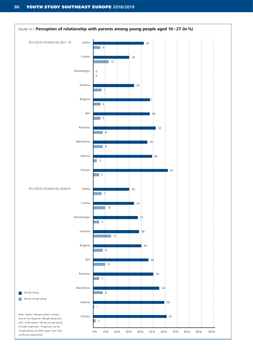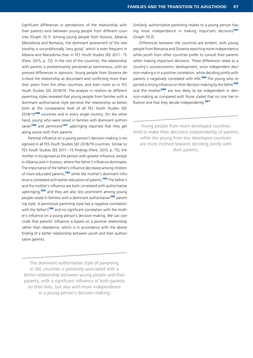Significant differences in perceptions of the relationship with their parents exist between young people from different countries (Graph 10.1). Among young people from Kosovo, Albania, Macedonia and Romania, the dominant assessment of the relationship is unconditionally 'very good,' which is even frequent in Albania and Macedonia than in FES Youth Studies SEE 2011–15 (Flere, 2015, p. 72). In the rest of the countries, the relationship with parents is predominantly perceived as harmonious, with expressed differences in opinions. Young people from Slovenia described the relationship as discordant and conflicting more than their peers from the other countries, and even more so in FES Youth Studies SEE 2018/19. The analysis in relation to different parenting styles revealed that young people from families with a dominant authoritative style perceive the relationship as better, both at the comparative level of all FES Youth Studies SEE 2018/19<sup>189</sup> countries and in every single country. On the other hand, young who were raised in families with dominant authori- $\arian$ <sup>190</sup> and permissive<sup>191</sup> upbringing reported that they get along worse with their parents.

Parental influence on a young person's decision-making is recognised in all FES Youth Studies SEE 2018/19 countries. Similar to FES Youth Studies SEE 2011–15 findings (Flere, 2015, p. 75), the mother is recognised as the person with greater influence, except in Albania and in Kosovo, where the father's influence dominates. The importance of the father's influence decreases among children of more educated parents,<sup>192</sup> while the mother's dominant influence is correlated with better education of parents.<sup>193</sup> The father's and the mother's influence are both correlated with authoritative upbringing,<sup>194</sup> and they are also less prominent among young people raised in families with a dominant authoritarian<sup>195</sup> parenting style. A permissive parenting style has a negative correlation with the father's<sup>196</sup> and no significant correlation with the mother's influence on a young person's decision-making. We can conclude that parents' influence is based on a positive relationship rather than obedience, which is in accordance with the above finding of a better relationship between youth and their authoritative parents.

The dominant authoritative style of parenting in SEE countries is positively associated with a better relationship between young people and their parents, with a significant influence of both parents on their lives, but also with more independence in a young person's decision-making.

Similarly, authoritative parenting relates to a young person having more independence in making important decisions<sup>197</sup> (Graph 10.2):

Differences between the countries are evident, with young people from Romania and Slovenia reporting more independence, while youth from other countries prefer to consult their parents when making important decisions. These differences relate to a country's socioeconomic development, since independent decision-making is in a positive correlation, while deciding jointly with parents is negatively correlated with HDI.<sup>198</sup> The young who reported a strong influence on their decision-making by the father<sup>199</sup> and the mother<sup>200</sup> are less likely to be independent in decision-making as compared with those stated that no one has influence and that they decide independently.<sup>201</sup>

Young people from more developed countries tend to make their decisions independently of parents, while the young from less developed countries are more inclined towards deciding jointly with their parents.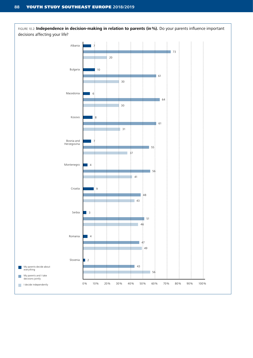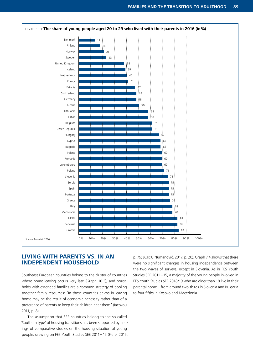

# **LIVING WITH PARENTS VS. IN AN INDEPENDENT HOUSEHOLD**

Southeast European countries belong to the cluster of countries where home-leaving occurs very late (Graph 10.3), and households with extended families are a common strategy of pooling together family resources: "In those countries delays in leaving home may be the result of economic necessity rather than of a preference of parents to keep their children near them" (Iacovou, 2011, p. 8).

The assumption that SEE countries belong to the so-called 'Southern type' of housing transitions has been supported by findings of comparative studies on the housing situation of young people, drawing on FES Youth Studies SEE 2011–15 (Flere, 2015,

p. 79; Jusić & Numanović, 2017, p. 20). Graph 7.4 shows that there were no significant changes in housing independence between the two waves of surveys, except in Slovenia. As in FES Youth Studies SEE 2011–15, a majority of the young people involved in FES Youth Studies SEE 2018/19 who are older than 18 live in their parental home – from around two-thirds in Slovenia and Bulgaria to four-fifths in Kosovo and Macedonia.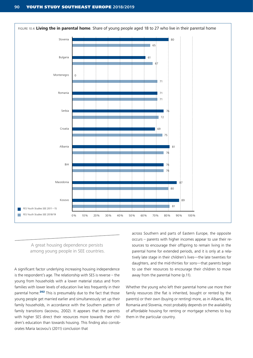

A great housing dependence persists among young people in SEE countries.

A significant factor underlying increasing housing independence is the respondent's age. The relationship with SES is reverse – the young from households with a lower material status and from families with lower levels of education live less frequently in their parental home.<sup>202</sup> This is presumably due to the fact that those young people get married earlier and simultaneously set up their family households, in accordance with the Southern pattern of family transitions (Iacovou, 2002). It appears that the parents with higher SES direct their resources more towards their children's education than towards housing. This finding also corroborates Maria Iacovou's (2011) conclusion that

across Southern and parts of Eastern Europe, the opposite occurs – parents with higher incomes appear to use their resources to encourage their offspring to remain living in the parental home for extended periods, and it is only at a relatively late stage in their children's lives—the late twenties for daughters, and the mid-thirties for sons—that parents begin to use their resources to encourage their children to move away from the parental home (p.11).

Whether the young who left their parental home use more their family resources (the flat is inherited, bought or rented by the parents) or their own (buying or renting) more, as in Albania, BiH, Romania and Slovenia, most probably depends on the availability of affordable housing for renting or mortgage schemes to buy them in the particular country.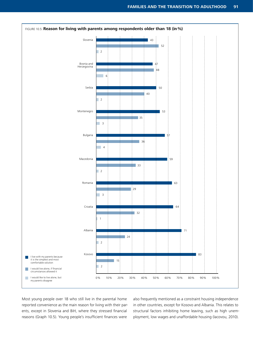

Most young people over 18 who still live in the parental home reported convenience as the main reason for living with their parents, except in Slovenia and BiH, where they stressed financial reasons (Graph 10.5). Young people's insufficient finances were

also frequently mentioned as a constraint housing independence in other countries, except for Kosovo and Albania. This relates to structural factors inhibiting home leaving, such as high unemployment, low wages and unaffordable housing (Iacovou, 2010).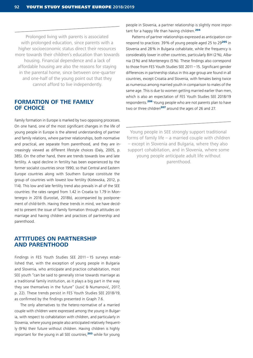Prolonged living with parents is associated with prolonged education, since parents with a higher socioeconomic status direct their resources more towards their children's education than towards housing. Financial dependence and a lack of affordable housing are also the reasons for staying in the parental home, since between one-quarter and one-half of the young point out that they cannot afford to live independently.

#### **FORMATION OF THE FAMILY OF CHOICE**

Family formation in Europe is marked by two opposing processes. On one hand, one of the most significant changes in the life of young people in Europe is the altered understanding of partner and family relations, where partner relationships, both normative and practical, are separate from parenthood, and they are increasingly viewed as different lifestyle choices (Daly, 2005, p. 385). On the other hand, there are trends towards low and late fertility. A rapid decline in fertility has been experienced by the former socialist countries since 1990, so that Central and Eastern Europe countries along with Southern Europe constitute the group of countries with lowest low fertility (Kotewska, 2012, p. 114). This low and late fertility trend also prevails in all of the SEE countries: the rates ranged from 1.42 in Croatia to 1.79 in Montenegro in 2016 (Eurostat, 2018b), accompanied by postponement of child-birth. Having these trends in mind, we have decided to present the issue of family formation through attitudes on marriage and having children and practices of partnership and parenthood.

#### **ATTITUDES ON PARTNERSHIP AND PARENTHOOD**

Findings in FES Youth Studies SEE 2011 – 15 surveys established that, with the exception of young people in Bulgaria and Slovenia, who anticipate and practice cohabitation, most SEE youth "can be said to generally strive towards marriage as a traditional family institution, as it plays a big part in the way they see themselves in the future" (Jusić & Numanović, 2017, p. 22). These trends persist in FES Youth Studies SEE 2018/19, as confirmed by the findings presented in Graph 7.6.

The only alternatives to the hetero-normative of a married couple with children were expressed among the young in Bulgaria, with respect to cohabitation with children, and particularly in Slovenia, where young people also anticipated relatively frequently (9%) their future without children. Having children is highly important for the young in all SEE countries,<sup>203</sup> while for young

people in Slovenia, a partner relationship is slightly more important for a happy life than having children.<sup>204</sup>

Patterns of partner relationships expressed as anticipation correspond to practices: 39% of young people aged 25 to 29<sup>205</sup> in Slovenia and 28% in Bulgaria cohabitate, while the frequency is considerably lower in other countries, particularly BiH (2%), Albania (3%) and Montenegro (5%). These findings also correspond to those from FES Youth Studies SEE 2011–15. Significant gender differences in partnership status in this age group are found in all countries, except Croatia and Slovenia, with females being twice as numerous among married youth in comparison to males of the same age. This is due to women getting married earlier than men, which is also an expectation of FES Youth Studies SEE 2018/19 respondents.<sup>206</sup> Young people who are not parents plan to have two or three children<sup>207</sup> around the ages of 26 and 27.

Young people in SEE strongly support traditional forms of family life – a married couple with children – except in Slovenia and Bulgaria, where they also support cohabitation, and in Slovenia, where some young people anticipate adult life without parenthood.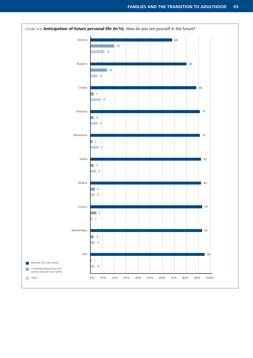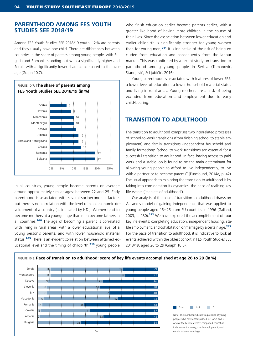# **PARENTHOOD AMONG FES YOUTH STUDIES SEE 2018/19**

Among FES Youth Studies SEE 2018/19 youth, 12% are parents and they usually have one child. There are differences between countries in the share of parents among young people, with Bulgaria and Romania standing out with a significantly higher and Serbia with a significantly lower share as compared to the average (Graph 10.7).



In all countries, young people become parents on average around approximately similar ages: between 22 and 25. Early parenthood is associated with several socioeconomic factors, but there is no correlation with the level of socioeconomic development of a country (as indicated by HDI). Women tend to become mothers at a younger age than men become fathers in all countries.<sup>208</sup> The age of becoming a parent is correlated with living in rural areas, with a lower educational level of a young person's parents, and with lower household material status.<sup>209</sup> There is an evident correlation between attained educational level and the timing of childbirth:<sup>210</sup> young people

who finish education earlier become parents earlier, with a greater likelihood of having more children in the course of their lives. Since the association between lower education and earlier childbirth is significantly stronger for young women than for young men, $211$  it is indicative of the risk of being excluded from education and consequently from the labour market. This was confirmed by a recent study on transition to parenthood among young people in Serbia (Tomanović, Stanojević, & Ljubičić, 2016).

Young parenthood is associated with features of lower SES: a lower level of education, a lower household material status and living in rural areas. Young mothers are at risk of being excluded from education and employment due to early child-bearing.

# **TRANSITION TO ADULTHOOD**

The transition to adulthood comprises two interrelated processes of school-to-work transitions (from finishing school to stable employment) and family transitions (independent household and family formation): "school-to-work transitions are essential for a successful transition to adulthood. In fact, having access to paid work and a stable job is found to be the main determinant for allowing young people to afford to live independently, to live with a partner or to become parents" (Eurofound, 2014a, p. 42). The usual approach to exploring the transition to adulthood is by taking into consideration its dynamics: the pace of realising key life events ('markers of adulthood').

Our analysis of the pace of transition to adulthood draws on Galland's model of gaining independence that was applied to young people aged 16–25 from EU countries in 1996 (Galland, 2003, p. 180).<sup>212</sup> We have explored the accomplishment of four key life events: completing education, independent housing, stable employment, and cohabitation or marriage by a certain age.<sup>213</sup> For the pace of transition to adulthood, it is indicative to look at events achieved within the oldest cohort in FES Youth Studies SEE 2018/19, aged 26 to 29 (Graph 10.8).

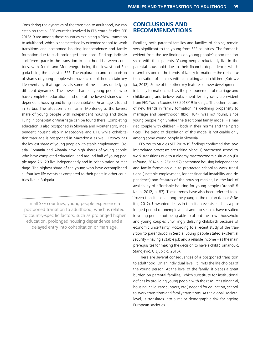Considering the dynamics of the transition to adulthood, we can establish that all SEE countries involved in FES Youth Studies SEE 2018/19 are among those countries exhibiting a 'slow' transition to adulthood, which is characterised by extended school-to-work transitions and postponed housing independence and family formation due to such prolonged transitions. Findings indicate a different pace in the transition to adulthood between countries, with Serbia and Montenegro being the slowest and Bulgaria being the fastest in SEE. The exploration and comparison of shares of young people who have accomplished certain key life events by that age reveals some of the factors underlying different dynamics. The lowest share of young people who have completed education, and one of the lowest shares of independent housing and living in cohabitation/marriage is found in Serbia. The situation is similar in Montenegro: the lowest share of young people with independent housing and those living in cohabitation/marriage can be found there. Completing education is also postponed in Slovenia and Montenegro, independent housing also in Macedonia and BiH, while cohabitation/marriage is postponed in Macedonia as well. Kosovo has the lowest share of young people with stable employment. Croatia, Romania and Albania have high shares of young people who have completed education, and around half of young people aged 26–29 live independently and in cohabitation or marriage. The highest share of the young who have accomplished all four key life events as compared to their peers in other countries live in Bulgaria.

In all SEE countries, young people experience a postponed transition to adulthood, which is related to country-specific factors, such as prolonged higher education, prolonged housing dependence and a delayed entry into cohabitation or marriage.

### **CONCLUSIONS AND RECOMMENDATIONS**

Families, both parental families and families of choice, remain very significant to the young from SEE countries. The former is evident from the key findings on young people's good relationships with their parents. Young people reluctantly live in the parental household due to their financial dependence, which resembles one of the trends of family formation – the re-institutionalisation of families with cohabiting adult children (Kotowska, 2012). Some of the other key features of new developments in family formation, such as the postponement of marriage and childbearing and below-replacement fertility rates are evident from FES Youth Studies SEE 2018/19 findings. The other feature of new trends in family formation, "a declining propensity to marriage and parenthood" (Ibid, 104), was not found, since young people highly value the traditional family model – a married couple with children – both in their norms and their practices. The trend of dissolution of this model is noticeable only among some young people in Slovenia.

FES Youth Studies SEE 2018/19 findings confirmed that two interrelated processes are taking place: 1) protracted school-towork transitions due to a gloomy macroeconomic situation (Eurofound, 2014b, p. 25); and 2) postponed housing independence and family formation due to protracted school-to-work transitions (unstable employment, longer financial instability and dependence) and features of the housing market, i.e. the lack of availability of affordable housing for young people (Drobnič & Knijn, 2012, p. 82). These trends have also been referred to as 'frozen transitions' among the young in the region (Kuhar & Reiter, 2012). Unwanted delays in transition events, such as a prolonged period of unemployment and job search, have resulted in young people not being able to afford their own household and young couples unwillingly delaying childbirth because of economic uncertainty. According to a recent study of the transition to parenthood in Serbia, young people stated existential security – having a stable job and a reliable income – as the main prerequisites for making the decision to have a child (Tomanović, Stanojević, & Ljubičić, 2016).

There are several consequences of a postponed transition to adulthood. On an individual level, it limits the life choices of the young person. At the level of the family, it places a great burden on parental families, which substitute for institutional deficits by providing young people with the resources (financial, housing, child-care support, etc.) needed for education, schoolto-work transitions and family transitions. At the global, societal level, it translates into a major demographic risk for ageing European societies.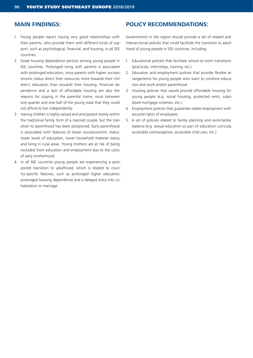### **MAIN FINDINGS:**

- 1. Young people report having very good relationships with their parents, who provide them with different kinds of support, such as psychological, financial, and housing, in all SEE countries.
- 2. Great housing dependence persists among young people in SEE countries. Prolonged living with parents is associated with prolonged education, since parents with higher socioeconomic status direct their resources more towards their children's education than towards their housing. Financial dependence and a lack of affordable housing are also the reasons for staying in the parental home, since between one-quarter and one-half of the young state that they could not afford to live independently.
- 3. Having children is highly valued and anticipated mostly within the traditional family form of a married couple, but the transition to parenthood has been postponed. Early parenthood is associated with features of lower socioeconomic status: lower levels of education, lower household material status, and living in rural areas. Young mothers are at risk of being excluded from education and employment due to the costs of early motherhood.
- 4. In all SEE countries young people are experiencing a postponed transition to adulthood, which is related to country-specific features, such as prolonged higher education, prolonged housing dependence and a delayed entry into cohabitation or marriage.

# **POLICY RECOMMENDATIONS:**

Governments in the region should provide a set of related and intersectional policies that could facilitate the transition to adulthood of young people in SEE countries, including:

- 1. Educational policies that facilitate school-to-work transitions (practicals, internships, training, etc.).
- 2. Education and employment policies that provide flexible arrangements for young people who want to combine education and work and/or parenthood.
- 3. Housing policies that would provide affordable housing for young people (e.g. social housing, protected rents, subsidised mortgage schemes, etc.).
- 4. Employment policies that guarantee stable employment with secured rights of employees.
- 5. A set of policies related to family planning and work-family balance (e.g. sexual education as part of education curricula, accessible contraceptives, accessible child care, etc.).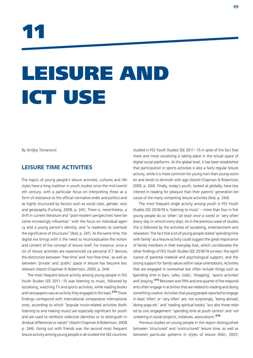

# LEISURE AND ICT USE

By Smiljka Tomanović

# **LEISURE TIME ACTIVITIES**

The topics of young people's leisure activities, cultures and lifestyles have a long tradition in youth studies since the mid-twentieth century, with a particular focus on interpreting these as a form of resistance to the official normative order and politics and as highly structured by factors such as social class, gender, race and geography (Furlong, 2009, p. 241). There is, nevertheless, a shift in current literature and "post-modern perspectives have become increasingly influential," with the focus on individual agency and a young person's identity, and "a readiness to overlook the significance of structures" (Ibid, p. 241). At the same time, the digital era brings with it the need to reconceptualise the notion and content of the concept of leisure itself. For instance, since a lot of leisure activities are experienced via personal ICT devices, the distinction between 'free time' and 'non-free time,' as well as between 'private' and 'public' space in leisure has become less relevant (Abott-Chapman & Robertson, 2009, p. 244).

The most frequent leisure activity among young people in FES Youth Studies SEE 2011–15 was listening to music, followed by socialising, watching TV and sports activities, while reading books and newspapers was an activity they engaged in the least.<sup>214</sup> These findings correspond with international comparative international ones, according to which "popular music-related activities (both listening to and making music) are especially significant for youth and are used to reinforce collective identities or to distinguish individual differences or values" (Abott-Chapman & Robertson, 2009, p. 244). Going out with friends was the second most frequent leisure activity among young people in all studied the SEE countries

studied in FES Youth Studies SEE 2011–15 in spite of the fact that more and more socialising is taking place in the virtual space of digital social platforms. At the global level, it has been established that participation in sports activities is also a fairly regular leisure activity, while it is more common for young men than young women and tends to diminish with age (Abott-Chapman & Robertson, 2009, p. 244). Finally, today's youth, looked at globally, have less interest in reading for pleasure than their parents' generation because of the many competing leisure activities (Ibid, p. 244).

The most frequent single activity among youth in FES Youth Studies SEE 2018/19 is 'listening to music' – more than four in five young people do so 'often' (*at least once a week)* or 'very often' *(every day or almost every day*). As in the previous wave of studies, this is followed by the activities of socialising, entertainment and relaxation. The fact that a lot of young people stated 'spending time with family' as a leisure activity could suggest the great importance of family members in their everyday lives, which corroborates the other findings of FES Youth Studies SEE 2018/19 surveys: the significance of parental material and psychological support, and the strong support for family values within value orientations. Activities that are engaged in somewhat less often include things such as 'spending time in bars, cafes, clubs', 'shopping', 'sports activities' and 'praying.<sup>215</sup> Between one-fifth and one quarter of the respondents often engage in activities that are related to reading and doing something creative. Activities that young people reported to engage in least 'often' or 'very often' are, not surprisingly, 'being abroad', 'doing yoga etc.' and 'reading spiritual books,' but also those related to civic engagement: 'spending time at youth centres' and 'volunteering in social projects, initiatives, associations.'<sup>216</sup>

Previous studies on young people in the region distinguished between 'structured' and 'unstructured' leisure time, as well as between particular patterns in styles of leisure (Ilišin, 2007;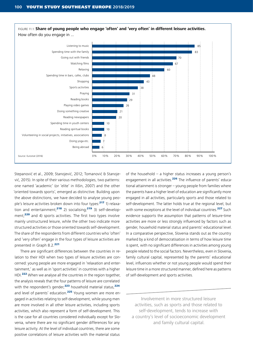

Stepanović et al., 2009; Stanojević, 2012; Tomanović & Stanojević, 2015). In spite of their various methodologies, two patterns: one named 'academic' (or 'elite' in Ilišin, 2007) and the other 'oriented towards sports', emerged as distinctive. Building upon the above distinctions, we have decided to analyse young people's leisure activities broken down into four types:<sup>217</sup> 1) relaxation and entertainment;<sup>218</sup> 2) socialising;<sup>219</sup> 3) self-development;<sup>220</sup> and 4) sports activities. The first two types involve mainly unstructured leisure, while the other two indicate more structured activities or those oriented towards self-development. The share of the respondents from different countries who 'often' and 'very often' engage in the four types of leisure activities are presented in Graph 8.2.<sup>221</sup>

There are significant differences between the countries in relation to their HDI when two types of leisure activities are concerned: young people are more engaged in 'relaxation and entertainment,' as well as in 'sport activities' in countries with a higher HDI.<sup>222</sup> When we analyse all the countries in the region together, the analysis reveals that the four patterns of leisure are correlated with the respondent's gender,<sup>223</sup> household material status,<sup>224</sup> and level of parents' education.<sup>225</sup> Young women are more engaged in activities relating to self-development, while young men are more involved in all other leisure activities, including sports activities, which also represent a form of self-development. This is the case for all countries considered individually except for Slovenia, where there are no significant gender differences for any leisure activity. At the level of individual countries, there are some positive correlations of leisure activities with the material status

of the household – a higher status increases a young person's engagement in all activities.<sup>226</sup> The influence of parents' educational attainment is stronger – young people from families where the parents have a higher level of education are significantly more engaged in all activities, particularly sports and those related to self-development. The latter holds true at the regional level, but with some exceptions at the level of individual countries.<sup>227</sup> Such evidence supports the assumption that patterns of leisure-time activities are more or less strongly influenced by factors such as gender, household material status and parents' educational level. In a comparative perspective, Slovenia stands out as the country marked by a kind of democratisation in terms of how leisure time is spent, with no significant differences in activities among young people related to the social factors. Nevertheless, even in Slovenia, family cultural capital, represented by the parents' educational level, influences whether or not young people would spend their leisure time in a more structured manner, defined here as patterns of self-development and sports activities.

Involvement in more structured leisure activities, such as sports and those related to self-development, tends to increase with a country's level of socioeconomic development and family cultural capital.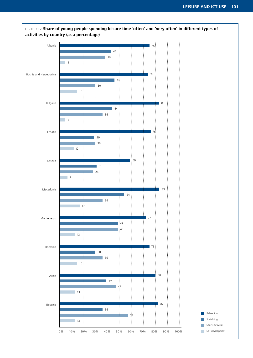

FIGURE 11.2: **Share of young people spending leisure time 'often' and 'very often' in different types of**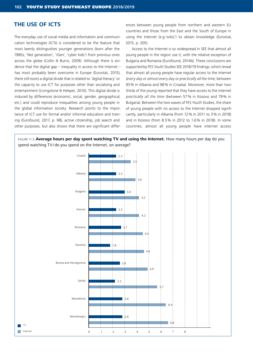# **THE USE OF ICTS**

The everyday use of social media and information and communication technologies (ICTs) is considered to be the feature that most keenly distinguishes younger generations (born after the 1980s; 'Net generation', 'iGen', 'cyber kids') from previous ones across the globe (Collin & Burns, 2009). Although there is evidence that the digital gap – inequality in access to the Internet – has most probably been overcome in Europe (Eurostat, 2015), there still exists a digital divide that is related to 'digital literacy' or the capacity to use ICT for purposes other than socialising and entertainment (Livingstone & Helsper, 2010). This digital divide is induced by differences (economic, social, gender, geographical, etc.) and could reproduce inequalities among young people in the global information society. Research points to the importance of ICT use for formal and/or informal education and training (Eurofound, 2017, p. 98), active citizenship, job search and other purposes, but also shows that there are significant differences between young people from northern and western EU countries and those from the East and the South of Europe in using the Internet (e.g.'wikis') to obtain knowledge (Eurostat, 2015, p. 205).

Access to the Internet is so widespread in SEE that almost all young people in the region use it, with the relative exception of Bulgaria and Romania (Eurofound, 2014b). These conclusions are supported by FES Youth Studies SEE 2018/19 findings, which reveal that almost all young people have regular access to the Internet *(every day or almost every day* or *practically all the time;* between 93% in Albania and 98% in Croatia). Moreover, more than twothirds of the young reported that they have access to the Internet *practically all the time* (between 57% in Kosovo and 79% in Bulgaria). Between the two waves of FES Youth Studies, the share of young people with no access to the Internet dropped significantly, particularly in Albania (from 12% in 2011 to 3% in 2018) and in Kosovo (from 8.5% in 2012 to 1.6% in 2018). In some countries, almost all young people have internet access

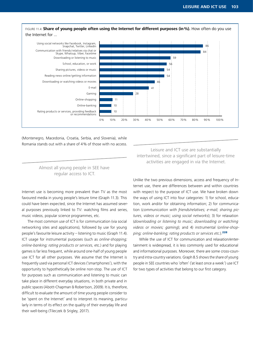

(Montenegro, Macedonia, Croatia, Serbia, and Slovenia), while Romania stands out with a share of 4% of those with no access.

#### Almost all young people in SEE have regular access to ICT.

Internet use is becoming more prevalent than TV as the most favoured media in young people's leisure time (Graph 11.3). This could have been expected, since the Internet has assumed several purposes previously linked to TV: watching films and series, music videos, popular science programmes, etc.

The most common use of ICT is for communication (via social networking sites and applications), followed by use for young people's favourite leisure activity – listening to music (Graph 11.4). ICT usage for instrumental purposes (such as *online-shopping; online-banking; rating products or services,* etc.) and for playing games is far less frequent, while around one-half of young people use ICT for all other purposes. We assume that the Internet is frequently used via personal ICT devices ('smartphones'), with the opportunity to hypothetically be online non-stop. The use of ICT for purposes such as communication and listening to music can take place in different everyday situations, in both private and in public spaces (Abott-Chapman & Robertson, 2009). It is, therefore, difficult to evaluate the amount of time young people consider to be 'spent on the Internet' and to interpret its meaning, particularly in terms of its effect on the quality of their everyday life and their well-being (Tileczek & Srigley, 2017).

Leisure and ICT use are substantially intertwined, since a significant part of leisure-time activities are engaged in via the Internet.

Unlike the two previous dimensions, access and frequency of Internet use, there are differences between and within countries with respect to the purpose of ICT use. We have broken down the ways of using ICT into four categories: 1) for school, education, work and/or for obtaining information; 2) for communication (*communication with friends/relatives; e-mail; sharing pictures, videos or music; using social networks*); 3) for relaxation (*downloading or listening to music; downloading or watching videos or movies; gaming*); and 4) instrumental (*online-shopping; online-banking; rating products or services etc.*).<sup>228</sup>

While the use of ICT for communication and relaxation/entertainment is widespread, it is less commonly used for educational and informational purposes. Moreover, there are some cross-country and intra-country variations. Graph 8.5 shows the share of young people in SEE countries who 'often' ('at least once a week') use ICT for two types of activities that belong to our first category.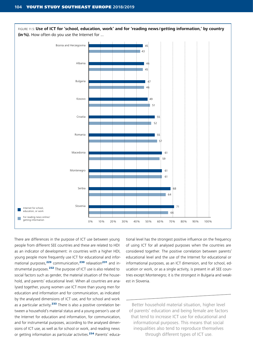

There are differences in the purpose of ICT use between young people from different SEE countries and these are related to HDI as an indicator of development: in countries with a higher HDI, young people more frequently use ICT for educational and informational purposes,<sup>229</sup> communication,<sup>230</sup> relaxation<sup>231</sup> and instrumental purposes.<sup>232</sup> The purpose of ICT use is also related to social factors such as gender, the material situation of the household, and parents' educational level. When all countries are analysed together, young women use ICT more than young men for education and information and for communication, as indicated by the analysed dimensions of ICT use, and for school and work as a particular activity.<sup>233</sup> There is also a positive correlation between a household's material status and a young person's use of the Internet for education and information, for communication, and for instrumental purposes, according to the analysed dimensions of ICT use, as well as for school or work, and reading news or getting information as particular activities.<sup>234</sup> Parents' educational level has the strongest positive influence on the frequency of using ICT for all analysed purposes when the countries are considered together. The positive correlation between parents' educational level and the use of the Internet for educational or informational purposes, as an ICT dimension, and for school, education or work, or as a single activity, is present in all SEE countries except Montenegro; it is the strongest in Bulgaria and weakest in Slovenia.

Better household material situation, higher level of parents' education and being female are factors that tend to increase ICT use for educational and informational purposes. This means that social inequalities also tend to reproduce themselves through different types of ICT use.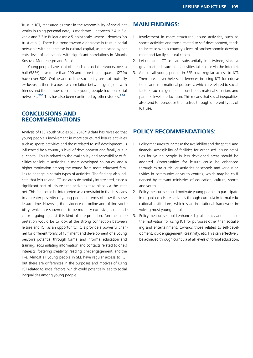Trust in ICT, measured as trust in the responsibility of social networks in using personal data, is moderate – between 2.4 in Slovenia and 3.3 in Bulgaria (on a 5-point scale, where 1 denotes 'no trust at all'). There is a trend toward a decrease in trust in social networks with an increase in cultural capital, as indicated by parents' level of education, with significant correlations in Albania, Kosovo, Montenegro and Serbia.

Young people have a lot of friends on social networks: over a half (58%) have more than 200 and more than a quarter (27%) have over 500. Online and offline sociability are not mutually exclusive, as there is a positive correlation between going out with friends and the number of contacts young people have on social networks.<sup>235</sup> This has also been confirmed by other studies.<sup>236</sup>

# **CONCLUSIONS AND RECOMMENDATIONS**

Analysis of FES Youth Studies SEE 2018/19 data has revealed that young people's involvement in more structured leisure activities, such as sports activities and those related to self-development, is influenced by a country's level of development and family cultural capital. This is related to the availability and accessibility of facilities for leisure activities in more developed countries, and a higher motivation among the young from more educated families to engage in certain types of activities. The findings also indicate that leisure and ICT use are substantially interrelated, since a significant part of leisure-time activities take place via the Internet. This fact could be interpreted as a constraint in that it is leads to a greater passivity of young people in terms of how they use leisure time. However, the evidence on online and offline sociability, which are shown not to be mutually exclusive, is one indicator arguing against this kind of interpretation. Another interpretation would be to look at the strong connection between leisure and ICT as an opportunity. ICTs provide a powerful channel for different forms of fulfilment and development of a young person's potential through formal and informal education and training, accumulating information and contacts related to one's interests, fostering creativity, reading, civic engagement, and the like. Almost all young people in SEE have regular access to ICT, but there are differences in the purposes and motives of using ICT related to social factors, which could potentially lead to social inequalities among young people.

# **MAIN FINDINGS:**

- 1. Involvement in more structured leisure activities, such as sports activities and those related to self-development, tends to increase with a country's level of socioeconomic development and family cultural capital.
- 2. Leisure and ICT use are substantially intertwined, since a great part of leisure time activities take place via the Internet.
- 3. Almost all young people in SEE have regular access to ICT. There are, nevertheless, differences in using ICT for educational and informational purposes, which are related to social factors, such as gender, a household's material situation, and parents' level of education. This means that social inequalities also tend to reproduce themselves through different types of ICT use.

## **POLICY RECOMMENDATIONS:**

- 1. Policy measures to increase the availability and the spatial and financial accessibility of facilities for organised leisure activities for young people in less developed areas should be adopted. Opportunities for leisure could be enhanced through extra-curricular activities at schools and various activities in community or youth centres, which may be co-financed by relevant ministries of education, culture, sports and youth.
- 2. Policy measures should motivate young people to participate in organised leisure activities through curricula in formal educational institutions, which is an institutional framework involving most young people.
- 3. Policy measures should enhance digital literacy and influence the motivation for using ICT for purposes other than socialising and entertainment, towards those related to self-development, civic engagement, creativity, etc. This can effectively be achieved through curricula at all levels of formal education.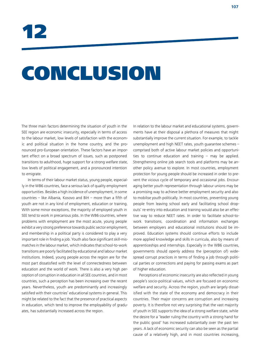12

# CONCLUSION

The three main factors determining the situation of youth in the SEE region are economic insecurity, especially in terms of access to the labour market, low levels of satisfaction with the economic and political situation in the home country, and the pronounced pro-European orientation. These factors have an important effect on a broad spectrum of issues, such as postponed transitions to adulthood, huge support for a strong welfare state, low levels of political engagement, and a pronounced intention to emigrate.

In terms of their labour market status, young people, especially in the WB6 countries, face a serious lack of quality employment opportunities. Besides a high incidence of unemployment, in some countries – like Albania, Kosovo and BiH – more than a fifth of youth are not in any kind of employment, education or training. With some minor exceptions, the majority of employed youth in SEE tend to work in precarious jobs. In the WB6 countries, where problems with employment are the most acute, young people exhibit a very strong preference towards public sector employment, and membership in a political party is considered to play a very important role in finding a job. Youth also face significant skill-mismatches in the labour market, which indicates that school-to-work transitions are poorly facilitated by educational and labour market institutions. Indeed, young people across the region are for the most part dissatisfied with the level of connectedness between education and the world of work. There is also a very high perception of corruption in education in all SEE countries, and in most countries, such a perception has been increasing over the recent years. Nevertheless, youth are predominantly and increasingly satisfied with their countries' educational systems in general. This might be related to the fact that the presence of practical aspects in education, which tend to improve the employability of graduates, has substantially increased across the region.

In relation to the labour market and educational systems, governments have at their disposal a plethora of measures that might substantially improve the current situation. For example, to tackle unemployment and high NEET rates, youth guarantee schemes – comprised both of active labour market policies and opportunities to continue education and training – may be applied. Strengthening online job search tools and platforms may be another policy avenue to explore. In most countries, employment protection for young people should be increased in order to prevent the vicious cycle of temporary and occasional jobs. Encouraging better youth representation through labour unions may be a promising way to achieve better employment security and also to mobilise youth politically. In most countries, preventing young people from leaving school early and facilitating school dropouts' re-entry into education and training would also be an effective way to reduce NEET rates. In order to facilitate school-towork transitions, coordination and information exchanges between employers and educational institutions should be improved. Education systems should continue efforts to include more applied knowledge and skills in curricula, also by means of apprenticeships and internships. Especially in the WB6 countries, governments should openly address the (perception of) widespread corrupt practices in terms of finding a job through political parties or connections and paying for passing exams as part of higher education.

Perceptions of economic insecurity are also reflected in young people's socio-political values, which are focused on economic welfare and security. Across the region, youth are largely dissatisfied with the state of the economy and democracy in their countries. Their major concerns are corruption and increasing poverty. It is therefore not very surprising that the vast majority of youth in SEE supports the idea of a strong welfare state, while the desire for a 'leader ruling the country with a strong hand for the public good' has increased substantially over the past ten years. A lack of economic security can also be seen as the partial cause of a relatively high, and in most countries increasing,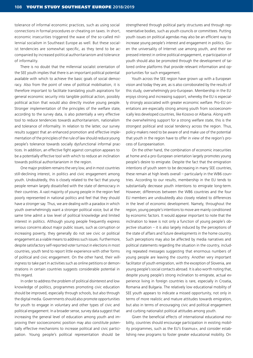tolerance of informal economic practices, such as using social connections in formal procedures or cheating on taxes. In short, economic insecurities triggered the wave of the so-called millennial socialism in Southeast Europe as well. But these socialist tendencies are somewhat specific, as they tend to be accompanied by increased political authoritarianism and tolerance of informality.

There is no doubt that the millennial socialist orientation of the SEE youth implies that there is an important political potential available with which to achieve the basic goals of social democracy. Also from the point of view of political mobilisation, it is therefore important to facilitate translating youth aspirations for general economic security into tangible political action, possibly political action that would also directly involve young people. Stronger implementation of the principles of the welfare state, according to the survey data, is also potentially a very effective tool to reduce tendencies towards authoritarianism, nationalism and tolerance of informality. In relation to the latter, our survey results suggest that an enhanced promotion and effective implementation of the principles of the rule of law should reduce young people's tolerance towards socially dysfunctional informal practices. In addition, an effective fight against corruption appears to be a potentially effective tool with which to reduce an inclination towards political authoritarianism in the region.

One major problem remains the very low, and in most countries still-declining interest, in politics and civic engagement among youth. Undoubtedly, this is closely related to the fact that young people remain largely dissatisfied with the state of democracy in their countries. A vast majority of young people in the region feel poorly represented in national politics and feel that they should have a stronger say. Thus, we are dealing with a paradox in which youth overwhelmingly want a stronger political voice, but at the same time admit a low level of political knowledge and limited interest in politics. Although young people frequently express serious concerns about major public issues, such as corruption or increasing poverty, they generally do not see civic or political engagement as a viable means to address such issues. Furthermore, despite satisfactory self-reported voter turnout in elections in most countries, youth tend to report little experience with other forms of political and civic engagement. On the other hand, their willingness to take part in activities such as online petitions or demonstrations in certain countries suggests considerable potential in this regard.

In order to address the problem of political disinterest and low knowledge of politics, programmes promoting civic education should be improved, especially through schools, but also through the digital media. Governments should also promote opportunities for youth to engage in voluntary and other types of civic and political engagement. In a broader sense, survey data suggest that increasing the general level of education among youth and improving their socioeconomic position may also constitute potentially effective mechanisms to increase political and civic participation. Young people's political representation should be

strengthened through political party structures and through representative bodies, such as youth councils or committees. Putting youth issues on political agendas may also be an efficient way to increase young people's interest and engagement in politics. Given the universality of Internet use among youth, and their expressed interest in online political engagement, e-participation of youth should also be promoted through the development of tailored online platforms that provide relevant information and opportunities for such engagement.

Youth across the SEE region have grown up with a European vision and today they are, as is also corroborated by the results of this study, overwhelmingly pro-European. Membership in the EU enjoys strong and increasing support, whereby the EU is especially strongly associated with greater economic welfare. Pro-EU orientations are especially strong among youth from socioeconomically less developed countries, like Kosovo or Albania. Along with the overwhelming support for a strong welfare state, this is the strongest political and social tendency across the region. Thus, policy-makers need to be aware of and make use of the potential that youth in the region have to offer in view of the region's process of Europeanisation.

On the other hand, the combination of economic insecurities at home and a pro-European orientation largely promotes young people's desire to emigrate. Despite the fact that the emigration intentions of youth seem to be decreasing in many SEE countries, these remain at high levels overall – particularly in the WB6 countries. According to our results, membership in the EU tends to substantially decrease youth intentions to emigrate long-term. However, differences between the WB6 countries and the four EU members are undoubtedly also closely related to differences in the level of economic development. Namely, throughout the region, young people's intentions to move are mainly conditioned by economic factors. It would appear important to note that the inclination to leave is not only a function of young people's objective situation – it is also largely induced by the perceptions of the state of affairs and future developments in the home country. Such perceptions may also be affected by media narratives and political statements regarding the situation in the country, including repeated messages suggesting that enormous numbers of young people are leaving the country. Another very important facilitator of youth emigration, with the exception of Slovenia, are young people's social contacts abroad. It is also worth noting that, despite young people's strong inclination to emigrate, actual experience living in foreign countries is rare, especially in Croatia, Romania and Bulgaria. The relatively low educational mobility of SEE youth appears to indicate a missed opportunity, not only in terms of more realistic and mature attitudes towards emigration, but also in terms of encouraging civic and political engagement and curbing nationalist political attitudes among youth.

Given the beneficial effects of international educational mobility, countries should encourage participation in existing mobility programmes, such as the EU's Erasmus+, and consider establishing new programs to foster greater educational mobility. On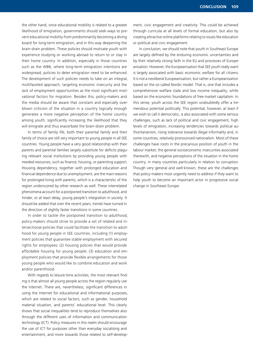the other hand, since educational mobility is related to a greater likelihood of emigration, governments should seek ways to prevent educational mobility from predominantly becoming a diving board for long-term emigration, and in this way deepening the brain-drain problem. These policies should motivate youth with experience studying or working abroad to return to or stay in their home country. In addition, especially in those countries such as the WB6, where long-term emigration intentions are widespread, policies to deter emigration need to be enhanced. The development of such policies needs to take on an integral, multifaceted approach, targeting economic insecurity and the lack of employment opportunities as the most significant motivational factors for migration. Besides this, policy-makers and the media should be aware that constant and especially overblown criticism of the situation in a country logically enough generates a more negative perception of the home country among youth, significantly increasing the likelihood that they will emigrate and thus exacerbate the brain-drain problem.

In terms of family life, both their parental family and their family of choice are still very important to young people in all SEE countries. Young people have a very good relationship with their parents and parental families largely substitute for deficits plaguing relevant social institutions by providing young people with needed resources, such as finance, housing, or parenting support. Housing dependency, together with prolonged education and financial dependence due to unemployment, are the main reasons for prolonged living with parents, which is a characteristic of the region underscored by other research as well. These interrelated phenomena account for a postponed transition to adulthood, and hinder, or at least delay, young people's integration in society. It should be added that over the recent years, trends have turned in the direction of slightly faster transitions in some countries.

In order to tackle the postponed transition to adulthood, policy-makers should strive to provide a set of related and intersectional policies that could facilitate the transition to adulthood for young people in SEE countries, including (1) employment policies that guarantee stable employment with secured rights for employees; (2) housing policies that would provide affordable housing for young people; (3) education and employment policies that provide flexible arrangements for those young people who would like to combine education and work and/or parenthood.

With regards to leisure-time activities, the most relevant finding is that almost all young people across the region regularly use the Internet. There are, nevertheless, significant differences in using the Internet for educational and informational purposes, which are related to social factors, such as gender, household material situation, and parents' educational level. This clearly shows that social inequalities tend to reproduce themselves also through the different uses of information and communication technology (ICT). Policy measures in this realm should encourage the use of ICT for purposes other than everyday socialising and entertainment, and more towards those related to self-develop-

ment, civic engagement and creativity. This could be achieved through curricula at all levels of formal education, but also by creating attractive online platforms relating to issues like education or political and civic engagement.

In conclusion, we should note that youth in Southeast Europe are largely defined by the enduring economic uncertainties and by their relatively strong faith in the EU and processes of Europeanisation. However, the Europeanisation that SEE youth really want is largely associated with basic economic welfare for all citizens. It is not a neoliberal Europeanisation, but rather a Europeanisation based on the so-called Nordic model. That is, one that includes a comprehensive welfare state and low income inequality, while based on the economic foundations of free market capitalism. In this sense, youth across the SEE region undoubtedly offer a tremendous potential politically. This potential, however, at least if we wish to call it democratic, is also associated with some serious challenges, such as lack of political and civic engagement, high levels of emigration, increasing tendencies towards political authoritarianism, rising tolerance towards illegal informality and, in some countries, relatively pronounced nationalism. Most of these challenges have roots in the precarious position of youth in the labour market, the general socioeconomic insecurities associated therewith, and negative perceptions of the situation in the home country, in many countries particularly in relation to corruption. Though very general and well-known, these are the challenges that policy-makers most urgently need to address if they want to help youth to become an important actor in progressive social change in Southeast Europe.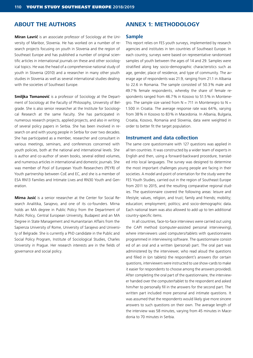# **ABOUT THE AUTHORS**

**Miran Lavrič** is an associate professor of Sociology at the University of Maribor, Slovenia. He has worked on a number of research projects focusing on youth in Slovenia and the region of Southeast Europe and has published a number of original scientific articles in international journals on these and other sociological topics. He was the head of a comprehensive national study of youth in Slovenia (2010) and a researcher in many other youth studies in Slovenia as well as several international studies dealing with the societies of Southeast Europe.

**Smiljka Tomanović** is a professor of Sociology at the Department of Sociology at the Faculty of Philosophy, University of Belgrade. She is also senior researcher at the Institute for Sociological Research at the same Faculty. She has participated in numerous research projects, applied projects, and also in writing of several policy papers in Serbia. She has been involved in research on and with young people in Serbia for over two decades. She has participated as a member, researcher and consultant in various meetings, seminars, and conferences concerned with youth policies, both at the national and international levels. She is author and co-author of seven books, several edited volumes, and numerous articles in international and domestic journals. She was member of Pool of European Youth Researchers (PEYR) of Youth partnership between CoE and EC, and she is a member of ESA RN13 Families and Intimate Lives and RN30 Youth and Generation.

**Mirna Jusić** is a senior researcher at the Center for Social Research Analitika, Sarajevo, and one of its co-founders. Mirna holds an MA degree in Public Policy from the Department of Public Policy, Central European University, Budapest and an MA Degree in State Management and Humanitarian Affairs from the Sapienza University of Rome, University of Sarajevo and University of Belgrade. She is currently a PhD candidate in the Public and Social Policy Program, Institute of Sociological Studies, Charles University in Prague. Her research interests are in the fields of governance and social policy.

# **ANNEX 1: METHODOLOGY**

#### **Sample**

This report relies on FES youth surveys, implemented by research agencies and institutes in ten countries of Southeast Europe. In each country, surveys were based on representative randomised samples of youth between the ages of 14 and 29. Samples were stratified along key socio-demographic characteristics such as age, gender, place of residence, and type of community. The average age of respondents was 21.9, ranging from 21.1 in Albania to 22.6 in Romania. The sample consisted of 50.3% male and 49.7% female respondents, whereby the share of female respondents ranged from 46.7% in Kosovo to 51.5% in Montenegro. The sample size varied from  $N = 711$  in Montenegro to  $N =$ 1.500 in Croatia. The average response rate was 64%, varying from 38% in Kosovo to 83% in Macedonia. In Albania, Bulgaria, Croatia, Kosovo, Romania and Slovenia, data were weighted in order to better fit the target population.

#### **Instrument and data collection**

The same core questionnaire with 127 questions was applied in all ten countries. It was constructed by a wider team of experts in English and then, using a forward-backward procedure, translated into local languages. The survey was designed to determine the most important challenges young people are facing in their societies. A model and point of orientation for the study were the FES Youth Studies, carried out in the region of Southeast Europe from 2011 to 2015, and the resulting comparative regional studies. The questionnaire covered the following areas: leisure and lifestyle; values, religion, and trust; family and friends; mobility; education; employment; politics; and socio-demographic data. Each national team was also allowed to add up to ten additional country-specific items.

In all countries, face-to-face interviews were carried out using the CAPI method (computer-assisted personal interviewing), where interviewers used computers/tablets with questionnaires programmed in interviewing software. The questionnaire consisted of an oral and a written (personal) part. The oral part was administered by the interviewer, who read aloud the questions and filled in (on tablets) the respondent's answers (for certain questions, interviewers were instructed to use show-cards to make it easier for respondents to choose among the answers provided). After completing the oral part of the questionnaire, the interviewer handed over the computer/tablet to the respondent and asked him/her to personally fill in the answers for the second part. The written part included more personal and intimate questions. It was assumed that the respondents would likely give more sincere answers to such questions on their own. The average length of the interview was 58 minutes, varying from 45 minutes in Macedonia to 70 minutes in Serbia.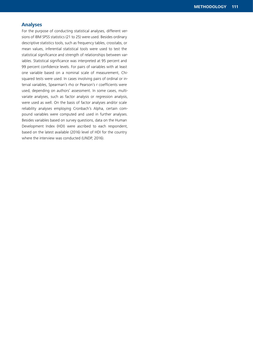## **Analyses**

For the purpose of conducting statistical analyses, different versions of IBM SPSS statistics (21 to 25) were used. Besides ordinary descriptive statistics tools, such as frequency tables, crosstabs, or mean values, inferential statistical tools were used to test the statistical significance and strength of relationships between variables. Statistical significance was interpreted at 95 percent and 99 percent confidence levels. For pairs of variables with at least one variable based on a nominal scale of measurement, Chisquared tests were used. In cases involving pairs of ordinal or interval variables, Spearman's rho or Pearson's r coefficients were used, depending on authors' assessment. In some cases, multivariate analyses, such as factor analysis or regression analysis, were used as well. On the basis of factor analyses and/or scale reliability analyses employing Cronbach's Alpha, certain compound variables were computed and used in further analyses. Besides variables based on survey questions, data on the Human Development Index (HDI) were ascribed to each respondent, based on the latest available (2016) level of HDI for the country where the interview was conducted (UNDP, 2016).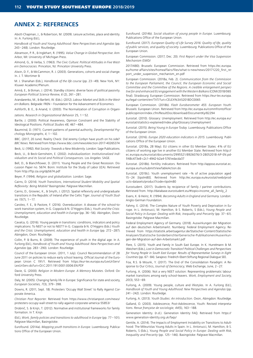### **ANNEX 2: REFERENCES**

Abott-Chapman, J., & Robertson, M. (2009). Leisure activities, place and identity. In: A. Furlong (Ed.),

*Handbook of Youth and Young Adulthood: New Perspectives and Agendas* (pp. 243–248). London: Routledge.

Abramson, P. R., & Inglehart, R. (1995). *Value Change in Global Perspective*. Ann Arbor, MI: University of Michigan Press.

Almond, G., & Verba, S. (1963). *The Civic Culture: Political Attitudes in Five Western Democracies*. Princeton, NJ: Princeton University Press.

Alwin, D. F., & McCammon, R. J. (2003). Generations, cohorts and social change. In. J. T. Mortimer &

M. J. Shanahan (Eds.), *Handbook of the life course* (pp. 23–49). New York, NY: Kluwer Academic/Plenum.

Amnå, E., & Ekman, J. (2014). Standby citizens: diverse faces of political passivity. *European Political Science Review*, *6* (2), 261–281.

Arandarenko, M., & Bartlett, W. (Eds.). (2012). *Labour Market and Skills in the Western Balkans*. Belgrade: FREN – Foundation for the Advancement of Economics.

Ashforth, B. E., & Anand, V. (2003). The Normalization of Corruption in Organi-

zations. *Research in Organizational Behavior* 25, 1 – 52.

Bartle, J. (2000). Political Awareness, Opinion Constraint and the Stability of Ideological Positions. *Political Studies 48*, 467–484.

Baumrind, D. (1971). Current patterns of parental authority, *Developmental Psychology Monographs*, *4*, 1–102.

BBC. (2017, 20 June). Reality Check: Did Jeremy Corbyn have youth on his side? *BBC News*. Retrieved from https://www.bbc.com/news/election-2017-40265374 Beck, U. (1992). *Risk Society: Towards a New Modernity*. London: Sage Publications.

Beck, U., & Beck-Gernsheim, E. (2002). *Individualization: Institutionalized Individualism and its Social and Political Consequences.* Los Angeles: SAGE.

Bell, D., & Blanchflower, D. (2011). Young People and the Great Recession. Discussion Paper no. 5674. Bonn: Institute for the Study of Labor (IZA). Retrieved from http://ftp.iza.org/dp5674.pdf

Beyer, P. (1994). *Religion and globalization*. London: Sage.

Cairns, D. (2014). *Youth Transitions, International Student Mobility and Spatial Reflexivity: Being Mobile?* Basingstoke: Palgrave Macmillan.

Cairns, D., Growiec, K., & Smyth, J. (2012). Spatial reflexivity and undergraduate transitions in the Republic of Ireland after the Celtic Tiger. *Journal of Youth Studies 15*(7), 1–17.

Caroleo, F. E., & Pastore, F. (2016). Overeducation: A disease of the school-towork transition system, In G. Coppola & N. O'Higgins (Eds.), *Youth and the Crisis: Unemployment, education and health in Europe* (pp. 36–56)*.* Abingdon, Oxon: Routledge.

Cavalca, G. (2016). Young people in transitions: conditions, indicators and policy implications: To NEET or not to NEET? In G. Coppola & N. O'Higgins (Eds.) *Youth*  and the Crisis: Unemployment, education and health in Europe (pp. 272–287). Abingdon, Oxon: Routledge.

Collin, P. & Burns, B. (2009). The experience of youth in the digital age. In A. Furlong (Ed.), *Handbook of Youth and Young Adulthood: New Perspectives and Agendas* (pp. 283–290). London: Routledge.

Council of the European Union. (2011, 1 July). Council Recommendation of 28 June 2011 on policies to reduce early school leaving. Official Journal of the European Union C 191/1. Retrieved from https://eur-lex.europa.eu/LexUriServ/ LexUriServ.do?uri=OJ:C:2011:191:0001:0006:EN:PDF

Davie, G. (2000). *Religion in Modern Europe. A Memory Mutates*. Oxford: Oxford University Press.

Daly, M. (2005). Changing family life in Europe: Significance for state and society, *European Societies, 7*(3), 379–398.

Downs, R. (2011, Sept. 18). Protesters 'Occupy Wall Street' to Rally Against Corporate America.

*Christian Post Reporter*. Retrieved from https://www.christianpost.com/news/ protesters-occupy-wall-street-to-rally-against-corporate-america-55853/

Drobnič, S. & Knijn, T. (2012). Normative and institutional frameworks for family formation. In T. Knijn

(Ed.), *Work, family policies and transitions to adulthood in Europe* (pp. 77–101). Palgrave Macmillan, Basingstoke.

Eurofound. (2014a). *Mapping youth transitions in Europe*. Luxembourg: Publications Office of the European Union.

Eurofound. (2014b). *Social situation of young people in Europe*. Luxembourg: Publications Office of the European Union.

Eurofound. (2017). *European Quality of Life Survey 2016: Quality of life, quality of public services, and quality of society*. Luxembourg: Publications Office of the European Union.

European Commission. (2017, Dec. 20). *First Report under the Visa Suspension Mechanism* (SWD/

2017/480). Brussels: European Commission. Retrieved from https://ec.europa. eu/home-affairs/sites/homeaffairs/files/what-is-new/news/20171220\_first\_report\_under\_suspension\_mechanism\_en.pdf

European Commission. (2018a, Feb. 2). *Communication from the Commission to the European Parliament, the Council, the European Economic and Social Committee and the Committee of the Regions*. *A credible enlargement perspective for and enhanced EU engagement with the Western Balkans* (COM/2018/065 final). Strasbourg: European Commission. Retrieved from https://eur-lex.europa. eu/legal-content/en/TXT/?uri=CELEX%3A52018DC0065

European Commission. (2018b). *Flash Eurobarometer 455: European Youth*. Brussels: European Union. Retrieved from http://ec.europa.eu/commfrontoffice/ publicopinion/index.cfm/ResultDoc/download/DocumentKy/82294

Eurostat. (2010). Glossary: Unemployment. Retrieved from http://ec.europa.eu/ eurostat/statistics-explained/index.php/Glossary:Unemployment

Eurostat. (2015). *Being Young in Europe Today.* Luxembourg: Publications Office of the European Union*.*

Eurostat. (2016). *Europe 2020 education indicators in 2015*. Luxembourg: Publications Office of the European Union.

Eurostat. (2018a, 28 May). EU citizens in other EU Member States: 4% of EU citizens of working age live in another EU Member State. Retrieved from http:// ec.europa.eu/eurostat/documents/2995521/8926076/3-28052018-AP-EN.pdf/48c473e8-c2c1-4942-b2a4-5761edacda37

Eurostat. (2018b). Fertility indicators. Retrieved from http://appsso.eurostat.ec. europa.eu/nui/submitViewTableAction.do

Eurostat. (2018c). Youth unemployment rate –% of active population aged 15–24 [tipslm80]. Retrieved from http://ec.europa.eu/eurostat/web/products-datasets/product?code=tipslm80

Eurostudent. (2017). Students by recipience of family / partner contributions. Retrieved from. http://database.eurostudent.eu/#topic=income\_all\_family\_2

Evans, K. & Heinz, R. (1994). *Becoming Adults in England and Germany*. London: Anglo-German Foundation.

Fahmy, E. (2014). The Complex Nature of Youth Poverty and Deprivation in Europe. In L. Antonucci, M. Hamilton, & S. Roberts, S (Eds.), *Young People and Social Policy in Europe: Dealing with Risk, Inequality and Precarity* (pp. 37–61). Basingstoke: Palgrave Macmillan.

Federal Employment Agency of Germany. (2018). Auswirkungen der Migration auf den deutschen Arbeitsmarkt. Nurnberg: Federal Employment Agency. Retrieved from https://statistik.arbeitsagentur.de/Statischer-Content/Statistische-Analysen/Statistische-Sonderberichte/Generische-Publikationen/Auswirkungen-der-Migration-auf-den-Arbeitsmarkt.pdf

Flere, S. (2015). Youth and Family in South East Europe. In K. Hurrelmann & M. Weichert (Eds.), *Lost in Democratic Transition? Political Challenges and Perspectives for Young People in South East Europe: Results of Representative Surveys in Eight Countries* (pp. 67–84). Sarajevo: Friedrich-Ebert-Stiftung Regional Dialogue SEE.

Foa, R.S. & Mounk, Y. (2017). The End of the Consolidation Paradigm: A Response to Our Critics, *Journal of Democracy*, Web Exchange, June, 2–27.

Furlong, A. (2006). Not a very NEET solution: Representing problematic labour market transitions among early school-leavers. *Work, Employment and Society*, *20*(3), 553–69.

Furlong, A. (2009). Young people, culture and lifestyles. In A. Furlong (Ed.), *Handbook of Youth and Young Adulthood: New Perspectives and Agendas* (pp. 241–242). London: Routledge.

Furlong, A. (2013). *Youth Studies: An introduction*. Oxon, Abingdon: Routledge.

Galland, O. (2003). Adolescence, Post-Adolescence, Youth: Revised interpretations. *Revue française de sociologie, 44*(5), 163–188.

Generation Identity. (n.d.). Generation Identity FAQ. Retrieved from https:// www.generation-identity.org.uk/faqs/

Gentile, A. (2014). The Impacts of Employment Instability on Transitions to Adulthood: The Mileuristas Young Adults in Spain. In L. Antonucci, M. Hamilton, & S. Roberts, S (Eds.), *Young People and Social Policy in Europe: Dealing with Risk, Inequality and Precarity* (pp. 125–146). Basingstoke: Palgrave Macmillan.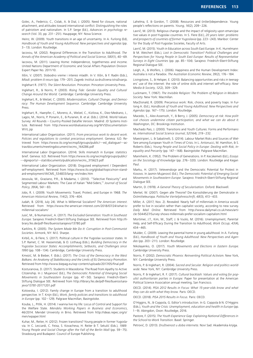Golec, A., Federico, C., Cislak, A. & Dial, J. (2005). Need for closure, national attachment, and attitudes toward international conflict: Distinguishing the roles of patriotism and nationalism. In S.P. Serge (Ed.), *Advances in psychology research* (Vol. 33, pp. 231–251). Hauppage, NY: Nova Science.

Heinz, W. (2009). Youth transitions in an age of uncertainty. In A. Furlong (Ed), *Handbook of Youth and Young Adulthood: New perspectives and agendas* (pp. 3–13). London: Routledge.

Iacovou, M. (2002). Regional Differences in the Transition to Adulthood. *The Annals of the American Academy of Political and Social Science*, *580*(1), 40–69.

Iacovou, M. (2011). Leaving Home: Independence, togetherness and income. United Nations Department of Economic and Social Affairs Population Division Expert Paper No. 2011/10.

Ilišin, V. (2007). Slobodno vreme i interesi mladih. In V. Ilišin, & F. Radin (Eds.), *Mladi: problem ili resurs* (pp. 179–201). Zagreb: Institut za društvena istraživanja.

Inglehart R. (1977). *The Silent Revolution*. Princeton: Princeton University Press.

Inglehart, R., & Norris, P. (2003). *Rising Tide: Gender Equality and Cultural Change Around the World.* Cambridge: Cambridge University Press.

Inglehart, R., & Welzel, C. (2005). *Modernization, Cultural Change, and Democracy: The Human Development Sequence*. Cambridge: Cambridge University Press.

Inglehart, R., Haerpfer, C., Moreno, A., Welzel, C., Kizilova, K., Diez-Medrano, J., Lagos, M., Norris, P. Ponarin, E., & Puranen, B. et al. (Eds.). (2014). World Values Survey: All Rounds – Country-Pooled Datafile Version. Madrid: JD Systems Institute. Retrieved from http://www.worldvaluessurvey.org/WVSDocumentation-WVL.jsp

International Labor Organization. (2011). *From precarious work to decent work. Policies and regulations to combat precarious employment*. Geneva: ILO. Retrieved from https://www.ilo.org/wcmsp5/groups/public/---ed\_dialogue/---actrav/documents/meetingdocument/wcms\_164286.pdf

International Labor Organization. (2014). Skills mismatch in Europe: statistics brief. Geneva: ILO. Retrieved from https://www.ilo.org/wcmsp5/groups/public/ ---dgreports/---stat/documents/publication/wcms\_315623.pdf

International Labor Organization. (2018). Disguised employment / Dependent self-employment. Retrieved from https://www.ilo.org/global/topics/non-standard-employment/WCMS\_534833/lang--en/index.htm

Jessoula, M., Graziano, P.R., & Madama, I. (2010). '"Selective Flexicurity" and Segmented Labour Markets: The Case of Italian "Mid-Siders,"' *Journal of Social Policy*, *39*(4), 561–83.

Jobs, R. I. (2009). Youth Movements: Travel, Protest, and Europe in 1968. *The American Historical Review*, *114*(2), 376–404.

Judah, B. (2018, July 24). What Is Millennial Socialism? *The American interest*. Retrieved from https://www.the-american-interest.com/2018/07/24/what-ismillennial-socialism/

Jusić, M., & Numanović, A. (2017). *The Excluded Generation: Youth in Southeast Europe*. Sarajevo: Friedrich-Ebert-Stiftung Dialogue SEE. Retrieved from http://library.fes.de/pdf-files/bueros/sarajevo/13780.pdf

Karklins, R. (2005). *The System Made Me Do It: Corruption in Post-Communist Societies*. Armonk, NY: M.E. Sharpe.

Kirbiš, A., & Flere, S. (2017). Political culture in the Yugoslav successor states. In S.P. Ramet, C. M. Hassenstab, & O. Listhaug (Eds.), *Building Democracy in the Yugoslav Successor States: Accomplishments, Setbacks, and Challenges since 1990* (pp. 108–134). Cambridge, Cambridge University Press.

Kmezić, M. & Bieber, F. (Eds.). (2017). *The Crisis of the Democracy in the West Balkans. An Anatomy of Stabilitocracy and the Limits of EU Democracy Promotion*. Retrieved from http://www.biepag.eu/wp-content/uploads/2017/05/final.pdf

Kosturanova, D. (2017). Students in Macedonia: The Road from Apathy to Active Citizenship. In J. Mujanović (Ed.), *The Democratic Potential of Emerging Social Movements in Southeastern Europe* (pp. 47–50). Sarajevo: Friedrich-Ebert-Stiftung Dialogue SEE. Retrieved from http://library.fes.de/pdf-files/bueros/sarajevo/13781-20171201.pdf

Kotowska, I. (2012). Family change in Europe from a transition to adulthood perspective. In T. Knijn (Ed.), *Work, family policies and transitions to adulthood in Europe* (pp. 102–129). Palgrave Macmillan, Basingstoke.

Kouba, L., Pitlik, H. (2014). I wanna live my life: Locus of Control and Support for the Welfare State. *Mendelu Working Papers in Business and Economics*, 46/2014. Mendel University in Brno. Retrieved from http://ideas.repec.org/s/ men/wpaper.html

Kuhar, M., Reiter, H. (2012). Frozen transitions? Young people in former Yugoslavia. In C. Leccardi, C. Feixa, S. Kovacheva, H. Reiter & T. Sekulić (Eds.), *1989: Young People and Social Change after the Fall of the Berlin Wall* (pp. 59–75). Strasbourg and Budapest: Council of Europe Publishing.

Lahelma, E. & Gordon, T. (2008). Resources and (in(ter))dependence. Young people's reflections on parents. *Young*, *16*(2), 209–226.

Lavrič, M. (2013). Religious change and the impact of religiosity upon emancipative values in post-Yugoslav countries. In S. Flere (Ed.), *20 years later: problems and prospects of countries of former Yugoslavia* (pp. 223–243). Maribor: Center for the Study of Post-Yugoslav Societes, Faculty of Arts.

Lavrič, M. (2015). Youth in Education across South East Europe. In K. Hurrelmann & M. Weichert (Eds.), *Lost in Democratic Transition? Political Challenges and Perspectives for Young People in South East Europe: Results of Representative Surveys in Eight Countries* (pp. pp. 85–104). Sarajevo: Friedrich-Ebert-Stiftung Regional Dialogue SEE.

Leigh, A., & Wolfers, J. (2006). Happiness and the Human Development Index: Australia is not a Paradox. *The Australian Economic Review*, *39*(2), 176–184.

Livingstone, S., & Helsper, E. (2010). Balancing opportunities and risks in teenagers' use of the internet: the role of online skills and internet self-efficacy. *New Media & Society*, *12*(2), 309–329.

Luckmann, T. (1967). *The Invisible Religion: The Problem of Religion in Modern Society*. New York: Macmillan.

MacDonald, R. (2009). Precarious work: Risk, choice, and poverty traps. In Furlong A. (Ed.), *Handbook of Youth and Young Adulthood. New Perspectives and Agendas* (pp. 167–175). London: Routledge.

Macedo, S., Alex-Assensoh, Y., & Berry, J. (2005). *Democracy at risk: How political choices undermine citizen participation, and what we can do about it.* Washington, DC: Brookings Institution.

Machado Pais, J. (2000). Transitions and Youth Cultures: Forms and Performances. *International Social Science Journal*, *52*(164), 219–232.

Maestripieri, L. & Sabatinelli, S. (2014). Labour Market Risks and Sources of Welfare among European Youth in Times of Crisis. In L. Antonucci, M. Hamilton, & S. Roberts (Eds.), *Young People and Social Policy in Europe: Dealing with Risk, Inequality and Precarity* (pp. 147–168). Basingstoke: Palgrave Macmillan.

Mannheim, K. (1952). The Problem of Generations. In P. Kecskemeti (Ed.), *Essays on the Sociology of Knowledge* (pp. 276–320). London: Routledge and Kegan Paul.

Marku, H. (2017). Vetevendosje and the Democratic Potential for Protest in Kosovo. In Jasmin Mujanović (Ed.), *The Democratic Potential of Emerging Social Movements in Southeastern Europe*. Sarajevo: Friedrich-Ebert-Stiftung Regional Dialogue SEE.

Martin, D. (1978). *A General Theory of Secularisation*. Oxford: Blackwell.

Merkel, W. (2007). Gegen alle Theorie? Die Konsolidierung der Demokratie in Ostmitteleuropa. *Politische Vierteljahresschrift*, *48*(3), 413–433.

Miller, A. (2017, Nov. 2). Revealed: Nearly half of millennials in America would prefer to live in socialist rather than capitalist society, according to new survey. *Daily Mail Online.* Retrieved from http://www.dailymail.co.uk/news/article-5044527/Survey-shows-millennials-prefer-socialism-capitalism.html

Mortimer, J.T., Kim, M., Staff, J. & Vuolo, M. (2016). Unemployment, Parental Help, and Self-Efficacy During the Transition to Adulthood, *Work Occup*, *43*(4), 434–465.

Mulder, C. (2009). Leaving the parental home in young adulthood. In A. Furlong (Ed.), *Handbook of Youth and Young Adulthood: New Perspectives and Agendas* (pp. 203–211). London: Routledge.

Nikolayenko, O. (2017). *Youth Movements and Elections in Eastern Europe*. Cambridge University Press.

Norris, P. (2002). *Democratic Phoenix: Reinventing Political Activism*. New York, NY: Cambridge University Press.

Norris, P. & Inglehart, R. (2004). *Sacred and Secular. Religion and politics worldwide*. New York, NY: Cambridge University Press.

Norris, P. & Inglehart, R. F. (2017). *Cultural backlash: Values and voting for populist authoritarian parties in Europe*. Paper for presentation at the American Political Science Association annual meeting, San Francisco.

OECD. (2014). *PISA 2012 Results in Focus: What 15-year-olds know and what they can do with what they know.* Paris: OECD.

OECD. (2018). *PISA 2015 Results in Focus.* Paris: OECD.

O'Higgins, N., & Coppola, G. Editor's introduction. In G. Coppola & N. O'Higgins (Eds.), *Youth and the Crisis: Unemployment, education and health in Europe* (pp. 1–9). Abingdon, Oxon: Routledge, 2016.

Pastore, F. (2015). *The Youth Experience Gap: Explaining National Differences in the School-to-Work Transition*. Basel: Springer.

Petrović, D. (2013). *Društvenost u doba interneta*. Novi Sad: Akademska knjiga.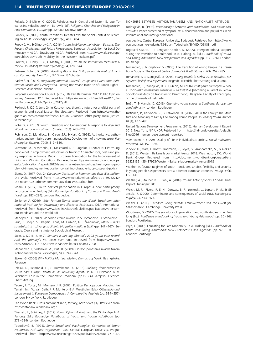Pollack, D. & Müller, O. (2006). Religiousness in Central and Eastern Europe: Towards Individualization? In I. Borowik (Ed.), *Religions, Churches and Religiosity in Post-Communist Europe* (pp. 22–36). Krakow: Nomos.

Pollock, G. (2008). Youth Transitions: Debates over the Social Context of Becoming an Adult. *Sociology Compass 2*(2), 467–484.

Popović, M., & Gligorović, A. (2016). *Youth Mobility in the Western Balkans: The Present Challenges and Future Perspectives.* European Association for Local Democracy – ALDA. Strasbourg: ALDA. Retrieved from http://www.alda-europe. eu/public/doc/Youth\_Mobility\_in\_the\_Western\_Balkans.pdf

Proctor, C., Linley, P. A., & Maltby, J. (2009). Youth life satisfaction measures: A review. *Journal of Positive Psychology*, *4*, 128–144.

Putnam, Robert D. (2000). *Bowling Alone: The Collapse and Revival of American Community*. New York, NY: Simon & Schuster.

Radović, N. (2017). *Supporting Informal Citizens' Groups and Grass-Root Initiatives in Bosnia and Herzegovina*. Ludwig Boltzmann Institute of Human Rights – Research Association. Vienna.

Regional Cooperation Council. (2017). Balkan Barometer 2017 Public Opinion Survey. Sarajevo: RCC. Retrieved from https://www.rcc.int/seeds/files/RCC\_BalkanBarometer\_PublicOpinion\_2017.pdf

Rexhepi, P. (2017, June 2). In Kosovo, too, there's a future for a leftist party of economic and social justice. *The Guardian*. Retrieved from https://www.theguardian.com/commentisfree/2017/jun/12/kosovo-leftist-party-social-justicevetevendosje

Roberts, K. (2007). Youth Transitions and Generations: A Response to Wyn and Woodman*. Journal of Youth Studies*, *10*(2), 263–269.

Robinson, C., Mandleco, B., Olsen, S.F., & Hart, C. (1995). Authoritative, authoritarian, and permissive parenting practices: Development of a new measure. *Psychological Reports*, 77(3), 819–830.

Salvatore, M., Mascherini, L., Meierkord A. & Jungblut, J. (2012). NEETs: Young people not in employment, education or training: Characteristics, costs and policy responses in Europe. Dublin: European Foundation for the Improvement of Living and Working Conditions. Retrieved from https://www.eurofound.europa. eu/cs/publications/report/2012/labour-market-social-policies/neets-young-people-not-in-employment-education-or-training-characteristics-costs-and-policy

Siems, D. (2017, Oct. 2). *Die neuen Gastarbeiter kommen aus dem Westbalkan*. Die Welt. Retrieved from: https://www.welt.de/wirtschaft/article169232212/ Die-neuen-Gastarbeiter-kommen-aus-dem-Westbalkan.html

Sloam, J. (2017). Youth political participation in Europe: A new participatory landscape. In A. Furlong (Ed.), *Routledge Handbook of Youth and Young Adulthood* (pp. 287–294). London: Routledge.

Solijonov, A. (2016). *Voter Turnout Trends around the World. Stockholm: International Institute for Democracy and Electoral Assistance*. IDEA International. Retrieved from https://www.idea.int/sites/default/files/publications/voter-turnout-trends-around-the-world.pdf

Stanojević, D. (2012). Slobodno vreme mladih. In S. Tomanović, D. Stanojević, I. Jarić, D. Mojić, S. Dragišić Labaš, M. Ljubičić, & I. Živadinović, *Mladi – naša sadašnjost. Istraživanje socijalnih biografija mladih u Srbiji* (pp. 147–167). Belgrade: Čigoja and Institute for Sociological Research.

Stein, J. (2016, June 2). *Sanders is beating Obama's 2008 youth vote record. And the primary's not even over*. Vox. Retrieved from https://www.vox. com/2016/6/2/11818320/bernie-sanders-barack-obama-2008

Stepanović, I., Videnović M., Plut, D. (2009). Obrasci ponašanja mladih tokom slobodnog vremena. *Sociologija*, *LI*(3), 247–261.

Stoker, G. (2006) *Why Politics Matters: Making Democracy* Work. Basingstoke: Palgrave

Taleski, D., Reimbold, H., & Hurrelmann, K. (2015). *Building democracies in South East Europe: Youth as an unwilling agent?* In K. Hurrelmann & M. Weichert: Lost in the Democratic Tradition? (pp.15–66) Sarajevo: Friedrich-Ebert-Stiftung.

Teorell, J., Torcal, M., Montero, J. R. (2007). Political Participation: Mapping the Terrain. In J. W. van Deth, J. R. Montero, & A. Westholm (Eds.). *Citizenship and Involvement in European Democracies: A Comparative Analysis* (pp. 334–357). London & New York: Routledge.

The World Bank. Gross enrolment ratio, tertiary, both sexes (%). Retrieved from http://databank.worldbank.org/

Tileczek, K., & Srigley, R. (2017). Young Cyborgs? Youth and the Digital Age. In A. Furlong (Ed.), *Routledge Handbook of Youth and Young Adulthood* (pp. 273–284). London: Routledge.

Todosijević, B. (1995). *Some Social and Psychological Correlates of Ethno-Nationalist Attitudes: Yugoslavia 1995*. Central European University, Prague. Retrieved from https://www.researchgate.net/publication/265081177\_RELA- TIONSHIPS\_BETWEEN\_AUTHORITARIANISM\_AND\_NATIONALIST\_ATTITUDES

Todosijević, B. (1998). *Relationships between authoritarianism and nationalist attitudes*. Paper presented at symposium: Authoritarianism and prejudices in an international and inter-generational

perspective, Central European University, Budapest. Retrieved from http://www. personal.ceu.hu/students/98/Bojan\_Todosijevic/ENYEDI/OSIRIS1.pdf

Togouchi Swartz, T. & Bengston O'Brien, K. (2009). Intergenerational support during the transition to adulthood, In A. Furlong, A. (Ed.), *Handbook of Youth and Young Adulthood: New Perspectives and Agendas* (pp. 217–226). London: Routledge.

Tomanović, S. & Ignjatović, S. (2006). The Transition of Young People in a Transitional Society: The Case of Serbia. *Journal of Youth Studies*, *9*(3), 269–285.

Tomanović, S. & Stanojević, D. (2015). *Young people in Serbia 2015: Situation, perceptions, beliefs and aspirations.* Belgrade: Friedrich-Ebert-Stiftung and SeCons.

Tomanović, S., Stanojević, D., & Ljubičić, M. (2016). *Postajanje roditeljem u Srbiji: sociološko istraživanje tranzicije u roditeljstvo* [Becoming a Parent in Serbia. Sociological Study on Transition to Parenthood]*.* Belgrade: Faculty of Philosophy of the University of Belgrade.

Trošt, T. & Mandić, D. (2018). *Changing youth values in Southeast Europe: beyond ethnicity*. London: Routledge.

Turtianen, P., Karvonen, S., & Rahkonen, O. (2007). All in the Family? The Structure and Meaning of Family Life among Young People. *Journal of Youth Studies, 10* (4), 477–493.

United Nations Development Programme. (2016). Human Development Report 2016. New York, NY: UNDP. Retrieved from http://hdr.undp.org/sites/default/ files/2016\_human\_development\_report.pdf

Veenhoven, R. (1999). Quality of life in individualistic society. *Social Indicators Research*, *48*, 157–186.

Vidovic, H., Mara, I., Koettl-Brodmann, S., Reyes, G., Arandarenko, M., & Aleksic, D. (2018). Western Balkans labor market trends 2018. Washington, DC: World Bank Group. Retrieved from http://documents.worldbank.org/curated/en/ 565231521435487923/Western-Balkans-labor-market-trends-2018

Walther, A. (2006). Regimes of Youth Transitions. Choice, flexibility and security in young people's experiences across different European contexts, *Young, 14*(1), 119–141.

Walther, A., Stauber, B., & Pohl, A. (2009). *Youth: Actor of Social Change*. Final Report. Tubingen: IRIS.

Welch, M. R., Rivera, R. E. N., Conway, B. P., Yonkoski, J., Lupton, P. M., & Giancola, R. (2005). Determinants and consequences of social trust. *Sociological Inquiry*, *75*, 453–473.

Welzel, C. (2013). *Freedom Rising Human Empowerment and the Quest for Emancipation*. Cambridge University Press.

Woodman, D. (2017). The sociology of generations and youth studies. In A. Furlong (Ed.), *Routledge Handbook of Youth and Young Adulthood* (pp. 20–26). London: Routledge.

Wyn, J. (2009). Educating for Late Modernity. In A. Furlong (Ed.), *Handbook of Youth and Young Adulthood: New Perspectives and Agendas* (pp. 97–103). London: Routledge.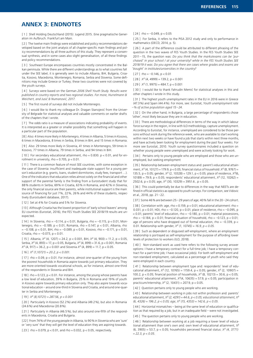## **ANNEX 3: ENDNOTES**

[ 1 ] Shell Holding Deutschland (2015): Jugend 2015. Eine pragmatische Generation im Aufbruch. Frankfurt am Main.

[2] The twelve main findings were established and policy recommendations developed based on the joint analysis of all chapter-specific main findings and policy recommendations by all three authors of this study. They represent a consensual synthesis, and in some cases also slight generalisation, of all these findings and policy recommendations.

[ 3 ] Southeast Europe encompasses countries mostly concentrated in the Balkan peninsula. While there are different understandings as to what countries fall under the SEE label, it is generally seen to include Albania, BiH, Bulgaria, Croatia, Kosovo, Macedonia, Montenegro, Romania, Serbia and Slovenia. Some definitions may include Greece or Turkey; these two countries were not covered by the youth surveys.

[ 4 ] Surveys were based on the German *2006 Shell Youth Study. Results were published in country reports and two regional studies. For more, Hurrelmann & Weichert, and Jusić & Numanović, 2017.* 

[5] The first round of surveys did not include Montenegro.

[ 6 ] I would like to thank my colleague Dr. Dragan Stanojević from the University of Belgrade for statistical analyses and valuable comments on earlier drafts of the chapters that I wrote.

[7] The odds ratio is a measure of associations indicating probability of events. It is interpreted as a greater or smaller possibility that something will happen in a particular part of the population.

[ 8 ] Also: 4 times more likely in Montenegro, 4 times in Albania, 5 times in Kosovo, 6 times in Macedonia, 8 times in Serbia, 8 times in BiH, and 15 times in Romania.

[ 9 ] Also: 29 times more likely in Slovenia, 41 times in Montenegro, 59 times in Kosovo, 77 times in Albania, 79 times in Serbia, and 94 times in BiH.

[ 10 ] For secondary educational attainment, rho = 0.830.  $p < 0.01$ , and for enrollment in university, rho =  $0.705$ ,  $p < 0.01$ .

[11] There is a common feature of most SEE countries, with some exception in the case of Slovenia: insufficient and inadequate state support for a young person's education (e.g. grants, loans, student dormitories, study fees, transport …). One of the indicators that education relies almost solely on the financial and other support of the parental family is the finding from a Eurostudent study that for 88% students in Serbia, 69% in Croatia, 63% in Romania, and 42% in Slovenia, the only financial source are their parents, while institutional support is the main source of financing for just 7%, 22%, 26% and 44% of these students, respectively (Eurostudent database, 2017).

[12] Set at 4% for Croatia and 5% for Slovenia

[13] Although Croatia has the lowest proportion of 'early school leavers' among EU countries (Eurostat, 2016), the FES Youth Studies SEE 2018/19 results are unexpected.

[ 14 ] In Slovenia, rho = -0.114,  $p < 0.01$ , Bulgaria, rho = -0.115,  $p < 0.01$ , Montenegro, rho = –0.189, p < 0.01, Romania, rho = 0.147, p < 0.01, Albania, rho  $= -0.108$ , p < 0.01, BiH, rho = -0.089, p < 0.01, Kosovo, rho = -0.171, p < 0.01, Croatia, rho =  $-0.073$ , p < 0.01.

[ 15 ] Albania,  $X^2$  (4, 1207) = 24.2, p < 0.001, BiH,  $X^2$  (4, 900) = 11.2, p < 0.05, Serbia, *X²* (4, 893) = 17, p < 0.05, Bulgaria, *X²* (4, 899) = 31.6, p < 0.001, Romania  $X^2$  (4, 917) = 36.2, p < 0.001 and Slovenia  $X^2$  (4, 899) = 11.7, p < 0.05.

#### [ 16 ] *X² (1,10721) = 20.2, p < 0.001.*

[ 17 ] rho = 0.09, p < 0.01. For instance, almost one-quarter of the young from the poorest households in Romania aspire towards just primary education. They are more oriented towards vocational schools, as for instance, almost one-third of the respondents in Slovenia and BiH.

[18] rho = 0.123, p < 0.01. For instance, among the young whose parents have a low level of education, 39% in Bulgaria, 25% in Romania and 19% of youth in Kosovo aspire towards primary education only. They also aspire towards vocational education – around one-third in Slovenia and Croatia, and around one-quarter in Serbia and Montenegro.

#### [ 19 ] *X² (8,10721) = 287.56, p < 0.001*

[ 20 ] Particularly in Kosovo (52.2 %) and Albania (49.2 %), but also in Romania (24.6%) and Macedonia (20.8%).

[ 21 ] Particularly in Albania (46.5%), but also around one-fifth of the respondents in Macedonia, Croatia and Bulgaria.

[ 22 ] From 74% of the young people in Albania, to 90% in Slovenia who are 'sure' or 'very sure' that they will get the level of education they are aspiring towards.

[  $23$  ] rho = 0.079,  $p < 0.01$ , and rho = 0.032,  $p < 0.05$ , respectively.

 $[24]$  rho = -0.049, p < 0.05

[ 25 ] For Serbia, it refers to the PISA 2012 study and only to performance in mathematics (OECD, 2014, p. 5).

[ 26 ] A part of the difference could be attributed to different phrasing of the question in the two waves of FES Youth Studies. In the FES Youth Studies SEE 2011–15, the question was: *Do you think that the marks/exams can be 'purchased' in your school / at your university? while in the FES Youth Studies SEE 2018/19 it was: Do you agree that there are cases where grades and exams are*  '*bought*' *in institutes/universities in the country?*

 $[27]$  rho = -0.146, p < 0.01

 $[28]$   $X^2$  (4, 4999) = 139.2, p < 0.001

 $[29]$   $X^2$  (1, 9975) = 484.7, p < 0.001

[ 30 ] I would like to thank Fahrudin Memić for statistical analyses in this and other chapters I wrote in this study.

[31] The highest youth unemployment rates in the EU in 2016 were in Greece (47.3%) and Spain (44.4%). For more, see: Eurostat, *Youth unemployment rate –% of active population aged 15*–*24*.

[ 32 ] On the other hand, in Bulgaria, a large percentage of respondents chose 'other', most likely because they are in education.

[33] There are methodological differences in terms of the way in which labour force surveys in the region, in line with ILO methodology, capture unemployment. According to Eurostat, for instance, unemployed are considered to be those persons without work during the reference week, who are available to start working within next two weeks or have found a job that starts within next three months, and have actively been looking for employment during the past four weeks. For more see Eurostat, 2010. Youth survey questionnaires included a question on whether young people were unemployed and were actively looking for work.

[ 34 ] Pertains only to young people who are employed and those who are unemployed, but seeking employment

[35] Relationship between employment status and: parent's educational attainment, *X²* (4, 10127) = 179.9, p < 0.05; financial status of household: *X²* (8, 9767) = 135.5, p < 0.05; gender, *X²* (2, 10328) = 129.1, p < 0.05; place of residence, *X²*(6, 10189) = 79.9, p < 0.05; respondents' educational attainment, *X²* (12, 10262) = 2502.6,  $p < 0.05$ ; age,  $X^2$  (30, 10329) = 3951.6,  $p < 0.05$ .

[ 36 ] This could potentially be due to differences in the way that NEETs are defined in official statistics as opposed to youth surveys. For comparison, see Vidovic et al., 2018, pp. 21–22.

[37] Some 46% are between 25-29 years of age; 40% fall in the 20-24 cohort. [ 38 ] Correlation with: age, rho = 0.159,  $p < 0.01$ ; educational attainment: rho = 0.031,  $p < 0.01$ ; HDI, rho = -0.120,  $p < 0.01$ ; place of residence, rho = -0.095, p  $<$  0.01; parents' level of education, rho = -0.180, p  $<$  0.01; material possessions, rho =  $-0.184$ , p < 0.01; financial situation of household, rho =  $-0.123$ , p < 0.01; age of persons who have dropped out of formal education, rho =  $-0.339$ , p < 0.01. Relationship with gender, *X² (1, 10745) = 16.9, p < 0.05.*

[39] Such as dependent or disquised self-employment, where an employment relationship is portrayed as self-employment for the purpose of affording lower levels of protection to workers (ILO, 2018).

[40] Non-standard work as used here refers to the following survey answer options: I have a temporary contract for a full-time job; I have a temporary contract for a part-time job; I have occasional job(s). For both self-employment and non-standard employment, calculated as a percentage of youth who said they were employed in each country.

[41] Relationship between employment type and: respondents' level of educational attainment, *X²* (12, 10765) = 1159.4, p < 0.05; gender, *X²* (2, 10907) = 100.2, p < 0.05; financial position of households, *X²* (8, 10213) = 30.6, p < 0.05; parents' educational attainment, *X²*(4, 10635) = 57.9, p < 0.05; participation in practicum/internship, *X²* (2, 10431) = 207.9, p < 0.05.

[42] Question pertains only to young people who are working.

[43] Relationship between working in jobs not within profession and: parents' educational attainment, *X² (2, 4291) = 44.6, p < 0.05; educational attainment, X² (6, 4326) = 196.2, p < 0.05; age, X² (15, 4353) = 142.6, p < 0.05.* 

[44] Horizontal mismatches – being at the same level of education or qualification as that required by a job, but in an inadequate field – were not investigated.

[45] The question pertains only to young people who are working.

[ 46 ] Relationship between working at a job requiring a lower level of educational attainment than one's own and: own level of educational attainment,  $X^2$ (6, 3905) = 53.7, p < 0.05; household›s perceived financial status: *X² (4, 3771) = 22.3, p < 0.05.*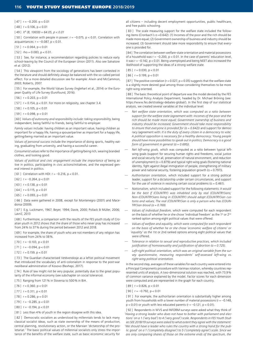$[47]$  r = -0.200. p < 0.01

 $[48]$  r = 0.106, p < 0.01

[ 49 ] *X² (8, 10659) = 64.05, p < 0.01*

[ 50 ] Correlation with people in power:  $r = -0.075$ ,  $p < 0.01$ . Correlation with acquaintances:  $r = -0.087$ ,  $p < 0.01$ .

 $[51]$  r = 0.064, p < 0.01

 $[52]$  rho = 0.083, p < 0.01.

[ 53 ] See, for instance, a recommendation regarding policies to reduce early school-leaving by the Council of the European Union (2011). Also see Salvatore et al. (2012).

[ 54 ] This viewpoint from the sociology of generations has been contested in the literature and should definitely always be balanced with the so-called period effect. For a more detailed discussion see for example: Alwin and McCammon, 2003; Roberts, 2007.

[ 55 ] For example, the World Values Survey (Inglehart et al., 2014) or the European Quality of Life Survey (Eurofound, 2016).

 $[56]$  r = 0.203, p < 0.01

[  $57$  ]  $r = 0.154$ ,  $p < 0.01$ . For more on religiosity, see chapter 3.4.

 $[58]$  r = 0.105, p < 0.01

 $[59]$  r = 0.098, p < 0.01

[ 60 ] *Values of autonomy and responsibility include: taking responsibility,* being independent, being faithful to friends, being faithful to employer.

*Family values* include: having children as an important value, having children as important for a happy life, having a spouse/partner as important for a happy life, getting/being married as an important value.

*Values of personal success* include the importance of doing sports, healthy eating, graduating from university, and having a successful career.

*Consumerist values* refer to the importance of getting/being rich, wearing branded clothes, and looking good.

Values of political and civic engagement include the importance of being active in politics, participating in civic actions/initiatives, and the expressed general interest in politics.

[ 61 ] Correlation with HDI:  $r = -0.216$ ,  $p < 0.01$ .

 $[62]$  r = -0.264, p < 0.01

 $[63]$  r = 0.138, p < 0.01

 $[64]$  r = 0.115, p < 0.01

 $[65]$  r = 0.093, p < 0.01

[ 66 ] Data were gathered in 2008, except for Montenegro (2001) and Macedonia (2009).

[ 67 ] E.g, Luckmann, 1967; Beyer, 1994; Davie, 2000; Pollack & Müller, 2006; Lavrič, 2013

[ 68 ] Furthermore, a comparison with the results of the FES youth study of Croatian youth in 2012 shows that the share of those who never pray has increased from 24% to 37% during the period between 2012 and 2018.

[69] For example, the share of youth who are not members of any religion has increased from 24% to 38%.

 $[70]$  r = -0.103, p < 0.01

[ 71 ]  $r = -0.094$ ,  $p < 0.01$ 

 $[72]$  r = 0.159, p < 0.01

[ 73 ] The Guardian characterised Vetëvendosje as a leftist political movement that introduced the vocabulary of anti-colonialism in response to the post-war neoliberal administration of Kosovo (Rexhepi, 2017).

[ 74 ] Rule of law might not be very popular, potentially due to the great popularity of the informal economy (see subchapter on social tolerance).

[ 75 ] Ranging from 121 % in Slovenia to 500 % in BiH.

 $[76]$  r = 0.360. p < 0.01

[  $77$  ]  $r = 0.311$ ,  $p < 0.01$ 

 $[78]$  r = 0.286, p < 0.01

[ 79 ]  $r = -0.285$ , p < 0.01

 $[80]$  r = -0.194, p < 0.01

[81] Less than 4% of youth in the region disagree with this idea.

[82] Democratic socialism as understood by millennials tends to lack many classical socialist ideas, such as state ownership of the means of production, central planning, revolutionary action, or the Marxian 'dictatorship of the proletariat.' The basic political values of millennial socialists only stress the importance of the benefits of the welfare state, such as basic economic security for

all citizens – including decent employment opportunities, public healthcare, and free public schooling.

[83] The scale measuring support for the welfare state included the following items (Cronbach's  $\alpha$  =0.642): (1) Incomes of the poor and the rich should be made more equal; (2) Government ownership of business and industry should be increased; (3) Government should take more responsibility to ensure that everyone is provided for.

[84] The correlation between welfare-state orientation and material possessions of a household was  $r = -0.200$ ,  $p < 0.01$ . In the case of parents' education level. it was  $r = -0.142$ ,  $p < 0.01$ . Being unemployed and being NEET also increased the likelihood of supporting the ideas of a strong welfare state.

 $[85]$  r = 0.030, p < 0.01

 $[86]$  r = 0.199, p < 0.01

[87] The positive correlation ( $r = 0.027$ ,  $p < 0.05$ ) suggests that the welfare state is a slightly more desired goal among those considering themselves to be more right-wing oriented.

[88] The basic theoretical point of departure was the model devised by the FES International Policy Analysis Department, headed by Dr. Michael Bröning (see: https://www.fes.de/strategy-debates-global/). In the first step of our statistical analysis, we created several variables at the individual level:

- *Net welfare state orientation, which was computed as a ratio between support for the welfare state (agreement with: Incomes of the poor and the rich should be made more equal; Government ownership of business and industry should be increased; Government should take more responsibility to ensure that everyone is provided for (α = 0.642))* and support for democracy (agreement with: *It is the duty of every citizen in a democracy to vote; A political opposition is necessary for a healthy democracy; Young people should have more possibilities to speak out in politics; Democracy is a good form of government in general (α = 0.695)).*
- *Net left-wing goals,* which was computed as a ratio between typical leftwing goals (support for securing human rights and freedoms, social justice and social security for all, preservation of natural environment, and reduction of unemployment ( $\alpha$  = 0.879)) and typical right-wing goals (fostering national identity, fight against illegal immigration of people, strengthening of military power and national security, fostering population growth ( $α = 0.797$ )).
- *Authoritarian orientation,* which included support for a strong political leader, support for a dictatorship under certain circumstances, and support for the use of violence in resolving certain social problems ( $\alpha$  = 0.461).
- *Nationalism,* which included support for the following statements: *It would be the best if (COUNTRY) was inhabited only by real (COUNTRY)ians; Non-(COUNTRY)ians living in (COUNTRY) should adopt (COUNTRY)ian customs and values; The real (COUNTRY)ian is only a person who has (COUN-TRY)ian blood (α = 0.769).*
- *Values of individual freedom,* which were computed for each respondent on the basis of whether he or she chose 'individual freedom' as the 1st or 2<sup>nd</sup> ranked option among eight political values that were offered.
- *Values of welfare and equality, which were computed for each respondent on the basis of whether he or she chose 'economic welfare of citizens' or 'equality' as the 1*st or 2nd ranked options among eight political values that were offered.
- *Tolerance in relation to sexual and reproductive practices, which included justification of homosexuality and justification of abortion (α = 0.725).*
- *Left-right political orientation, which was an original variable from the survey questionnaire, measuring respondents' self-assessed left-wing vs. right-wing political orientation.*

In the second step, averages of these variables for each country were entered into a Principal Components procedure with Varimax rotation, whereby countries represented units of analysis. A two-dimensional solution was reached, with 73.9% of common variance explained by the model. Factor scores for each dimension were computed and are represented in the graph for each country.

 $[89]$  r = 0.826, p < 0.01

[ 90 ]  $r = -0.792$ ,  $p < 0.01$ 

[ 91 ] For example, the authoritarian orientation is substantially higher among youth from households with a lower number of material possessions ( $r = -0.148$ ,  $p < 0.01$ ) or youth with less educated parents ( $r = -0.121$ ,  $p < 0.01$ ).

[ 92 ] Respondents in WVS and INFORM surveys were asked what they think of *'Having a strong leader who does not have to bother with parliament and elections' on a 1 ('very bad') to 4 ('very good') scale. Respondents in FES Youth Studies SEE 2018/19 surveys were asked to what extent they agree with the statement: 'We should have a leader who rules the country with a strong hand for the public good' on a 1 ('completely disagree') to 5 ('completely agree') scale. Since we are only comparing shares of those on the extreme ends of the spectrum, the*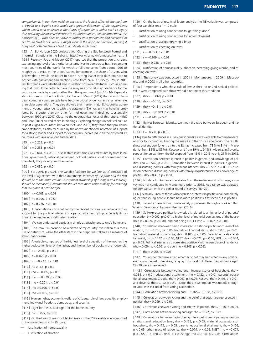*comparison is, in our view, valid. In any case, the logical effect of change from a 4-point to a 5-point scale would be a greater dispersion of the respondents, which would tend to decrease the shares of respondents within each category, thus reducing the observed increase in authoritarianism. On the other hand, the omission of '…who does not have to bother with parliament and elections' in*  FES Youth Studies SEE 2018/19 might work in the opposite direction, making it *likely that both tendencies tend to annihilate each other.*

[ 93 ] An EU Horizon 2020 project titled 'Closing the Gap between Formal and Informal Institutions in the Balkans': http://www.formal-informal.eu/home.html [ 94 ] Recently, Foa and Mounk (2017) reported that the proportion of citizens expressing approval of authoritarian alternatives to democracy has risen among most countries of the world for which a full-time series from about 1996 to roughly 2012 exist. In the United States, for example, the share of citizens who believe that it would be better to have a 'strong leader who does not have to bother with parliament and elections' rose from 24% in 1995 to 32% in 2011. Similar trends were identified also in relation to similar attitudes such as agreeing that it would be better to have the army rule or to let major decisions for the country be made by experts rather than the government (pp. 13–14). Especially alarming seems to be the finding by Foa and Mounk (2017) that in most European countries young people have become critical of democracy at a faster rate than older generations. They also showed that in seven major EU countries agreement of young respondents with the statement 'Democracy may have its problems, but is better than any other form of government' declined substantially between 1999 and 2017. Closer to the geographical focus of this report, Kirbiš and Flere (2017) arrived at similar findings. Exploring changes in political culture in post-Yugoslav countries between 1995 and 2008, they found that pro-democratic attitudes, as also measured by the above-mentioned indicators of support for a strong leader and support for democracy, decreased in all the observed six countries with available longitudinal data.

 $[95]$   $r = 0.223$ ,  $p < 0.01$ 

 $[96]$  r = 0.258, p < 0.01

 $[97]$   $r = 0.041$ ,  $p < 0.01$ . Trust in state institutions was measured by trust in national government, national parliament, political parties, local government, the president, the judiciary, and the media.

[ 98 ]  $r = 0.030, p < 0.01$ 

[ 99 ]  $r = 0.291$ ,  $p < 0.01$ . The variable 'support for welfare state' consisted of the level of agreement with three statements: *Incomes of the poor and the rich should be made more equal; Government ownership of business and industry should be increased; Government should take more responsibility for ensuring that everyone is provided for.*

 $[100]$  r = 0.103, p < 0.01

 $[101]$  r = 0.090, p < 0.01

 $[102]$   $r = 0.276$ ,  $p < 0.01$ 

[ 103 ] Ethno-nationalism is defined by the Oxford dictionary as advocacy of or support for the political interests of a particular ethnic group, especially its national independence or self-determination.

[104] We can understand patriotism simply as attachment to one's homeland.

[ 105 ] The item 'I'm proud to be a citizen of my country' was taken as a measure of patriotism, while the other item in the graph was taken as a measure of ethno-nationalism.

[106] A variable composed of the highest level of education of the mother, the highest education level of the father, and the number of books in the household.

- $[107]$   $r = -0.261$ ,  $p < 0.01$
- $[108]$  r = 0.165, p < 0.01
- $[109]$  r = -0.222, p < 0.01
- $[110]$  r = 0.168, p < 0.01
- [ $111$ ] rho = -0.192, p < 0.01
- $[112]$  rho = -0.079, p < 0.05
- $[113]$  rho = 0.201, p < 0.01
- $[114]$  rho = 0.106, p < 0.01
- $[115]$  rho = 0.095, p < 0.01

[ 116 ] Human rights, economic welfare of citizens, rule of law, equality, employment, individual freedom, democracy, and security.

[117] Eight for the EU and eight for the home country.

[ $118$ ]  $r = -0.827$ ,  $p < 0.01$ 

[ 119 ] On the basis of results of factor analysis, the TSR variable was composed of two variables on a 1–10 scale:

— Justification of homosexuality

— Justification of abortion

[ 120 ] On the basis of results of factor analysis, the TIE variable was composed of four variables on a 1–10 scale:

- Justification of using connections to 'get things done'
- Justification of using connections to find employment
- Justification of accepting/giving a bribe
- Justification of cheating on taxes.
- $[121]$  r = -0.093, p < 0.01
- $[122]$  r = -0.109, p < 0.01

[ $123$ ] rho = 0.038, p < 0.01

[124] Justification of homosexuality, abortion, accepting/giving a bribe, and of cheating on taxes.

[ 125 ] The survey was conducted in 2001 in Montenegro, in 2009 in Macedonia, and in 2008 in all other countries.

[ 126 ] Respondents who chose rule of law as their 1st or 2nd ranked political value were compared with those who did not meet this condition.

 $[127]$  rho = -0.068, p < 0.01

- $[128]$  rho = -0.146, p < 0.01
- $[129]$  rho = -0.131, p < 0.01
- $[130]$  rho = -0.0.109, p < 0.01
- $[131]$  r = -0.743, p<0.01

[132 ] By Net European identity, we mean the ratio between European and national identity.

[ $133$ ]  $r = -0.711$ ,  $p < 0.01$ 

[134] Due to differences in survey questionnaires, we were able to compare data only for four countries, limiting the analysis to the 16–27 age group. The results show that support for entry into the EU has increased from 73% to 81% in Macedonia; from 82% to 89% in Kosovo; and from 89% to 94% in Albania. In Slovenia, support for an exit from the EU dropped from 45% in 2013 to only 21% in 2018.

[135] Correlation between interest in politics in general and knowledge of politics: rho =  $0.542$ ,  $p < 0.01$ . Correlation between interest in politics in general and discussing politics with family/acquaintances: rho = 0.597,  $p < 0.01$ . Correlation between discussing politics with family/acquaintances and knowledge of politics:  $rho = 0.487$ ,  $p < 0.01$ .

[ 136 ] No data for Romania is available from the earlier round of surveys; a survey was not conducted in Montenegro prior to 2018. Age range was adjusted for comparison with the earlier round of surveys (16–27).

[137] Similarly, 56% of those who express no interest in politics at all completely agree that young people should have more possibilities to speak out in politics.

[138] Recently, these findings were widely popularised through a book entitled 'Against Democracy' by Jason Brennan (2016).

[ 139 ] Self-expressed political knowledge is related to a higher level of parents' education ( $r = 0.092$ ,  $p < 0.01$ ), a higher level of material possessions of the household (r = 0.074,  $p < 0.01$ ), and not being a NEET (rho = -0.027,  $p < 0.01$ ).

[140] Correlations between being interested in national politics and: level of education, rho =  $0.206$ ,  $p < 0.05$ ; household financial status, rho =  $0.075$ ,  $p < 0.01$ ; household material possessions, rho = 0.105,  $p < 0.05$ ; parents' educational attainment, rho =  $0.147$ , p <  $0.05$ ; NEET, rho =  $-0.072$ , p <  $0.05$ ; HDI, rho =  $0.054$ , p < 0.05. Political interest also correlates positively with urban place of residence  $(rho = 0.054, p < 0.05)$  and age  $(rho = 0.145, p < 0.05)$ .

 $[141]$  rho = 0.058, p < 0.05

[ 142 ] Young people were asked whether or not they had voted in any political election in the last three years, ranging from local to EU level. Respondents aged 15–30 were interviewed.

[ 143 ] Correlations between voting and: financial status of household, rho = 0.034,  $p < 0.01$ ; educational attainment, rho = 0.122,  $p < 0.01$ ; parents' educational attainment: Croatia, rho = 0.097, p < 0.01; Kosovo, rho = 0.119, p < 0.01; and Slovenia,  $rho = 0.102$ ,  $p < 0.01$ . Note: the answer option 'was not old enough to vote' was excluded from voting correlations.

[ 144 ] Correlation between voting and HDI: rho =  $-0.168$ , p < 0.01.

[ 145 ] Correlation between voting and the belief that youth are represented in politics:  $rho = 0.099$ ,  $p < 0.01$ .

[  $146$  ] Correlations between voting and interest in politics: rho = 0.170,  $p < 0.01$ .

[ 147 ] Correlations between voting and age: rho = 0.122,  $p < 0.01$ .

[ 148 ] Correlations between having/being interested in participating in demonstrations and: education level, rho = 0.155,  $p < 0.05$ ; material possessions of household, rho = 0.179,  $p < 0.05$ ; parents' educational attainment, rho = 0.126,  $p < 0.05$ ; urban place of residence, rho = 0.079,  $p < 0.05$ ; NEET, rho = -0.074,  $p < 0.05$ ; HDI, rho = 0.048,  $p < 0.05$ ; age, rho = 0.126,  $p < 0.05$ . Correlations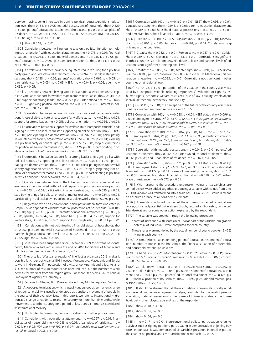between having/being interested in signing political requests/petitions: education level, rho = 0.185, p < 0.05; material possessions of household, rho = 0.229,  $p < 0.05$ ; parents' educational attainment, rho = 0.152,  $p < 0.05$ ; urban place of residence, rho = 0.062, p < 0.05; NEET, rho = –0.072, p < 0.05; HDI, rho = 0.122,  $p < 0.05$ ; age, rho= 0.141,  $p < 0.05$ .

 $[149]$  Rho = 0.048, p < 0.01

[ 150 ] Correlations between willingness to take on a political function (or holding such a function) with: educational attainment,  $rho = 0.071$ ,  $p < 0.01$ ; financial situation, rho = 0.033,  $p < 0.05$ ; material possessions, rho = 0.074,  $p < 0.05$ ; parents' education, rho = 0.092,  $p < 0.05$ ; urban residence, rho = 0.044,  $p < 0.05$ ; NEET, rho =  $-0.063$ , p < 0.05.

[ 151 ] Correlations between having/being interested in working for a political party/group and: educational attainment, rho =  $0.094$ , p <  $0.01$ ; material possessions, rho =  $0.128$ , p <  $0.05$ ; parents' education, rho =  $0.066$ , p <  $0.05$ ; urban residence, rho =  $0.034$ , p <  $0.05$ ; NEET, rho =  $-0.043$ , p <  $0.05$ ; age, rho = 0.059,  $p < 0.05$ .

[ 152 ] Correlations between having voted in last national elections (those eligible to vote) and: support for welfare state (composite variable), rho = 0.044,  $p <$ 0.01; support for strong leader, rho = 0.059,  $p < 0.01$ ; nationalism, rho = 0.046,  $p < 0.01$ ; right-wing political orientation, rho = 0.069, p < 0.01; interest in politics, rho =  $0.170$ , p <  $0.01$ .

[153] Correlations between readiness to vote in next national parliamentary elections (those eligible to vote) and: support for welfare state, rho =  $0.050$ , p <  $0.01$ ; support for strong leader, rho =  $0.051$ ; political orientation, rho =  $0.066$ , p <  $0.01$ ;

[ 154 ] Correlations between support for welfare state (composite variable) and: signing a list with political requests / supporting an online petition, rho =  $-0.096$ ,  $p < 0.01$ ; participating in a demonstration, rho = -0.096, p < 0.01; participating in volunteer/civil society organization activities, rho =  $-0.075$ , p < 0.01; working in a political party or political group, rho =  $-0.055$ , p < 0.01; stop buying things for political or environmental reasons, rho =  $-0.126$ , p < 0.01; participating in political activities online/in social networks, rho =  $-0.092$ , p < 0.01.

[ 155 ] Correlations between support for a strong leader and: signing a list with political requests / supporting an online petition, rho =  $-0.073$ , p < 0.01; participating in a demonstration, rho =  $-0.052$ , p < 0.01; participating in volunteer/civil society organisation activities, rho =  $-0.068$ , p < 0.01; stop buying things for political or environmental reasons, rho =  $-0.081$ , p < 0.01; participating in political activities online/in social networks, rho =  $-0.064$ , p < 0.01.

[ 156 ] Correlations between trust in the EU as compared to trust in national government and: signing a list with political requests / supporting an online petition, rho =  $-0.043$ , p < 0.01; participating in a demonstration, rho =  $-0.035$ , p < 0.01; stop buying things for political or environmental reasons, rho =  $-0.034$ , p < 0.01; participating in political activities online/in social networks, rho =  $-0.075$ , p < 0.01.

[ 157 ] Regression with non-conventional participation (its six forms indicated in Graph 5.5) as dependent variable: material possessions of households, β= 0.185, p < 0.01; age,  $\beta$  = 0.110, p < 0.01; parents' educational attainment,  $\beta$  = 0.080, p < 0.01; gender,  $\beta$  = 0.047, p < 0.01; being NEET,  $\beta$  = -0.054, p < 0.01; support for welfare state,  $\beta = -0.036$ , p < 0.01; support for strong leader,  $\beta = -0.033$ , p < 0.01.

[ 158 ] Correlations with 'not volunteering': financial status of households, rho  $= -0.057$ , p < 0.05; material possessions of household, rho = -0.122, p < 0.05; parents' highest educational level, rho =  $-0.092$ , p < 0.05; NEET, rho = 0.090, p  $<$  0.05; age, rho = 0.046, p $<$  0.05.

[ 159 ] Visas have been suspended since December 2009 for citizens of Montenegro, Macedonia and Serbia; since the end of 2010 for citizens of Albania and BiH. For more, see European Commission, 2017.

[ 160 ] The so-called 'Westbalkanregelung', in effect as of January 2016, makes it possible for citizens of Albania, BiH, Kosovo, Montenegro, Macedonia and Serbia to work in Germany if in possession of a visa, a work-permit and a job. As a result, the number of asylum requests has been reduced, but the number of work permits for workers from the region grew. For more, see Siems, 2017; Federal Employment Agency of Germany, 2018.

[ 161 ] Pertains to Albania, BiH, Kosovo, Macedonia, Montenegro and Serbia.

[162] As opposed to migration, which is usually understood as permanent change of residence, mobility is usually understood as transitory movement of people in the course of their everyday lives. In this report, we refer to international migration as a change of residence to another country for more than six months, while movement to another country for a period of less than six months is considered as international mobility.

[ 163 ] Not limited to Erasmus +, Europe for Citizens and other programmes.

[ 164 ] Correlations with: educational attainment, rho =  $-0.067$ , p < 0.01; financial status of household, rho = -0.045, p < 0.01; urban place of residence, rho = 0.024*, p < 0.05; HDI, rho = –0.199, p < 0.01; relationship with employment status, X² (8, 9810) = 77.8, p < 0.05.* 

[ 165 ] Correlation with: HDI, rho =  $-0.160$ , p < 0.01; NEET, rho = 0.093, p < 0.01; educational attainment, rho = –0.043, p < 0.01; parents' educational attainment, rho=  $-0.089$ , p < 0.01; household material possessions, rho =  $-0.091$ , p < 0.01; and perceived household financial situation, rho =  $-0.036$ , p < 0.01.

[ 166 ] BiH: rho = -0.080, p < 0.05; Bulgaria: rho = -0.109, p < 0.01; Macedonia: rho = -0.066, p < 0.05; Romania: rho=-0.161, p < 0.01. Correlations insignificant in other countries.

[ 167 ] Croatia: rho =  $0.082$ , p <  $0.01$ ; Romania: rho =  $0.087$ , p <  $0.01$ ; Serbia: rho = 0.089, p < 0.01; Slovenia: rho = 0.153, p < 0.01. Correlations insignificant in other countries. Correlation between desire to leave and parents' levels of education is not significant at the regional level.

[ 168 ] Croatia: rho = 0.069, p < 0.01; Montenegro: rho = 0.091, p < 0.05; Romania: rho = 0.183, p < 0.01; Slovenia: rho = 0.066, p < 0.05. In Macedonia, this correlation is negative: rho =  $-0.093$ , p < 0.01. Correlations not significant in other countries or at regional level.

[  $169$  ]  $r = -0.178$ ,  $p < 0.01$ ; perception of the situation in the country was measured by a composite variable including respondents' evaluation of eight issues: human rights, economic welfare of citizens, rule of law, equality, employment, individual freedom, democracy, and security.

[ 170 ]  $r = -0.113$ ,  $p < 0.01$ ; the perception of the future of the country was measured by a single-item measure on a scale of 1 to 5.

[ 171 ] Correlation with: HDI, rho =  $-0.088$ , p < 0.01; NEET status, rho = 0.096, p < 0.01; employment status, *X² (2, 5342) = 120.2, p < 0.05; parents' educational attainment, rho = –0.141, p < 0.01; household material possessions, rho = –0.132, p < 0.01; household financial situation, rho = –0.088, p < 0.01.* 

[ 172 ] Correlation with: HDI, rho = -0.062, p < 0.01; NEET, rho = -0.102, p < 0.01; employment status, *X² (2, 5340) = 231.1, p < 0.05; parents' educational attainment, rho = 0.105, p < 0.01; financial situation of households, rho = 0.072, p < 0.01; educational attainment, rho = –0.163, p < 0.01.*

[ 173 ] Correlation with: material possessions, rho =  $0.046$ , p <  $0.01$ ; parents' educational attainment, rho =  $0.042$ , p <  $0.01$ ; own educational attainment, rho = 0.032,  $p < 0.05$ ; and urban place of residence, rho = 0.027,  $p < 0.05$ .

[  $174$  ] Correlation with: HDI, rho = -0.121, p < 0.01; NEET status, rho = 0.203, p  $< 0.01$ ; employment status,  $X^2$  (2, 5341) = 69.1,  $p < 0.05$ ; parents' educational attainment, rho =  $-0.129$ , p < 0.01; household material possessions, rho =  $-0.102$ ,  $p < 0.01$ ; perceived household financial position, rho = -0.050,  $p < 0.01$ ; urban place of residence, rho =  $-0.077$ , p < 0.01;

[ 175 ] With respect to the procedure undertaken, values of six variables presented bellow were added together, producing a variable with values from 0 to 25. This variable was transformed into a scale of 0–1 (value / 25). Value 0 means an absolute absence of all considered elements.

[ 176 ] These steps included: contacted the embassy, contacted potential employer, contacted potential universities/schools, secured a scholarship, contacted friends/relatives, or some other action expressed by the respondent.

[ 177 ] The variable was created through the following procedure:

- 1. Shares of individuals with scores over 0.50 as part of the variable 'emigration potential of individuals' were computed for each country.
- These shares were multiplied by the actual number of young people (15–29) living in each country.

[ 178 ] A composite variable, denoting parents' education, respondents' education, number of books in the household, the financial situation of households, and household material possessions.

[ 179 ] Albania:  $r = 0.125**$ ; Montenegro:  $r = 0.110**$ ; Serbia:  $r = 0.073**$ ; Slovenia: r = 0.072\*; Croatia: r = 0.065\*; Romania: r = 0.063; BiH: r = –0.016; Kosovo:  $r = -0.024$ ; Bulgaria =  $r = -0.085$ .

[ 180 ] Correlation with: HDI, rho = -0.111,  $p < 0.01$ ; NEET status, rho = 0.102, p  $<$  0.01; rural residence, rho = -0.058, p  $<$  0.01; respondents' educational attainment, rho = -0.049, p < 0.01; parents' educational attainment, rho = -0.125, p < 0.01; financial position of households, rho =  $-0.096$ , p < 0.01; and material possessions,  $rho = -0.179$ ,  $p < 0.01$ .

[181] It should be stressed that all these correlations remain statistically significant even if, within linear regression analysis, controlled for the level of parents' education, material possessions of the household, financial status of the household, being unemployed, age and sex of the respondent.

- $[182]$  rho = 0.118, p < 0.01
- $[183]$  rho = 0.102, p < 0.01
- $[184]$  rho = 0.102, p < 0.01

[  $185$  ] rho = 0.171,  $p < 0.01$ . Non-conventional political participation refers to activities such as signing petitions, participating in demonstrations or joining boycotts. In our case, it was composed of six variables presented in detail as part of the chapter on political and civic participation (Cronbach  $\alpha = 0.827$ ).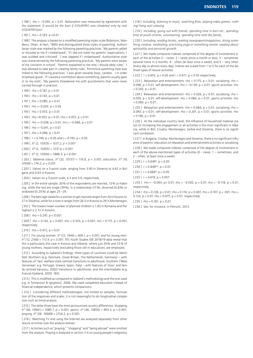[  $186$  ] rho = -0.092, p < 0.01. Nationalism was measured by agreement with the statement *'It would be the best if (COUNTRY) was inhabited only by real (COUNTRY)ians'.*

 $[187]$  rho = 0.183, p < 0.01

[ 188 ] The analysis is based on a modified parenting styles scale (Robinson, Mandleco, Olsen, & Hart, 1995) and distinguished three styles of parenting. Authoritarian style was marked by the following parenting practices: 'My parents yelled or shouted at me if I misbehaved'; 'If I did not meet my parents' expectations, I was scolded and criticized'; 'I was slapped if I misbehaved'. Authoritative style was characterised by the following parenting practices: 'My parents were aware of my concerns in school'; 'Parents explained to me why I should obey rules'; 'I was allowed to take part in creating family rules'. Permissive parenting style was linked to the following practices: 'I was given rewards (toys, candies…) in order to behave good'; 'If I caused a commotion about something, parents usually gave in to my wish'; 'My parents threatened me with punishments that were never carried through in practice'.

 $[189]$  rho = 0.187, p < 0.01

 $[190]$  rho = 0.143, p < 0.01

 $[191]$  rho = 0.085, p < 0.01

 $[192]$  rho = -0.020, p < 0.05

 $[193]$  rho = 0.053, p < 0.01

 $[194]$  rho = 0.053, p < 0.01; rho = 0.057, p < 0.01

[ $195$ ] rho = -0.038, p < 0.01; rho = -0.066, p < 0.01

 $[196]$  rho =-0.041, p < 0.01

 $[197]$  rho = 0.086, p < 0.01

[ $198$ ]  $r = 0.749$ ,  $p < 0.05$  and  $r = 0.743$ ,  $p < 0.05$ 

[ 199 ] *X² (2, 10305) = 1537.2, p < 0.001*

[ 200 ]  $X^2$  (2, 10305) = 1237 p < 0.001

 $[201]$   $X^2$  (2, 10304) = 1888.3, p < 0.001

[ 202 ] Material status, *X² (32, 10137) = 116.8, p < 0.001; education, X² (16, 10559) = 174.2, p < 0.001.*

[ 203 ] Values on a 5-point scale, ranging from 3.90 in Slovenia to 4.62 in Bulgaria and 4.63 in Kosovo.

[ 204 ] Values on a 5-point scale, 4.3 and 3.9, respectively.

[ 205 ] In the entire sample, 30% of the respondents are married, 13% co-habiting, while the rest are single (39%), in a relationship (17%), divorced (0.8%) or widowed (0.25%) at ages 25–29.

[206] The best age stated for a woman to get married ranges from 24 in Kosovo to 27 in Slovenia, while for a man it ranges from 26.5 in Kosovo to 29 in Montenegro.

[207] The lowest mean number of planned children is 1.83 in Romania and the highest is 2.72 in Kosovo.

 $[208]$  rho = 0.247, p < 0.001

[ 209 ] rho = 0.142,  $p < 0.001$ ; rho = 0.333,  $p < 0.001$ ; rho = 0.115,  $p < 0.001$ , respectively.

 $[210]$  rho = 0.472, p < 0.01

[ 211 ] For young women:  $X^2$  (12, 1944) = 409.1,  $p < 0.001$ ; and for young men: *X² (12, 2166) = 113.4, p < 0.001*. FES Youth Studies SEE 2018/19 data reveal that this is particularly the case in Kosovo and Albania, where just 20% and 23% of young mothers, respectively (excluding those still in education), are employed.

[ 212 ] According to Galland's findings, three types of countries could be identified: Northern (e.g. Denmark, Great Britain, The Netherlands, Germany) – with features of 'fast' welfare-state centred transitions to adulthood, Southern ('Mediterranean' e.g. Portugal, Greece, Spain, Italy) – with features of 'slow' and family-centred (Iacovou, 2002) transitions to adulthood, and the intermediate (e.g. France) (Galland, 2003: 183).

[213] This is modified as compared to Galland's methodology and the one used e.g. in Tomanović & Ignjatović, 2006. We used completed education instead of financial independence, which prevents comparisons.

[ 214 ] Considering different methodologies, not limited to samples, formulation of the responses and scales, it is not meaningful to do longitudinal comparison such as trend analysis.

[215] The latter three have the most pronounced country differences: shopping, *X²* (36, 10841) = 1085.7, p < 0.001; sports, *X²* (36, 10830) = 903.3, p < 0.001; praying,  $X^2$  (36, 10669) = 2154.2, p < 0.001.

[ 216 ] Watching TV and using the Internet are analysed separately from other leisure activities (see the analysis below).

[217] Activities such as "praying," "shopping" and "being abroad" were omitted from the analysis. Praying is analysed in section 3.4 on young people's religiosity.

[218] Including: *listening to music, watching films, playing video games, nothing/ hang out/ relaxing.*

[ 219 ] Including: *going out with friends, spending time in bars etc., spending time at youth centres, volunteering, spending time with the family.*

[220] Including: *reading books, reading newspapers/magazines, doing something creative, meditating, practicing yoga or something similar, reading about spirituality and personal growth.*

[221] We made composite indexes comprised of the degree of involvement in each of the activities (1 – never, 2 – rarely (once a month or less), 3 – sometimes (several times in a month),  $4 -$  often (at least once a week), and  $5 -$  very often (every day or almost every day). Indices are scaled from 1 to 5 for each of the defined types of leisure activities.

 $[222]$   $r = 0.653$ ,  $p < 0.05$  and  $r = 0.671$ ,  $p < 0.05$  respectively.

[ 223 ] Relaxation and entertainment: rho = 0.175,  $p < 0.01$ ; socialising: rho = 0.096,  $p < 0.01$ ; self-development: rho = -0.139,  $p < 0.01$ ; sports activities: rho  $= 0.243$ ,  $p < 0.01$ .

[ 224 ] Relaxation and entertainment: rho = 0.026,  $p < 0.01$ ; socialising: rho = 0.039, p < 0.01; self-development: rho = 0.066, p < 0.01; sports activities: rho  $= 0.090$ . p  $< 0.01$ .

[ 225 ] Relaxation and entertainment: rho =  $0.084$ , p <  $0.01$ ; socialising: rho = 0.093,  $p < 0.01$ ; self-development: rho = 0.201,  $p < 0.01$ ; sports activities: rho  $= 0.196$ ,  $p < 0.01$ .

[ 226 ] At the individual country level, the influence of household material status on increasing the engagement in all activities is the most significant in Albania, while in BiH, Croatia, Montenegro, Serbia and Slovenia, there is no significant correlation.

[ 227 ] In Bulgaria, Croatia, Montenegro and Slovenia, there is no significant influence of parents' education on relaxation and entertainment activities or socialising.

[228] We made composite indexes comprised of the degree of involvement in each of the above-mentioned types of activities (0 – never, 1 – sometimes, and 2 – often, at least once a week).

 $[229]$  r = 0.649<sup>\*</sup>, p < 0.05

[ $230$ ]  $r = 0.848**$ ,  $p < 0.01$ 

[ 231 ]  $r = 0.669$ <sup>\*</sup>,  $p < 0.05$ 

 $[232]$  r = 0.619, p = 0.057

[ 233 ] rho = -0.063, p < 0.01; rho = -0.030, p < 0.01; rho = -0.118, p < 0.01, respectively.

[ 234 ] rho = 0.128, p < 0.01; rho = 0.116, p < 0.001; rho = 0.107, p < .001; rho = 0.124, p < 0.01; rho = 0.075, p < 0.01, respectively.

 $[235]$  rho = 0.181, p < 0.01.

[ 236 ] See, for instance, in Petrović, 2013.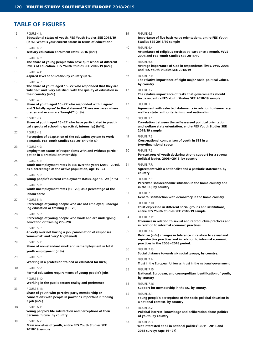# **TABLE OF FIGURES**

| 16 | <b>FIGURE 4.1:</b><br>Educational status of youth, FES Youth Studies SEE 2018/19<br>(in %). What is your current status in terms of education?                                   | 39 | FIGURE 6.3:<br>Importance of five basic value orientations, entire FES Youth<br>Studies SEE 2018/19 sample                                                         |
|----|----------------------------------------------------------------------------------------------------------------------------------------------------------------------------------|----|--------------------------------------------------------------------------------------------------------------------------------------------------------------------|
| 16 | FIGURE 4.2:<br>Tertiary education enrolment rates, 2016 (in %)                                                                                                                   | 40 | FIGURE 6.4:<br>Attendance of religious services at least once a month, WVS<br>2008 and FES Youth Studies SEE 2018/19                                               |
| 17 | <b>FIGURE 4.3:</b><br>The share of young people who have quit school at different<br>levels of education, FES Youth Studies SEE 2018/19 (in %)                                   | 41 | <b>FIGURE 6.5:</b><br>Average importance of God in respondents' lives, WVS 2008<br>and FES Youth Studies SEE 2018/19                                               |
| 18 | FIGURE 4.4:<br>Aspired level of education by country (in %)                                                                                                                      | 46 | <b>FIGURE 7.1:</b>                                                                                                                                                 |
| 19 | <b>FIGURE 4.5:</b><br>The share of youth aged $16-27$ who responded that they are                                                                                                |    | The relative importance of eight major socio-political values,<br>by country                                                                                       |
|    | 'satisfied' and 'very satisfied' with the quality of education in<br>their country (in %).                                                                                       | 47 | <b>FIGURE 7.2:</b><br>The relative importance of tasks that governments should<br>focus on, entire FES Youth Studies SEE 2018/19 sample.                           |
| 20 | FIGURE 4.6:<br>Share of youth aged 16-27 who responded with 'I agree'<br>and 'I totally agree' to the statement "There are cases where<br>grades and exams are 'bought'" (in %). | 47 | <b>FIGURE 7.3:</b><br>Agreement with selected statements in relation to democracy,<br>welfare state, authoritarianism, and nationalism.                            |
| 22 | <b>FIGURE 4.7:</b><br>Share of youth aged 16-27 who have participated in practi-<br>cal aspects of schooling (practical, internship) (in %).                                     | 48 | <b>FIGURE 7.4:</b><br>Correlation between the self-assessed political orientation<br>and welfare state orientation, entire FES Youth Studies SEE<br>2018/19 sample |
| 22 | FIGURE 4.8:<br>Perception of adaptation of the education system to work<br>demands, FES Youth Studies SEE 2018/19 (in %).                                                        | 49 | <b>FIGURE 7.5:</b><br>Cross-national comparison of youth in SEE in a<br>two-dimensional space                                                                      |
| 23 | FIGURE 4.9:<br>Employment status of respondents with and without partici-<br>pation in a practical or internship                                                                 | 50 | <b>FIGURE 7.6:</b><br>Percentages of youth declaring strong support for a strong<br>political leader, 2008-2018, by country                                        |
| 25 | <b>FIGURE 5.1:</b><br>Youth unemployment rates in SEE over the years (2010-2016),<br>as a percentage of the active population, age 15-24                                         | 51 | <b>FIGURE 7.7:</b><br>Agreement with a nationalist and a patriotic statement, by                                                                                   |
| 26 | <b>FIGURE 5.2:</b><br>Young people's current employment status, age 15-29 (in %)                                                                                                 | 52 | country<br><b>FIGURE 7.8:</b>                                                                                                                                      |
| 26 | <b>FIGURE 5.3:</b><br>Youth unemployment rates $(15-29)$ , as a percentage of the                                                                                                |    | Perceived socioeconomic situation in the home country and<br>in the EU, by country                                                                                 |
|    | labour force<br><b>FIGURE 5.4:</b>                                                                                                                                               | 53 | <b>FIGURE 7.9:</b><br>General satisfaction with democracy in the home country.                                                                                     |
| 27 | Percentage of young people who are not employed, undergo-<br>ing education or training (15-29)                                                                                   | 53 | <b>FIGURE 7.10:</b><br>Trust expressed in different social groups and institutions,<br>entire FES Youth Studies SEE 2018/19 sample                                 |
| 28 | <b>FIGURE 5.5:</b><br>Percentage of young people who work and are undergoing<br>education or training (15-29)                                                                    | 54 | <b>FIGURE 7.11:</b><br>Tolerance in relation to sexual and reproductive practices and<br>in relation to informal economic practices                                |
| 28 | FIGURE 5.6:<br>Anxiety over not having a job (combination of responses<br>'somewhat' and 'very' frightened)                                                                      | 55 | <b>FIGURE 7.12:</b><br>Relative (in %) changes in tolerance in relation to sexual and<br>reproductive practices and in relation to informal economic               |
| 29 | <b>FIGURE 5.7:</b><br>Share of non-standard work and self-employment in total                                                                                                    |    | practices in the 2008-2018 period.                                                                                                                                 |
| 29 | youth employment (in%)<br>FIGURE 5.8:                                                                                                                                            | 56 | <b>FIGURE 7.13:</b><br>Social distance towards six social groups, by country.                                                                                      |
|    | Working in a profession trained or educated for (in %)                                                                                                                           | 57 | <b>FIGURE 7.14:</b><br>Trust in the European Union vs. trust in the national government                                                                            |
| 30 | FIGURE 5.9:<br>Formal education requirements of young people's jobs                                                                                                              | 58 | <b>FIGURE 7.15:</b><br>National, European, and cosmopolitan identification of youth,                                                                               |
| 31 | <b>FIGURE 5.10:</b><br>Working in the public sector: reality and preference                                                                                                      | 58 | by country<br><b>FIGURE 7.16:</b>                                                                                                                                  |
| 33 | <b>FIGURE 5.11:</b>                                                                                                                                                              |    | Support for membership in the EU, by county.                                                                                                                       |
|    | Share of youth who perceive party membership or<br>connections with people in power as important in finding<br>a job (in $%$ )                                                   | 62 | FIGURE 8.1:<br>Young people's perceptions of the socio-political situation in<br>a national context, by country                                                    |
| 38 | FIGURE 6.1:<br>Young people's life satisfaction and perceptions of their<br>personal future, by country                                                                          | 63 | FIGURE 8.2:<br>Political interest, knowledge and deliberation about politics<br>of youth, by country                                                               |
| 39 | FIGURE 6.2:<br>Main anxieties of youth, entire FES Youth Studies SEE<br>2018/19 sample.                                                                                          | 64 | FIGURE 8.3:<br>'Not interested at all in national politics': 2011–2015 and<br>2018 surveys (age 16-27)                                                             |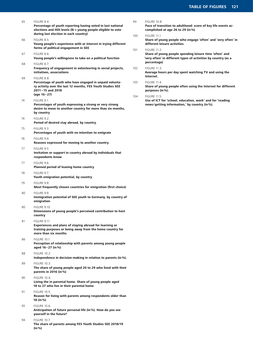| 65 | FIGURE 8.4:                                                                                                                                                             | S      |
|----|-------------------------------------------------------------------------------------------------------------------------------------------------------------------------|--------|
|    | Percentage of youth reporting having voted in last national<br>elections and HDI levels ( $N =$ young people eligible to vote<br>during last election in each country)  | 1      |
| 66 | FIGURE 8.5:                                                                                                                                                             |        |
|    | Young people's experience with or interest in trying different<br>forms of political engagement in SEE                                                                  | 1      |
| 67 | FIGURE 8.6:<br>Young people's willingness to take on a political function                                                                                               |        |
| 68 | <b>FIGURE 8.7:</b><br>Frequency of engagement in volunteering in social projects,<br>initiatives, associations                                                          | 1      |
| 69 | FIGURE 8.8:<br>Percentage of youth who have engaged in unpaid volunta-<br>ry activity over the last 12 months, FES Youth Studies SEE<br>2011-15 and 2018<br>(age 16-27) | 1<br>1 |
| 74 | <b>FIGURE 9.1:</b><br>Percentages of youth expressing a strong or very strong<br>desire to move to another country for more than six months,<br>by country              |        |
| 74 | FIGURE 9.2:<br>Period of desired stay abroad, by country.                                                                                                               |        |
| 75 | FIGURE 9.3:<br>Percentages of youth with no intention to emigrate                                                                                                       |        |
| 76 | FIGURE 9.4:<br>Reasons expressed for moving to another country.                                                                                                         |        |
| 77 | FIGURE 9.5:<br>Invitation or support in country abroad by individuals that<br>respondents know                                                                          |        |
| 77 | FIGURE 9.6:<br>Planned period of leaving home country                                                                                                                   |        |
| 78 | FIGURE 9.7:<br>Youth emigration potential, by country                                                                                                                   |        |
| 79 | FIGURE 9.8:<br>Most frequently chosen countries for emigration (first choice)                                                                                           |        |
| 80 | FIGURE 9.9:<br>Immigration potential of SEE youth to Germany, by country of<br>emigration                                                                               |        |
| 80 | <b>FIGURE 9.10:</b><br>Dimensions of young people's perceived contribution to host<br>country                                                                           |        |
| 81 | <b>FIGURE 9.11:</b><br>Experiences and plans of staying abroad for learning or<br>training purposes or being away from the home country for<br>more than six months     |        |
| 86 | <b>FIGURE 10.1:</b><br>Perception of relationship with parents among young people<br>aged 16-27 (in %)                                                                  |        |
| 88 | <b>FIGURE 10.2:</b><br>Independence in decision-making in relation to parents (in %).                                                                                   |        |
| 89 | <b>FIGURE 10.3:</b><br>The share of young people aged 20 to 29 who lived with their<br>parents in 2016 (in %)                                                           |        |
| 90 | <b>FIGURE 10.4:</b><br>Living the in parental home. Share of young people aged<br>18 to 27 who live in their parental home                                              |        |
| 91 | <b>FIGURE 10.5:</b><br>Reason for living with parents among respondents older than<br>18 (in %)                                                                         |        |
| 93 | <b>FIGURE 10.6:</b><br>Anticipation of future personal life (in %). How do you see<br>yourself in the future?                                                           |        |
| 94 | <b>FIGURE 10.7:</b><br>The share of parents among FES Youth Studies SEE 2018/19<br>(in %)                                                                               |        |

- 94 FIGURE 10.8: **Pace of transition to adulthood: score of key life events accomplished at age 26 to 29 (in%)**
- 100 FIGURE 11.1: **Share of young people who engage 'often' and 'very often' in different leisure activities.**
- 101 FIGURE 11.2: **Share of young people spending leisure time 'often' and 'very often' in different types of activities by country (as a percentage)**
- 102 FIGURE 11.3: **Average hours per day spent watching TV and using the Internet.**
- 103 FIGURE 11.4: **Share of young people often using the Internet for different purposes (in%).**
- 104 FIGURE 11.5:

**Use of ICT for 'school, education, work' and for 'reading news /getting information,' by country (in%).**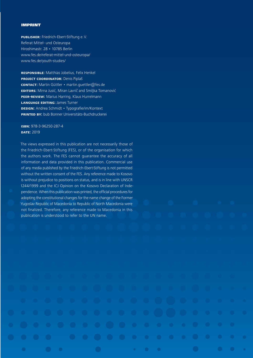#### IMPRINT

**publisher:** Friedrich-Ebert-Stiftung e.V. Referat Mittel- und Osteuropa Hiroshimastr. 28 • 10785 Berlin www.fes.de/referat-mittel-und-osteuropa/ www.fes.de/youth-studies/

**responsible:** Matthias Jobelius, Felix Henkel **PROJECT COORDINATOR:** Denis Piplaš **contact:** Martin Güttler • martin.guettler@fes.de **editors:** Mirna Jusić, Miran Lavrič and Smiljka Tomanović **PEER-REVIEW:** Marius Harring, Klaus Hurrelmann **language editing:** James Turner **design:** Andrea Schmidt • Typografie/im/Kontext **printed by:** bub Bonner Universitäts-Buchdruckerei

## **isbn:** 978-3-96250-287-4 **date:** 2019

The views expressed in this publication are not necessarily those of the Friedrich-Ebert-Stiftung (FES), or of the organisation for which the authors work. The FES cannot guarantee the accuracy of all information and data provided in this publication. Commercial use of any media published by the Friedrich-Ebert-Stiftung is not permitted without the written consent of the FES. Any reference made to Kosovo is without prejudice to positions on status, and is in line with UNSCR 1244/1999 and the ICJ Opinion on the Kosovo Declaration of Independence. When this publication was printed, the official procedures for adopting the constitutional changes for the name change of the Former Yugoslav Republic of Macedonia to Republic of North Macedonia were not finalized. Therefore, any reference made to Macedonia in this publication is understood to refer to the UN name.